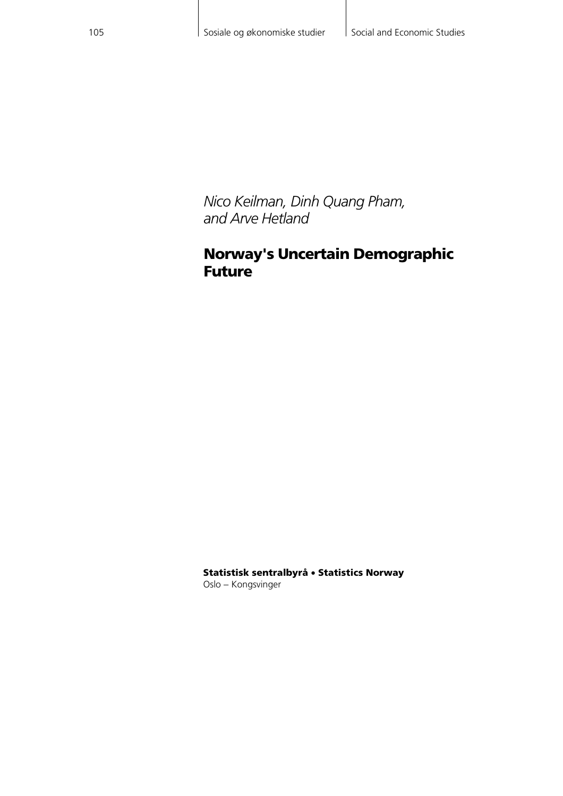*Nico Keilman, Dinh Quang Pham, and Arve Hetland* 

### **Norway's Uncertain Demographic Future**

**Statistisk sentralbyrå** • **Statistics Norway** Oslo − Kongsvinger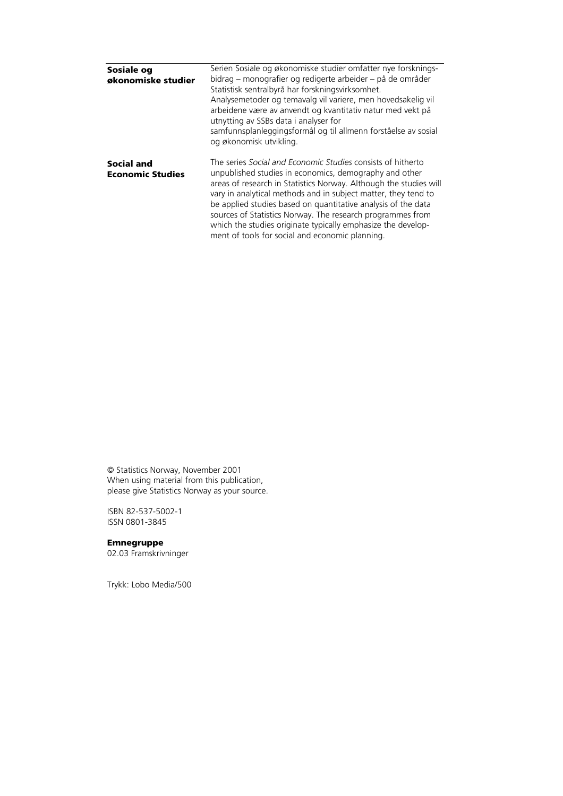| Sosiale og<br>økonomiske studier      | Serien Sosiale og økonomiske studier omfatter nye forsknings-<br>bidrag – monografier og redigerte arbeider – på de områder<br>Statistisk sentralbyrå har forskningsvirksomhet.<br>Analysemetoder og temavalg vil variere, men hovedsakelig vil<br>arbeidene være av anvendt og kvantitativ natur med vekt på<br>utnytting av SSBs data i analyser for<br>samfunnsplanleggingsformål og til allmenn forståelse av sosial<br>og økonomisk utvikling.                                                            |
|---------------------------------------|----------------------------------------------------------------------------------------------------------------------------------------------------------------------------------------------------------------------------------------------------------------------------------------------------------------------------------------------------------------------------------------------------------------------------------------------------------------------------------------------------------------|
| Social and<br><b>Economic Studies</b> | The series Social and Economic Studies consists of hitherto<br>unpublished studies in economics, demography and other<br>areas of research in Statistics Norway. Although the studies will<br>vary in analytical methods and in subject matter, they tend to<br>be applied studies based on quantitative analysis of the data<br>sources of Statistics Norway. The research programmes from<br>which the studies originate typically emphasize the develop-<br>ment of tools for social and economic planning. |

© Statistics Norway, November 2001 When using material from this publication, please give Statistics Norway as your source.

ISBN 82-537-5002-1 ISSN 0801-3845

#### **Emnegruppe**

02.03 Framskrivninger

Trykk: Lobo Media/500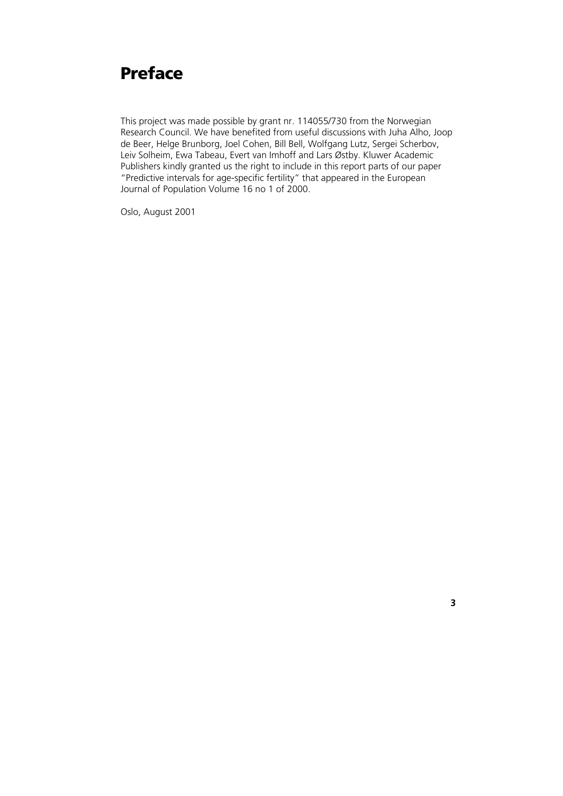## **Preface**

This project was made possible by grant nr. 114055/730 from the Norwegian Research Council. We have benefited from useful discussions with Juha Alho, Joop de Beer, Helge Brunborg, Joel Cohen, Bill Bell, Wolfgang Lutz, Sergei Scherbov, Leiv Solheim, Ewa Tabeau, Evert van Imhoff and Lars Østby. Kluwer Academic Publishers kindly granted us the right to include in this report parts of our paper "Predictive intervals for age-specific fertility" that appeared in the European Journal of Population Volume 16 no 1 of 2000.

Oslo, August 2001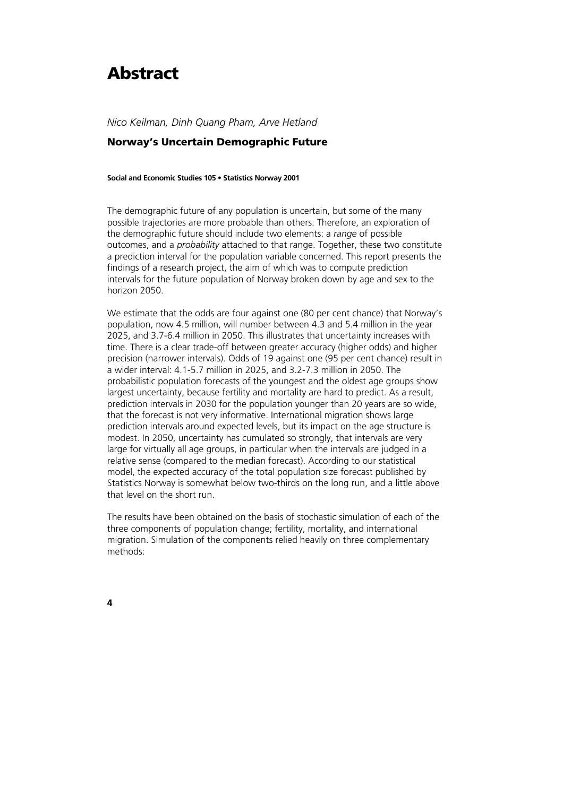## **Abstract**

*Nico Keilman, Dinh Quang Pham, Arve Hetland* 

### **Norway's Uncertain Demographic Future**

**Social and Economic Studies 105 • Statistics Norway 2001** 

The demographic future of any population is uncertain, but some of the many possible trajectories are more probable than others. Therefore, an exploration of the demographic future should include two elements: a *range* of possible outcomes, and a *probability* attached to that range. Together, these two constitute a prediction interval for the population variable concerned. This report presents the findings of a research project, the aim of which was to compute prediction intervals for the future population of Norway broken down by age and sex to the horizon 2050.

We estimate that the odds are four against one (80 per cent chance) that Norway's population, now 4.5 million, will number between 4.3 and 5.4 million in the year 2025, and 3.7-6.4 million in 2050. This illustrates that uncertainty increases with time. There is a clear trade-off between greater accuracy (higher odds) and higher precision (narrower intervals). Odds of 19 against one (95 per cent chance) result in a wider interval: 4.1-5.7 million in 2025, and 3.2-7.3 million in 2050. The probabilistic population forecasts of the youngest and the oldest age groups show largest uncertainty, because fertility and mortality are hard to predict. As a result, prediction intervals in 2030 for the population younger than 20 years are so wide, that the forecast is not very informative. International migration shows large prediction intervals around expected levels, but its impact on the age structure is modest. In 2050, uncertainty has cumulated so strongly, that intervals are very large for virtually all age groups, in particular when the intervals are judged in a relative sense (compared to the median forecast). According to our statistical model, the expected accuracy of the total population size forecast published by Statistics Norway is somewhat below two-thirds on the long run, and a little above that level on the short run.

The results have been obtained on the basis of stochastic simulation of each of the three components of population change; fertility, mortality, and international migration. Simulation of the components relied heavily on three complementary methods: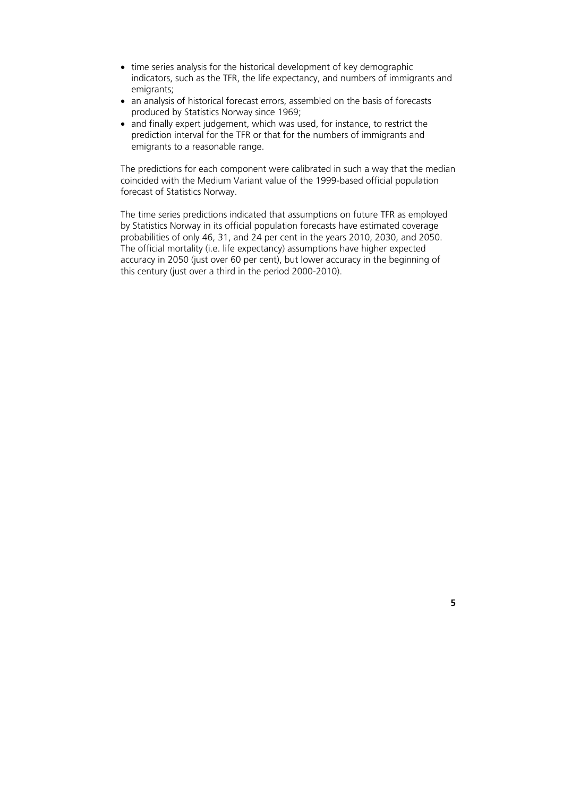- time series analysis for the historical development of key demographic indicators, such as the TFR, the life expectancy, and numbers of immigrants and emigrants;
- an analysis of historical forecast errors, assembled on the basis of forecasts produced by Statistics Norway since 1969;
- and finally expert judgement, which was used, for instance, to restrict the prediction interval for the TFR or that for the numbers of immigrants and emigrants to a reasonable range.

The predictions for each component were calibrated in such a way that the median coincided with the Medium Variant value of the 1999-based official population forecast of Statistics Norway.

The time series predictions indicated that assumptions on future TFR as employed by Statistics Norway in its official population forecasts have estimated coverage probabilities of only 46, 31, and 24 per cent in the years 2010, 2030, and 2050. The official mortality (i.e. life expectancy) assumptions have higher expected accuracy in 2050 (just over 60 per cent), but lower accuracy in the beginning of this century (just over a third in the period 2000-2010).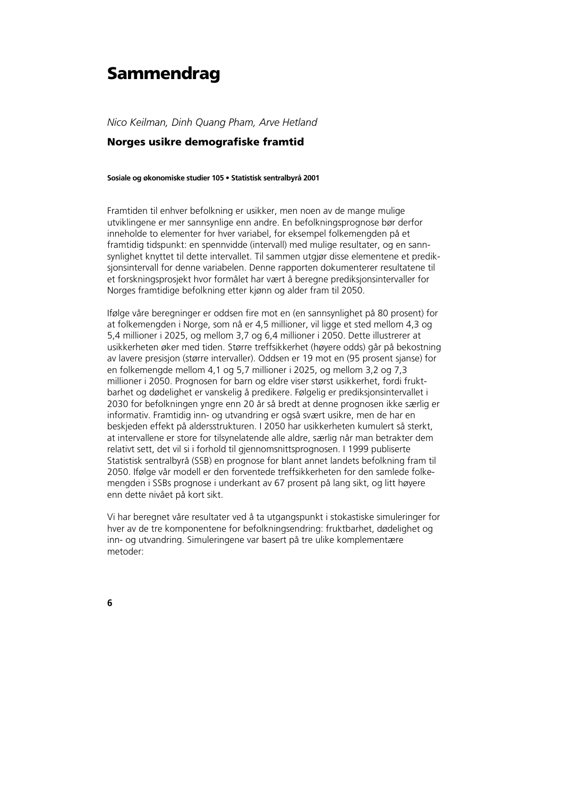## **Sammendrag**

*Nico Keilman, Dinh Quang Pham, Arve Hetland* 

### **Norges usikre demografiske framtid**

**Sosiale og økonomiske studier 105 • Statistisk sentralbyrå 2001** 

Framtiden til enhver befolkning er usikker, men noen av de mange mulige utviklingene er mer sannsynlige enn andre. En befolkningsprognose bør derfor inneholde to elementer for hver variabel, for eksempel folkemengden på et framtidig tidspunkt: en spennvidde (intervall) med mulige resultater, og en sannsynlighet knyttet til dette intervallet. Til sammen utgjør disse elementene et prediksjonsintervall for denne variabelen. Denne rapporten dokumenterer resultatene til et forskningsprosjekt hvor formålet har vært å beregne prediksjonsintervaller for Norges framtidige befolkning etter kjønn og alder fram til 2050.

Ifølge våre beregninger er oddsen fire mot en (en sannsynlighet på 80 prosent) for at folkemengden i Norge, som nå er 4,5 millioner, vil ligge et sted mellom 4,3 og 5,4 millioner i 2025, og mellom 3,7 og 6,4 millioner i 2050. Dette illustrerer at usikkerheten øker med tiden. Større treffsikkerhet (høyere odds) går på bekostning av lavere presisjon (større intervaller). Oddsen er 19 mot en (95 prosent sjanse) for en folkemengde mellom 4,1 og 5,7 millioner i 2025, og mellom 3,2 og 7,3 millioner i 2050. Prognosen for barn og eldre viser størst usikkerhet, fordi fruktbarhet og dødelighet er vanskelig å predikere. Følgelig er prediksjonsintervallet i 2030 for befolkningen yngre enn 20 år så bredt at denne prognosen ikke særlig er informativ. Framtidig inn- og utvandring er også svært usikre, men de har en beskjeden effekt på aldersstrukturen. I 2050 har usikkerheten kumulert så sterkt, at intervallene er store for tilsynelatende alle aldre, særlig når man betrakter dem relativt sett, det vil si i forhold til gjennomsnittsprognosen. I 1999 publiserte Statistisk sentralbyrå (SSB) en prognose for blant annet landets befolkning fram til 2050. Ifølge vår modell er den forventede treffsikkerheten for den samlede folkemengden i SSBs prognose i underkant av 67 prosent på lang sikt, og litt høyere enn dette nivået på kort sikt.

Vi har beregnet våre resultater ved å ta utgangspunkt i stokastiske simuleringer for hver av de tre komponentene for befolkningsendring: fruktbarhet, dødelighet og inn- og utvandring. Simuleringene var basert på tre ulike komplementære metoder: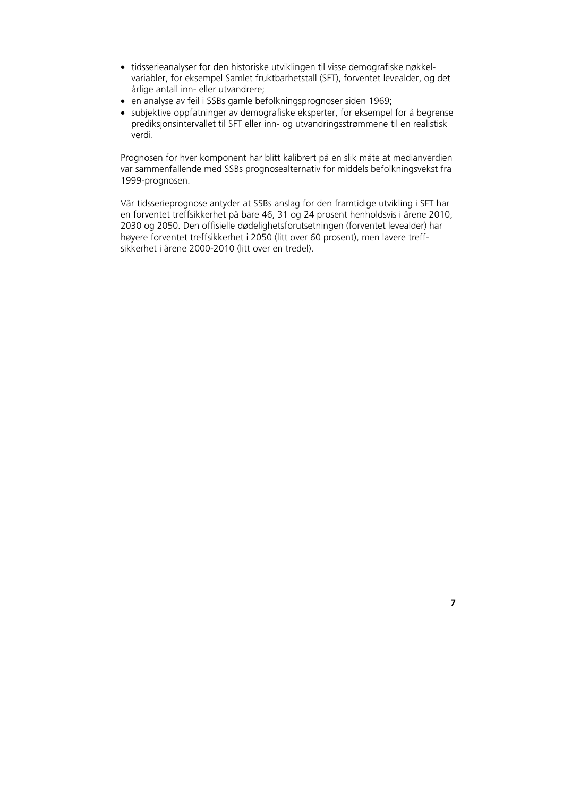- tidsserieanalyser for den historiske utviklingen til visse demografiske nøkkelvariabler, for eksempel Samlet fruktbarhetstall (SFT), forventet levealder, og det årlige antall inn- eller utvandrere;
- en analyse av feil i SSBs gamle befolkningsprognoser siden 1969;
- subjektive oppfatninger av demografiske eksperter, for eksempel for å begrense prediksjonsintervallet til SFT eller inn- og utvandringsstrømmene til en realistisk verdi.

Prognosen for hver komponent har blitt kalibrert på en slik måte at medianverdien var sammenfallende med SSBs prognosealternativ for middels befolkningsvekst fra 1999-prognosen.

Vår tidsserieprognose antyder at SSBs anslag for den framtidige utvikling i SFT har en forventet treffsikkerhet på bare 46, 31 og 24 prosent henholdsvis i årene 2010, 2030 og 2050. Den offisielle dødelighetsforutsetningen (forventet levealder) har høyere forventet treffsikkerhet i 2050 (litt over 60 prosent), men lavere treffsikkerhet i årene 2000-2010 (litt over en tredel).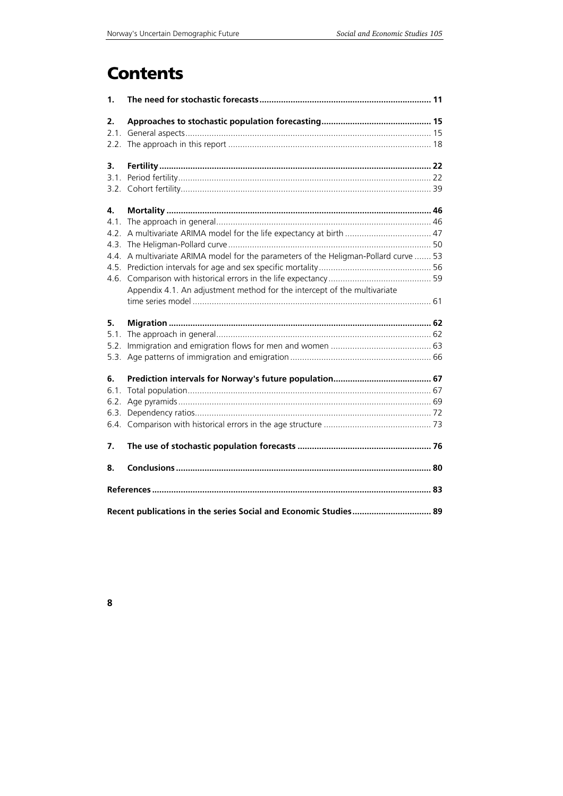## **Contents**

| $\mathbf{1}$ |                                                                                 |  |
|--------------|---------------------------------------------------------------------------------|--|
| 2.           |                                                                                 |  |
| 2.1.         |                                                                                 |  |
| 2.2.         |                                                                                 |  |
| 3.           |                                                                                 |  |
| 3.1.         |                                                                                 |  |
| 3.2.         |                                                                                 |  |
| 4.           |                                                                                 |  |
| 4.1.         |                                                                                 |  |
| 4.2.         |                                                                                 |  |
| 4.3.         |                                                                                 |  |
| 4.4.         | A multivariate ARIMA model for the parameters of the Heligman-Pollard curve  53 |  |
| 4.5.         |                                                                                 |  |
| 4.6.         |                                                                                 |  |
|              | Appendix 4.1. An adjustment method for the intercept of the multivariate        |  |
|              |                                                                                 |  |
| 5.           |                                                                                 |  |
| 5.1.         |                                                                                 |  |
| 5.2.         |                                                                                 |  |
| 5.3.         |                                                                                 |  |
| 6.           |                                                                                 |  |
| 6.1.         |                                                                                 |  |
| 6.2.         |                                                                                 |  |
| 6.3.         |                                                                                 |  |
| 6.4.         |                                                                                 |  |
| 7.           |                                                                                 |  |
| 8.           |                                                                                 |  |
|              |                                                                                 |  |
|              | Recent publications in the series Social and Economic Studies 89                |  |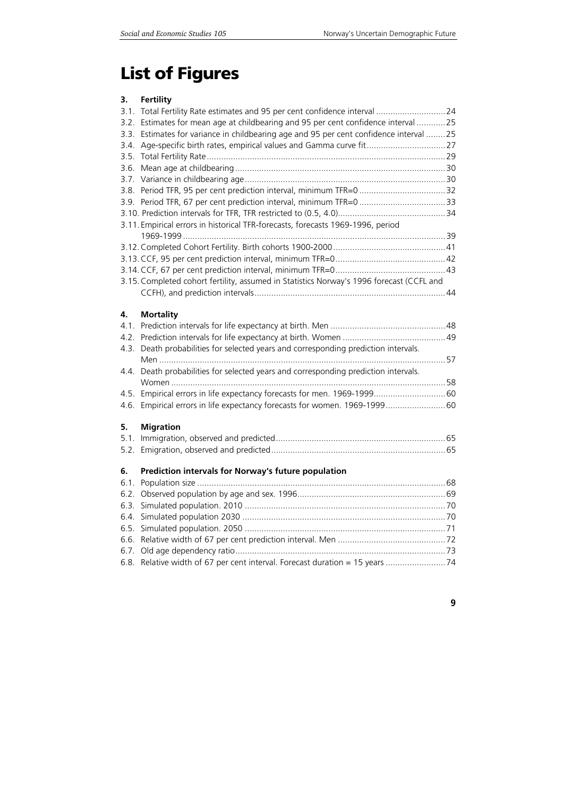# **List of Figures**

### **3. Fertility**

|      | 3.1. Total Fertility Rate estimates and 95 per cent confidence interval  24              |  |
|------|------------------------------------------------------------------------------------------|--|
|      | 3.2. Estimates for mean age at childbearing and 95 per cent confidence interval 25       |  |
|      | 3.3. Estimates for variance in childbearing age and 95 per cent confidence interval 25   |  |
|      | 3.4. Age-specific birth rates, empirical values and Gamma curve fit 27                   |  |
| 3.5. |                                                                                          |  |
|      |                                                                                          |  |
|      |                                                                                          |  |
|      |                                                                                          |  |
|      |                                                                                          |  |
|      |                                                                                          |  |
|      | 3.11. Empirical errors in historical TFR-forecasts, forecasts 1969-1996, period          |  |
|      |                                                                                          |  |
|      |                                                                                          |  |
|      |                                                                                          |  |
|      |                                                                                          |  |
|      | 3.15. Completed cohort fertility, assumed in Statistics Norway's 1996 forecast (CCFL and |  |
|      |                                                                                          |  |
|      |                                                                                          |  |
| 4.   | <b>Mortality</b>                                                                         |  |
|      |                                                                                          |  |
|      |                                                                                          |  |
|      | 4.3. Death probabilities for selected years and corresponding prediction intervals.      |  |
|      |                                                                                          |  |
| 4.4. | Death probabilities for selected years and corresponding prediction intervals.           |  |
|      |                                                                                          |  |
| 4.5. |                                                                                          |  |
| 4.6. |                                                                                          |  |
|      |                                                                                          |  |
| 5.   | <b>Migration</b>                                                                         |  |
| 5.1. |                                                                                          |  |
| 5.2. |                                                                                          |  |
| 6.   | Prediction intervals for Norway's future population                                      |  |
| 6.1. |                                                                                          |  |
| 6.2. |                                                                                          |  |
| 6.3. |                                                                                          |  |
| 64   |                                                                                          |  |
| 6.5. |                                                                                          |  |
| 6.6. |                                                                                          |  |
| 6.7. |                                                                                          |  |
|      | 6.8. Relative width of 67 per cent interval. Forecast duration = 15 years 74             |  |
|      |                                                                                          |  |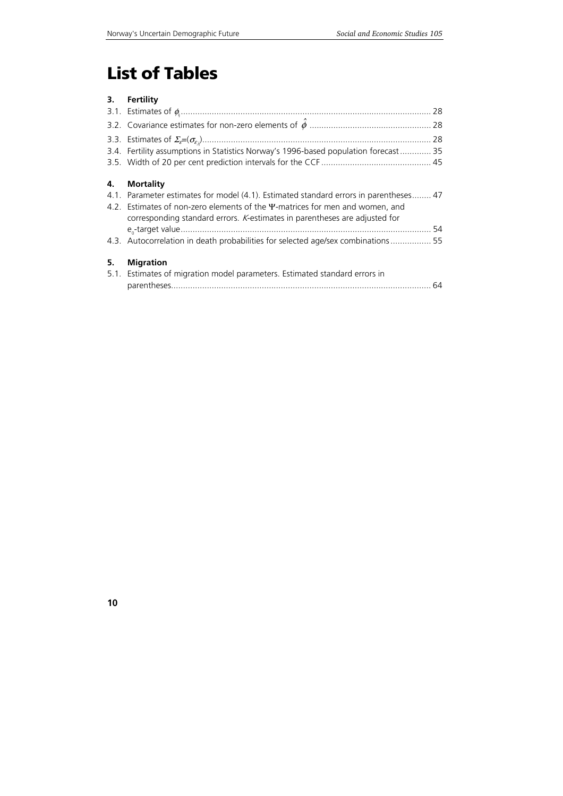# **List of Tables**

### **3. Fertility**

|    | 3.4. Fertility assumptions in Statistics Norway's 1996-based population forecast  35                                                                                                                                                                |  |
|----|-----------------------------------------------------------------------------------------------------------------------------------------------------------------------------------------------------------------------------------------------------|--|
| 4. | <b>Mortality</b>                                                                                                                                                                                                                                    |  |
|    | 4.1. Parameter estimates for model (4.1). Estimated standard errors in parentheses 47<br>4.2. Estimates of non-zero elements of the Y-matrices for men and women, and<br>corresponding standard errors. K-estimates in parentheses are adjusted for |  |
|    |                                                                                                                                                                                                                                                     |  |
|    | 4.3. Autocorrelation in death probabilities for selected age/sex combinations 55                                                                                                                                                                    |  |
| 5. | <b>Migration</b><br>5.1. Estimates of migration model parameters. Estimated standard errors in                                                                                                                                                      |  |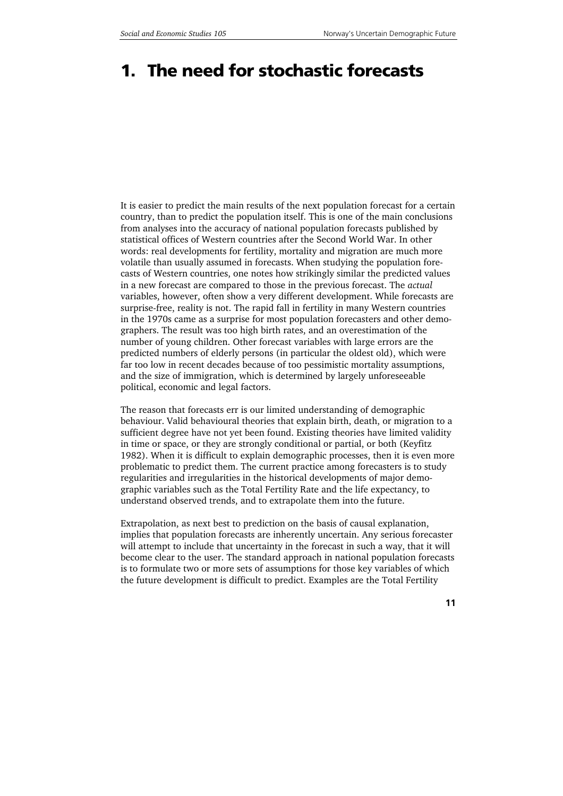## **1. The need for stochastic forecasts**

It is easier to predict the main results of the next population forecast for a certain country, than to predict the population itself. This is one of the main conclusions from analyses into the accuracy of national population forecasts published by statistical offices of Western countries after the Second World War. In other words: real developments for fertility, mortality and migration are much more volatile than usually assumed in forecasts. When studying the population forecasts of Western countries, one notes how strikingly similar the predicted values in a new forecast are compared to those in the previous forecast. The *actual* variables, however, often show a very different development. While forecasts are surprise-free, reality is not. The rapid fall in fertility in many Western countries in the 1970s came as a surprise for most population forecasters and other demographers. The result was too high birth rates, and an overestimation of the number of young children. Other forecast variables with large errors are the predicted numbers of elderly persons (in particular the oldest old), which were far too low in recent decades because of too pessimistic mortality assumptions, and the size of immigration, which is determined by largely unforeseeable political, economic and legal factors.

The reason that forecasts err is our limited understanding of demographic behaviour. Valid behavioural theories that explain birth, death, or migration to a sufficient degree have not yet been found. Existing theories have limited validity in time or space, or they are strongly conditional or partial, or both (Keyfitz 1982). When it is difficult to explain demographic processes, then it is even more problematic to predict them. The current practice among forecasters is to study regularities and irregularities in the historical developments of major demographic variables such as the Total Fertility Rate and the life expectancy, to understand observed trends, and to extrapolate them into the future.

Extrapolation, as next best to prediction on the basis of causal explanation, implies that population forecasts are inherently uncertain. Any serious forecaster will attempt to include that uncertainty in the forecast in such a way, that it will become clear to the user. The standard approach in national population forecasts is to formulate two or more sets of assumptions for those key variables of which the future development is difficult to predict. Examples are the Total Fertility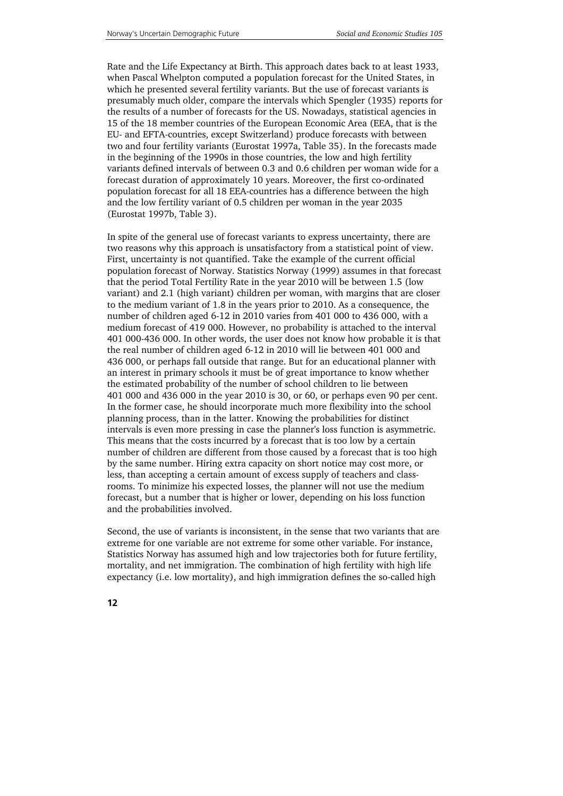Rate and the Life Expectancy at Birth. This approach dates back to at least 1933, when Pascal Whelpton computed a population forecast for the United States, in which he presented several fertility variants. But the use of forecast variants is presumably much older, compare the intervals which Spengler (1935) reports for the results of a number of forecasts for the US. Nowadays, statistical agencies in 15 of the 18 member countries of the European Economic Area (EEA, that is the EU- and EFTA-countries, except Switzerland) produce forecasts with between two and four fertility variants (Eurostat 1997a, Table 35). In the forecasts made in the beginning of the 1990s in those countries, the low and high fertility variants defined intervals of between 0.3 and 0.6 children per woman wide for a forecast duration of approximately 10 years. Moreover, the first co-ordinated population forecast for all 18 EEA-countries has a difference between the high and the low fertility variant of 0.5 children per woman in the year 2035 (Eurostat 1997b, Table 3).

In spite of the general use of forecast variants to express uncertainty, there are two reasons why this approach is unsatisfactory from a statistical point of view. First, uncertainty is not quantified. Take the example of the current official population forecast of Norway. Statistics Norway (1999) assumes in that forecast that the period Total Fertility Rate in the year 2010 will be between 1.5 (low variant) and 2.1 (high variant) children per woman, with margins that are closer to the medium variant of 1.8 in the years prior to 2010. As a consequence, the number of children aged 6-12 in 2010 varies from 401 000 to 436 000, with a medium forecast of 419 000. However, no probability is attached to the interval 401 000-436 000. In other words, the user does not know how probable it is that the real number of children aged 6-12 in 2010 will lie between 401 000 and 436 000, or perhaps fall outside that range. But for an educational planner with an interest in primary schools it must be of great importance to know whether the estimated probability of the number of school children to lie between 401 000 and 436 000 in the year 2010 is 30, or 60, or perhaps even 90 per cent. In the former case, he should incorporate much more flexibility into the school planning process, than in the latter. Knowing the probabilities for distinct intervals is even more pressing in case the planner's loss function is asymmetric. This means that the costs incurred by a forecast that is too low by a certain number of children are different from those caused by a forecast that is too high by the same number. Hiring extra capacity on short notice may cost more, or less, than accepting a certain amount of excess supply of teachers and classrooms. To minimize his expected losses, the planner will not use the medium forecast, but a number that is higher or lower, depending on his loss function and the probabilities involved.

Second, the use of variants is inconsistent, in the sense that two variants that are extreme for one variable are not extreme for some other variable. For instance, Statistics Norway has assumed high and low trajectories both for future fertility, mortality, and net immigration. The combination of high fertility with high life expectancy (i.e. low mortality), and high immigration defines the so-called high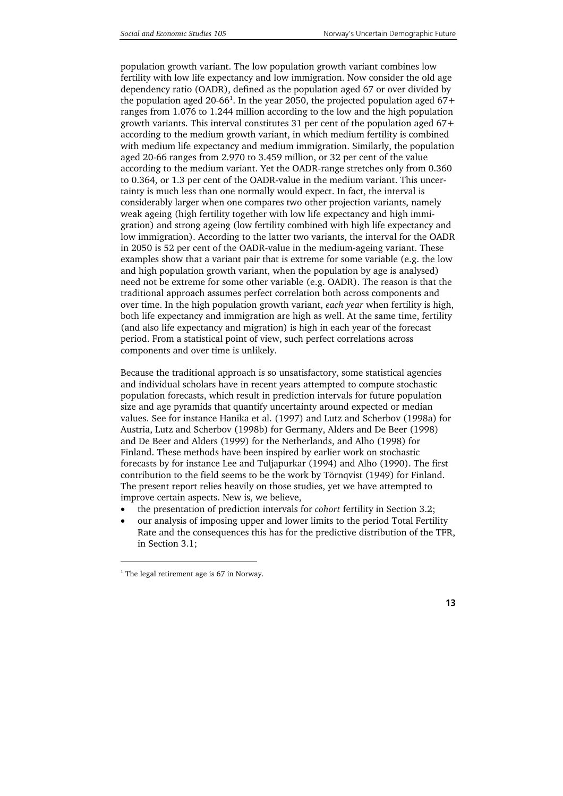population growth variant. The low population growth variant combines low fertility with low life expectancy and low immigration. Now consider the old age dependency ratio (OADR), defined as the population aged 67 or over divided by the population aged 20-66<sup>1</sup>. In the year 2050, the projected population aged 67+ ranges from 1.076 to 1.244 million according to the low and the high population growth variants. This interval constitutes 31 per cent of the population aged 67+ according to the medium growth variant, in which medium fertility is combined with medium life expectancy and medium immigration. Similarly, the population aged 20-66 ranges from 2.970 to 3.459 million, or 32 per cent of the value according to the medium variant. Yet the OADR-range stretches only from 0.360 to 0.364, or 1.3 per cent of the OADR-value in the medium variant. This uncertainty is much less than one normally would expect. In fact, the interval is considerably larger when one compares two other projection variants, namely weak ageing (high fertility together with low life expectancy and high immigration) and strong ageing (low fertility combined with high life expectancy and low immigration). According to the latter two variants, the interval for the OADR in 2050 is 52 per cent of the OADR-value in the medium-ageing variant. These examples show that a variant pair that is extreme for some variable (e.g. the low and high population growth variant, when the population by age is analysed) need not be extreme for some other variable (e.g. OADR). The reason is that the traditional approach assumes perfect correlation both across components and over time. In the high population growth variant, *each year* when fertility is high, both life expectancy and immigration are high as well. At the same time, fertility (and also life expectancy and migration) is high in each year of the forecast period. From a statistical point of view, such perfect correlations across components and over time is unlikely.

Because the traditional approach is so unsatisfactory, some statistical agencies and individual scholars have in recent years attempted to compute stochastic population forecasts, which result in prediction intervals for future population size and age pyramids that quantify uncertainty around expected or median values. See for instance Hanika et al. (1997) and Lutz and Scherbov (1998a) for Austria, Lutz and Scherbov (1998b) for Germany, Alders and De Beer (1998) and De Beer and Alders (1999) for the Netherlands, and Alho (1998) for Finland. These methods have been inspired by earlier work on stochastic forecasts by for instance Lee and Tuljapurkar (1994) and Alho (1990). The first contribution to the field seems to be the work by Törnqvist (1949) for Finland. The present report relies heavily on those studies, yet we have attempted to improve certain aspects. New is, we believe,

- the presentation of prediction intervals for *cohort* fertility in Section 3.2;
- our analysis of imposing upper and lower limits to the period Total Fertility Rate and the consequences this has for the predictive distribution of the TFR, in Section 3.1;

j

<sup>&</sup>lt;sup>1</sup> The legal retirement age is 67 in Norway.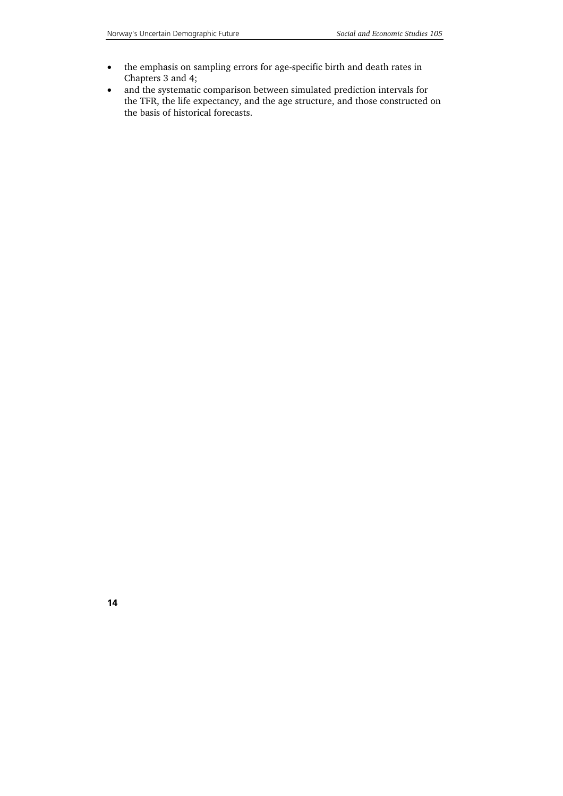- the emphasis on sampling errors for age-specific birth and death rates in Chapters 3 and 4;
- and the systematic comparison between simulated prediction intervals for the TFR, the life expectancy, and the age structure, and those constructed on the basis of historical forecasts.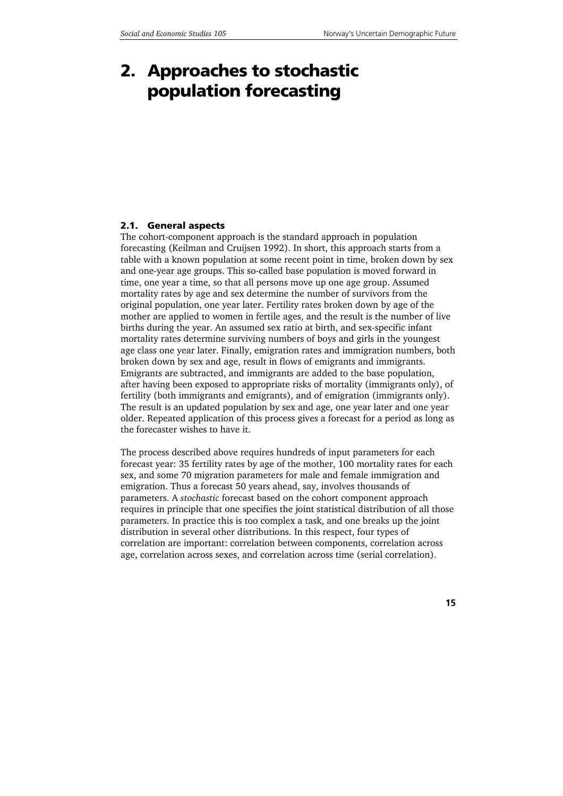## **2. Approaches to stochastic population forecasting**

### **2.1. General aspects**

The cohort-component approach is the standard approach in population forecasting (Keilman and Cruijsen 1992). In short, this approach starts from a table with a known population at some recent point in time, broken down by sex and one-year age groups. This so-called base population is moved forward in time, one year a time, so that all persons move up one age group. Assumed mortality rates by age and sex determine the number of survivors from the original population, one year later. Fertility rates broken down by age of the mother are applied to women in fertile ages, and the result is the number of live births during the year. An assumed sex ratio at birth, and sex-specific infant mortality rates determine surviving numbers of boys and girls in the youngest age class one year later. Finally, emigration rates and immigration numbers, both broken down by sex and age, result in flows of emigrants and immigrants. Emigrants are subtracted, and immigrants are added to the base population, after having been exposed to appropriate risks of mortality (immigrants only), of fertility (both immigrants and emigrants), and of emigration (immigrants only). The result is an updated population by sex and age, one year later and one year older. Repeated application of this process gives a forecast for a period as long as the forecaster wishes to have it.

The process described above requires hundreds of input parameters for each forecast year: 35 fertility rates by age of the mother, 100 mortality rates for each sex, and some 70 migration parameters for male and female immigration and emigration. Thus a forecast 50 years ahead, say, involves thousands of parameters. A *stochastic* forecast based on the cohort component approach requires in principle that one specifies the joint statistical distribution of all those parameters. In practice this is too complex a task, and one breaks up the joint distribution in several other distributions. In this respect, four types of correlation are important: correlation between components, correlation across age, correlation across sexes, and correlation across time (serial correlation).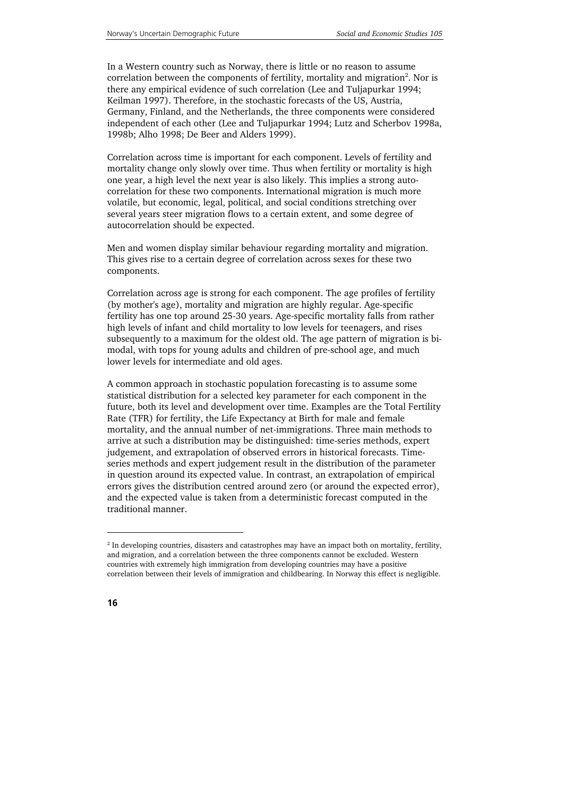In a Western country such as Norway, there is little or no reason to assume correlation between the components of fertility, mortality and migration $^2$ . Nor is there any empirical evidence of such correlation (Lee and Tuljapurkar 1994; Keilman 1997). Therefore, in the stochastic forecasts of the US, Austria, Germany, Finland, and the Netherlands, the three components were considered independent of each other (Lee and Tuljapurkar 1994; Lutz and Scherbov 1998a, 1998b; Alho 1998; De Beer and Alders 1999).

Correlation across time is important for each component. Levels of fertility and mortality change only slowly over time. Thus when fertility or mortality is high one year, a high level the next year is also likely. This implies a strong autocorrelation for these two components. International migration is much more volatile, but economic, legal, political, and social conditions stretching over several years steer migration flows to a certain extent, and some degree of autocorrelation should be expected.

Men and women display similar behaviour regarding mortality and migration. This gives rise to a certain degree of correlation across sexes for these two components.

Correlation across age is strong for each component. The age profiles of fertility (by mother's age), mortality and migration are highly regular. Age-specific fertility has one top around 25-30 years. Age-specific mortality falls from rather high levels of infant and child mortality to low levels for teenagers, and rises subsequently to a maximum for the oldest old. The age pattern of migration is bimodal, with tops for young adults and children of pre-school age, and much lower levels for intermediate and old ages.

A common approach in stochastic population forecasting is to assume some statistical distribution for a selected key parameter for each component in the future, both its level and development over time. Examples are the Total Fertility Rate (TFR) for fertility, the Life Expectancy at Birth for male and female mortality, and the annual number of net-immigrations. Three main methods to arrive at such a distribution may be distinguished: time-series methods, expert judgement, and extrapolation of observed errors in historical forecasts. Timeseries methods and expert judgement result in the distribution of the parameter in question around its expected value. In contrast, an extrapolation of empirical errors gives the distribution centred around zero (or around the expected error), and the expected value is taken from a deterministic forecast computed in the traditional manner.

-

<sup>&</sup>lt;sup>2</sup> In developing countries, disasters and catastrophes may have an impact both on mortality, fertility, and migration, and a correlation between the three components cannot be excluded. Western countries with extremely high immigration from developing countries may have a positive correlation between their levels of immigration and childbearing. In Norway this effect is negligible.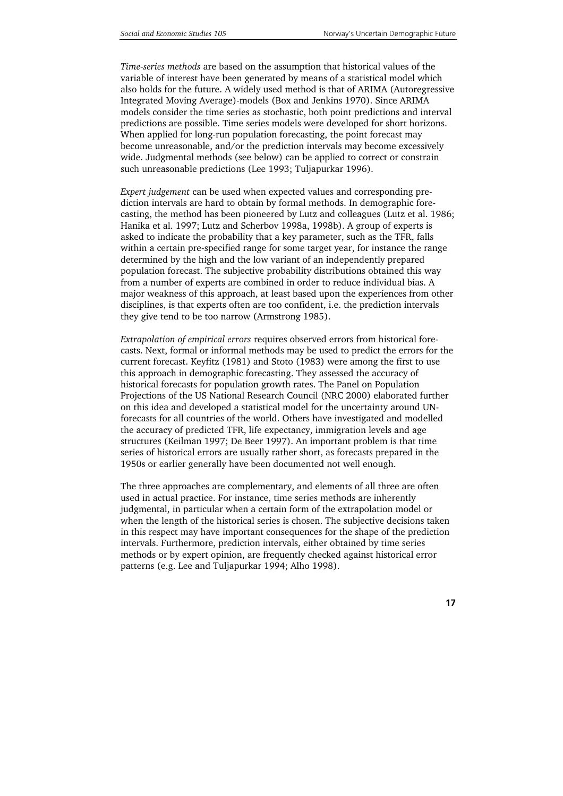*Time-series methods* are based on the assumption that historical values of the variable of interest have been generated by means of a statistical model which also holds for the future. A widely used method is that of ARIMA (Autoregressive Integrated Moving Average)-models (Box and Jenkins 1970). Since ARIMA models consider the time series as stochastic, both point predictions and interval predictions are possible. Time series models were developed for short horizons. When applied for long-run population forecasting, the point forecast may become unreasonable, and/or the prediction intervals may become excessively wide. Judgmental methods (see below) can be applied to correct or constrain such unreasonable predictions (Lee 1993; Tuljapurkar 1996).

*Expert judgement* can be used when expected values and corresponding prediction intervals are hard to obtain by formal methods. In demographic forecasting, the method has been pioneered by Lutz and colleagues (Lutz et al. 1986; Hanika et al. 1997; Lutz and Scherbov 1998a, 1998b). A group of experts is asked to indicate the probability that a key parameter, such as the TFR, falls within a certain pre-specified range for some target year, for instance the range determined by the high and the low variant of an independently prepared population forecast. The subjective probability distributions obtained this way from a number of experts are combined in order to reduce individual bias. A major weakness of this approach, at least based upon the experiences from other disciplines, is that experts often are too confident, i.e. the prediction intervals they give tend to be too narrow (Armstrong 1985).

*Extrapolation of empirical errors* requires observed errors from historical forecasts. Next, formal or informal methods may be used to predict the errors for the current forecast. Keyfitz (1981) and Stoto (1983) were among the first to use this approach in demographic forecasting. They assessed the accuracy of historical forecasts for population growth rates. The Panel on Population Projections of the US National Research Council (NRC 2000) elaborated further on this idea and developed a statistical model for the uncertainty around UNforecasts for all countries of the world. Others have investigated and modelled the accuracy of predicted TFR, life expectancy, immigration levels and age structures (Keilman 1997; De Beer 1997). An important problem is that time series of historical errors are usually rather short, as forecasts prepared in the 1950s or earlier generally have been documented not well enough.

The three approaches are complementary, and elements of all three are often used in actual practice. For instance, time series methods are inherently judgmental, in particular when a certain form of the extrapolation model or when the length of the historical series is chosen. The subjective decisions taken in this respect may have important consequences for the shape of the prediction intervals. Furthermore, prediction intervals, either obtained by time series methods or by expert opinion, are frequently checked against historical error patterns (e.g. Lee and Tuljapurkar 1994; Alho 1998).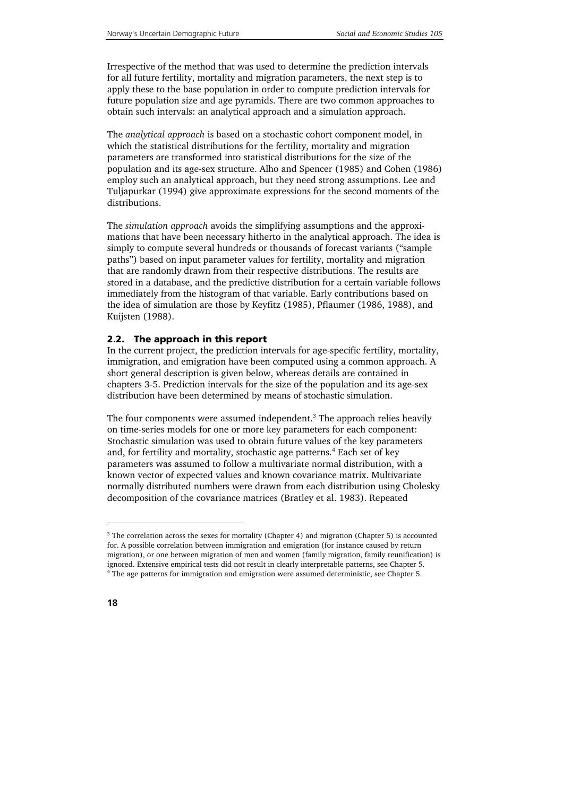Irrespective of the method that was used to determine the prediction intervals for all future fertility, mortality and migration parameters, the next step is to apply these to the base population in order to compute prediction intervals for future population size and age pyramids. There are two common approaches to obtain such intervals: an analytical approach and a simulation approach.

The *analytical approach* is based on a stochastic cohort component model, in which the statistical distributions for the fertility, mortality and migration parameters are transformed into statistical distributions for the size of the population and its age-sex structure. Alho and Spencer (1985) and Cohen (1986) employ such an analytical approach, but they need strong assumptions. Lee and Tuljapurkar (1994) give approximate expressions for the second moments of the distributions.

The *simulation approach* avoids the simplifying assumptions and the approximations that have been necessary hitherto in the analytical approach. The idea is simply to compute several hundreds or thousands of forecast variants ("sample paths") based on input parameter values for fertility, mortality and migration that are randomly drawn from their respective distributions. The results are stored in a database, and the predictive distribution for a certain variable follows immediately from the histogram of that variable. Early contributions based on the idea of simulation are those by Keyfitz (1985), Pflaumer (1986, 1988), and Kuijsten (1988).

### **2.2. The approach in this report**

In the current project, the prediction intervals for age-specific fertility, mortality, immigration, and emigration have been computed using a common approach. A short general description is given below, whereas details are contained in chapters 3-5. Prediction intervals for the size of the population and its age-sex distribution have been determined by means of stochastic simulation.

The four components were assumed independent.<sup>3</sup> The approach relies heavily on time-series models for one or more key parameters for each component: Stochastic simulation was used to obtain future values of the key parameters and, for fertility and mortality, stochastic age patterns.<sup>4</sup> Each set of key parameters was assumed to follow a multivariate normal distribution, with a known vector of expected values and known covariance matrix. Multivariate normally distributed numbers were drawn from each distribution using Cholesky decomposition of the covariance matrices (Bratley et al. 1983). Repeated

1

<sup>&</sup>lt;sup>3</sup> The correlation across the sexes for mortality (Chapter 4) and migration (Chapter 5) is accounted for. A possible correlation between immigration and emigration (for instance caused by return migration), or one between migration of men and women (family migration, family reunification) is ignored. Extensive empirical tests did not result in clearly interpretable patterns, see Chapter 5. 4 The age patterns for immigration and emigration were assumed deterministic, see Chapter 5.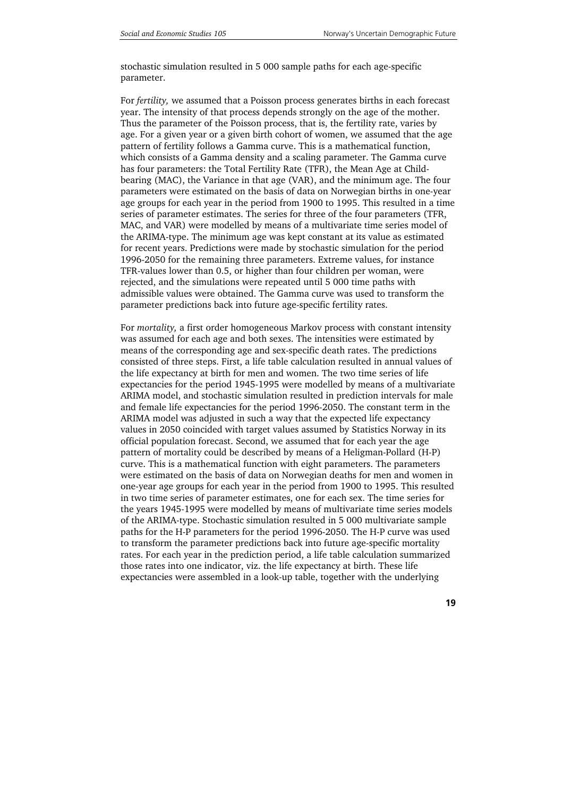stochastic simulation resulted in 5 000 sample paths for each age-specific parameter.

For *fertility,* we assumed that a Poisson process generates births in each forecast year. The intensity of that process depends strongly on the age of the mother. Thus the parameter of the Poisson process, that is, the fertility rate, varies by age. For a given year or a given birth cohort of women, we assumed that the age pattern of fertility follows a Gamma curve. This is a mathematical function, which consists of a Gamma density and a scaling parameter. The Gamma curve has four parameters: the Total Fertility Rate (TFR), the Mean Age at Childbearing (MAC), the Variance in that age (VAR), and the minimum age. The four parameters were estimated on the basis of data on Norwegian births in one-year age groups for each year in the period from 1900 to 1995. This resulted in a time series of parameter estimates. The series for three of the four parameters (TFR, MAC, and VAR) were modelled by means of a multivariate time series model of the ARIMA-type. The minimum age was kept constant at its value as estimated for recent years. Predictions were made by stochastic simulation for the period 1996-2050 for the remaining three parameters. Extreme values, for instance TFR-values lower than 0.5, or higher than four children per woman, were rejected, and the simulations were repeated until 5 000 time paths with admissible values were obtained. The Gamma curve was used to transform the parameter predictions back into future age-specific fertility rates.

For *mortality,* a first order homogeneous Markov process with constant intensity was assumed for each age and both sexes. The intensities were estimated by means of the corresponding age and sex-specific death rates. The predictions consisted of three steps. First, a life table calculation resulted in annual values of the life expectancy at birth for men and women. The two time series of life expectancies for the period 1945-1995 were modelled by means of a multivariate ARIMA model, and stochastic simulation resulted in prediction intervals for male and female life expectancies for the period 1996-2050. The constant term in the ARIMA model was adjusted in such a way that the expected life expectancy values in 2050 coincided with target values assumed by Statistics Norway in its official population forecast. Second, we assumed that for each year the age pattern of mortality could be described by means of a Heligman-Pollard (H-P) curve. This is a mathematical function with eight parameters. The parameters were estimated on the basis of data on Norwegian deaths for men and women in one-year age groups for each year in the period from 1900 to 1995. This resulted in two time series of parameter estimates, one for each sex. The time series for the years 1945-1995 were modelled by means of multivariate time series models of the ARIMA-type. Stochastic simulation resulted in 5 000 multivariate sample paths for the H-P parameters for the period 1996-2050. The H-P curve was used to transform the parameter predictions back into future age-specific mortality rates. For each year in the prediction period, a life table calculation summarized those rates into one indicator, viz. the life expectancy at birth. These life expectancies were assembled in a look-up table, together with the underlying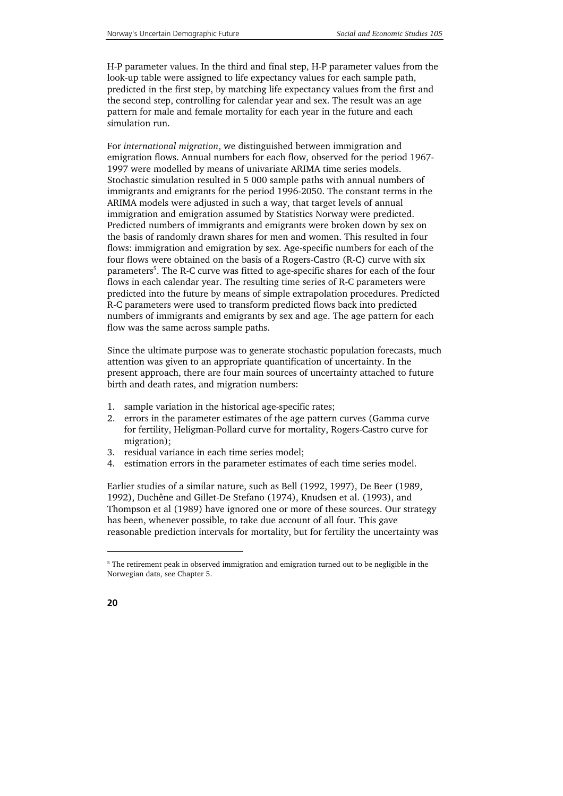H-P parameter values. In the third and final step, H-P parameter values from the look-up table were assigned to life expectancy values for each sample path, predicted in the first step, by matching life expectancy values from the first and the second step, controlling for calendar year and sex. The result was an age pattern for male and female mortality for each year in the future and each simulation run.

For *international migration*, we distinguished between immigration and emigration flows. Annual numbers for each flow, observed for the period 1967- 1997 were modelled by means of univariate ARIMA time series models. Stochastic simulation resulted in 5 000 sample paths with annual numbers of immigrants and emigrants for the period 1996-2050. The constant terms in the ARIMA models were adjusted in such a way, that target levels of annual immigration and emigration assumed by Statistics Norway were predicted. Predicted numbers of immigrants and emigrants were broken down by sex on the basis of randomly drawn shares for men and women. This resulted in four flows: immigration and emigration by sex. Age-specific numbers for each of the four flows were obtained on the basis of a Rogers-Castro (R-C) curve with six parameters<sup>5</sup>. The R-C curve was fitted to age-specific shares for each of the four flows in each calendar year. The resulting time series of R-C parameters were predicted into the future by means of simple extrapolation procedures. Predicted R-C parameters were used to transform predicted flows back into predicted numbers of immigrants and emigrants by sex and age. The age pattern for each flow was the same across sample paths.

Since the ultimate purpose was to generate stochastic population forecasts, much attention was given to an appropriate quantification of uncertainty. In the present approach, there are four main sources of uncertainty attached to future birth and death rates, and migration numbers:

- 1. sample variation in the historical age-specific rates;
- 2. errors in the parameter estimates of the age pattern curves (Gamma curve for fertility, Heligman-Pollard curve for mortality, Rogers-Castro curve for migration);
- 3. residual variance in each time series model;
- 4. estimation errors in the parameter estimates of each time series model.

Earlier studies of a similar nature, such as Bell (1992, 1997), De Beer (1989, 1992), Duchêne and Gillet-De Stefano (1974), Knudsen et al. (1993), and Thompson et al (1989) have ignored one or more of these sources. Our strategy has been, whenever possible, to take due account of all four. This gave reasonable prediction intervals for mortality, but for fertility the uncertainty was

1

<sup>&</sup>lt;sup>5</sup> The retirement peak in observed immigration and emigration turned out to be negligible in the Norwegian data, see Chapter 5.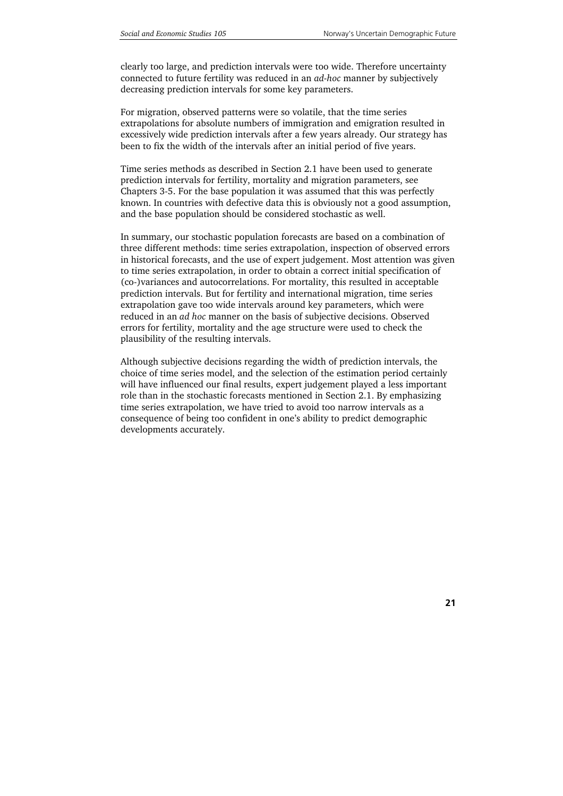clearly too large, and prediction intervals were too wide. Therefore uncertainty connected to future fertility was reduced in an *ad-hoc* manner by subjectively decreasing prediction intervals for some key parameters.

For migration, observed patterns were so volatile, that the time series extrapolations for absolute numbers of immigration and emigration resulted in excessively wide prediction intervals after a few years already. Our strategy has been to fix the width of the intervals after an initial period of five years.

Time series methods as described in Section 2.1 have been used to generate prediction intervals for fertility, mortality and migration parameters, see Chapters 3-5. For the base population it was assumed that this was perfectly known. In countries with defective data this is obviously not a good assumption, and the base population should be considered stochastic as well.

In summary, our stochastic population forecasts are based on a combination of three different methods: time series extrapolation, inspection of observed errors in historical forecasts, and the use of expert judgement. Most attention was given to time series extrapolation, in order to obtain a correct initial specification of (co-)variances and autocorrelations. For mortality, this resulted in acceptable prediction intervals. But for fertility and international migration, time series extrapolation gave too wide intervals around key parameters, which were reduced in an *ad hoc* manner on the basis of subjective decisions. Observed errors for fertility, mortality and the age structure were used to check the plausibility of the resulting intervals.

Although subjective decisions regarding the width of prediction intervals, the choice of time series model, and the selection of the estimation period certainly will have influenced our final results, expert judgement played a less important role than in the stochastic forecasts mentioned in Section 2.1. By emphasizing time series extrapolation, we have tried to avoid too narrow intervals as a consequence of being too confident in one's ability to predict demographic developments accurately.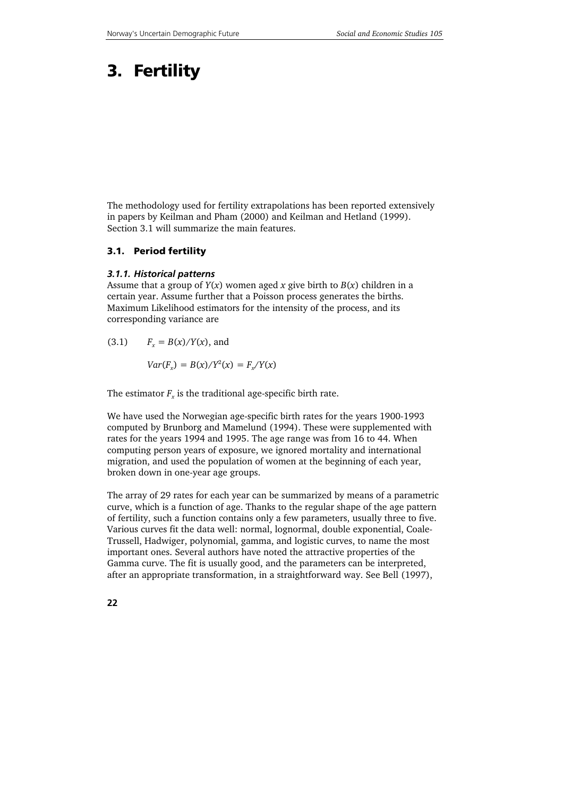# **3. Fertility**

The methodology used for fertility extrapolations has been reported extensively in papers by Keilman and Pham (2000) and Keilman and Hetland (1999). Section 3.1 will summarize the main features.

### **3.1. Period fertility**

### *3.1.1. Historical patterns*

Assume that a group of *Y*(*x*) women aged *x* give birth to *B*(*x*) children in a certain year. Assume further that a Poisson process generates the births. Maximum Likelihood estimators for the intensity of the process, and its corresponding variance are

 $F_x = B(x)/Y(x)$ , and  $Var(F_x) = B(x)/Y^2(x) = F_x/Y(x)$ 

The estimator  $F_r$  is the traditional age-specific birth rate.

We have used the Norwegian age-specific birth rates for the years 1900-1993 computed by Brunborg and Mamelund (1994). These were supplemented with rates for the years 1994 and 1995. The age range was from 16 to 44. When computing person years of exposure, we ignored mortality and international migration, and used the population of women at the beginning of each year, broken down in one-year age groups.

The array of 29 rates for each year can be summarized by means of a parametric curve, which is a function of age. Thanks to the regular shape of the age pattern of fertility, such a function contains only a few parameters, usually three to five. Various curves fit the data well: normal, lognormal, double exponential, Coale-Trussell, Hadwiger, polynomial, gamma, and logistic curves, to name the most important ones. Several authors have noted the attractive properties of the Gamma curve. The fit is usually good, and the parameters can be interpreted, after an appropriate transformation, in a straightforward way. See Bell (1997),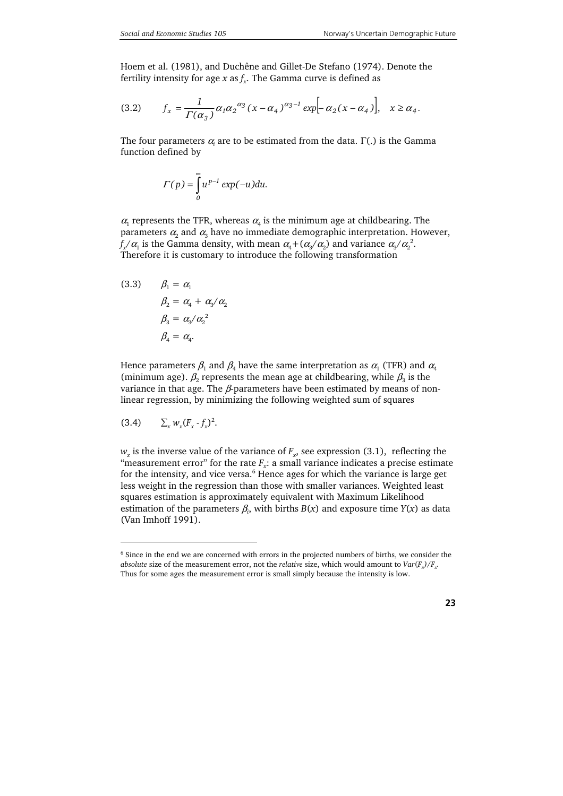Hoem et al. (1981), and Duchêne and Gillet-De Stefano (1974). Denote the fertility intensity for age *x* as  $f<sub>x</sub>$ . The Gamma curve is defined as

(3.2) 
$$
f_x = \frac{1}{\Gamma(\alpha_3)} \alpha_1 \alpha_2^{\alpha_3} (x - \alpha_4)^{\alpha_3 - 1} \exp[-\alpha_2 (x - \alpha_4)], \quad x \ge \alpha_4.
$$

The four parameters  $\alpha_{\rm i}$  are to be estimated from the data.  $\Gamma(.)$  is the Gamma function defined by

$$
\Gamma(p) = \int_{0}^{\infty} u^{p-1} \exp(-u) du.
$$

 $\alpha_1$  represents the TFR, whereas  $\alpha_4$  is the minimum age at childbearing. The parameters  $\alpha_2$  and  $\alpha_3$  have no immediate demographic interpretation. However,  $f_{x}/\alpha_1$  is the Gamma density, with mean  $\alpha_4 + (\alpha_3/\alpha_2)$  and variance  $\alpha_3/\alpha_2^2$ . Therefore it is customary to introduce the following transformation

(3.3) 
$$
\beta_1 = \alpha_1
$$

$$
\beta_2 = \alpha_4 + \alpha_3/\alpha_2
$$

$$
\beta_3 = \alpha_3/\alpha_2^2
$$

$$
\beta_4 = \alpha_4.
$$

Hence parameters  $\beta_1$  and  $\beta_4$  have the same interpretation as  $\alpha_1$  (TFR) and  $\alpha_4$ (minimum age).  $\beta_2$  represents the mean age at childbearing, while  $\beta_3$  is the variance in that age. The  $\beta$ -parameters have been estimated by means of nonlinear regression, by minimizing the following weighted sum of squares

$$
(3.4) \qquad \Sigma_x w_x (F_x - f_x)^2.
$$

1

 $w_x$  is the inverse value of the variance of  $F_x$ , see expression (3.1), reflecting the "measurement error" for the rate  $F_r$ : a small variance indicates a precise estimate for the intensity, and vice versa.<sup>6</sup> Hence ages for which the variance is large get less weight in the regression than those with smaller variances. Weighted least squares estimation is approximately equivalent with Maximum Likelihood estimation of the parameters  $\beta_i$ , with births  $B(x)$  and exposure time  $Y(x)$  as data (Van Imhoff 1991).

<sup>&</sup>lt;sup>6</sup> Since in the end we are concerned with errors in the projected numbers of births, we consider the *absolute* size of the measurement error, not the *relative* size, which would amount to  $Var(F_v)/F_v$ . Thus for some ages the measurement error is small simply because the intensity is low.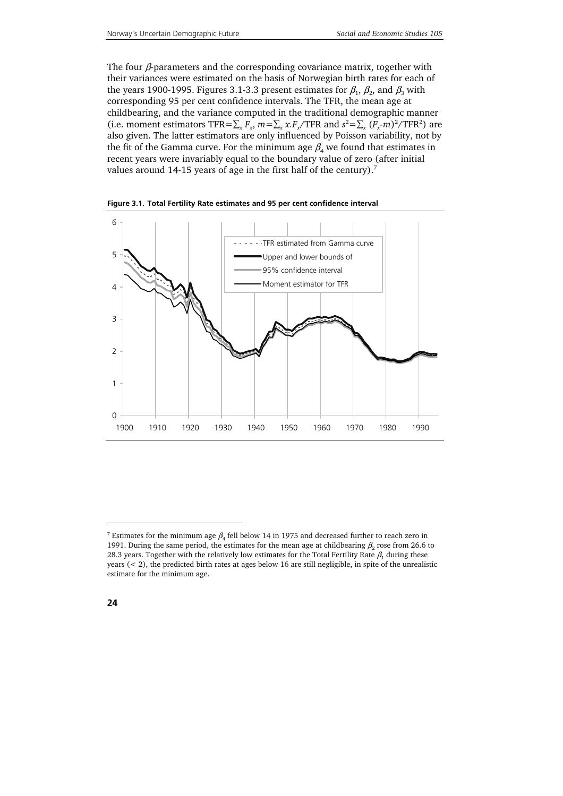The four  $\beta$ -parameters and the corresponding covariance matrix, together with their variances were estimated on the basis of Norwegian birth rates for each of the years 1900-1995. Figures 3.1-3.3 present estimates for  $\beta_1$ ,  $\beta_2$ , and  $\beta_3$  with corresponding 95 per cent confidence intervals. The TFR, the mean age at childbearing, and the variance computed in the traditional demographic manner (i.e. moment estimators TFR= $\sum_{x} F_x$ ,  $m = \sum_{x} x F_x / \text{TFR}$  and  $s^2 = \sum_{x} (F_x - m)^2 / \text{TFR}^2$ ) are also given. The latter estimators are only influenced by Poisson variability, not by the fit of the Gamma curve. For the minimum age  $\beta_4$  we found that estimates in recent years were invariably equal to the boundary value of zero (after initial values around 14-15 years of age in the first half of the century).<sup>7</sup>



**Figure 3.1. Total Fertility Rate estimates and 95 per cent confidence interval** 

1

<sup>&</sup>lt;sup>7</sup> Estimates for the minimum age  $\beta_4$  fell below 14 in 1975 and decreased further to reach zero in 1991. During the same period, the estimates for the mean age at childbearing  $\beta$ , rose from 26.6 to 28.3 years. Together with the relatively low estimates for the Total Fertility Rate  $\beta_1$  during these years  $(< 2)$ , the predicted birth rates at ages below 16 are still negligible, in spite of the unrealistic estimate for the minimum age.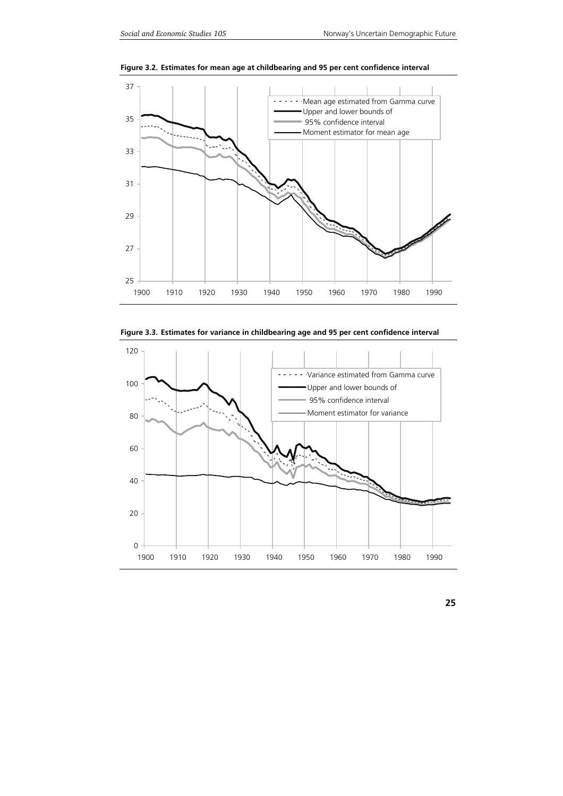

**Figure 3.2. Estimates for mean age at childbearing and 95 per cent confidence interval** 



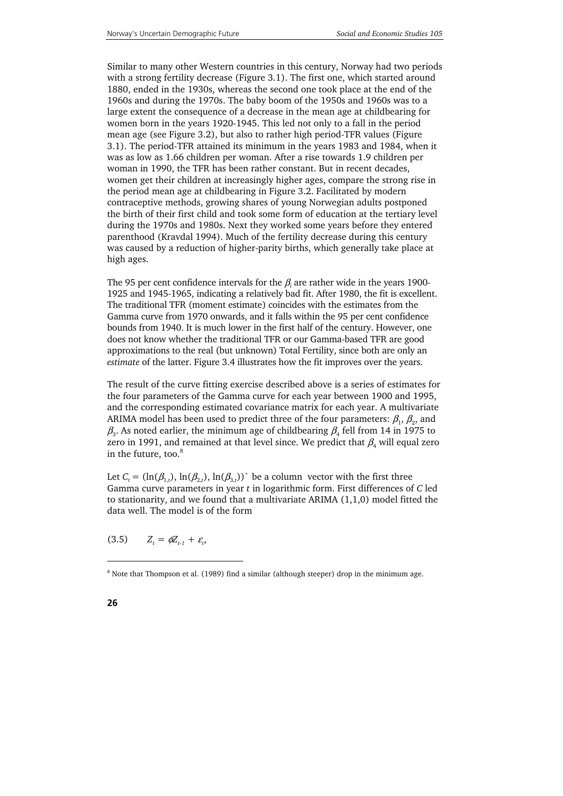Similar to many other Western countries in this century, Norway had two periods with a strong fertility decrease (Figure 3.1). The first one, which started around 1880, ended in the 1930s, whereas the second one took place at the end of the 1960s and during the 1970s. The baby boom of the 1950s and 1960s was to a large extent the consequence of a decrease in the mean age at childbearing for women born in the years 1920-1945. This led not only to a fall in the period mean age (see Figure 3.2), but also to rather high period-TFR values (Figure 3.1). The period-TFR attained its minimum in the years 1983 and 1984, when it was as low as 1.66 children per woman. After a rise towards 1.9 children per woman in 1990, the TFR has been rather constant. But in recent decades, women get their children at increasingly higher ages, compare the strong rise in the period mean age at childbearing in Figure 3.2. Facilitated by modern contraceptive methods, growing shares of young Norwegian adults postponed the birth of their first child and took some form of education at the tertiary level during the 1970s and 1980s. Next they worked some years before they entered parenthood (Kravdal 1994). Much of the fertility decrease during this century was caused by a reduction of higher-parity births, which generally take place at high ages.

The 95 per cent confidence intervals for the  $\beta_{\textit{i}}$  are rather wide in the years 1900-1925 and 1945-1965, indicating a relatively bad fit. After 1980, the fit is excellent. The traditional TFR (moment estimate) coincides with the estimates from the Gamma curve from 1970 onwards, and it falls within the 95 per cent confidence bounds from 1940. It is much lower in the first half of the century. However, one does not know whether the traditional TFR or our Gamma-based TFR are good approximations to the real (but unknown) Total Fertility, since both are only an *estimate* of the latter. Figure 3.4 illustrates how the fit improves over the years.

The result of the curve fitting exercise described above is a series of estimates for the four parameters of the Gamma curve for each year between 1900 and 1995, and the corresponding estimated covariance matrix for each year. A multivariate ARIMA model has been used to predict three of the four parameters:  $\beta_1$ ,  $\beta_2$ , and  $\beta_3$ . As noted earlier, the minimum age of childbearing  $\beta_4$  fell from 14 in 1975 to zero in 1991, and remained at that level since. We predict that  $\beta_4$  will equal zero in the future, too.<sup>8</sup>

Let  $C_t = (\ln(\beta_{1,t}), \ln(\beta_{2,t}), \ln(\beta_{3,t}))$ ` be a column vector with the first three Gamma curve parameters in year *t* in logarithmic form. First differences of *C* led to stationarity, and we found that a multivariate ARIMA (1,1,0) model fitted the data well. The model is of the form

 $(3.5)$  $= \phi Z_{t-1} + \varepsilon_t,$ 

j

<sup>&</sup>lt;sup>8</sup> Note that Thompson et al. (1989) find a similar (although steeper) drop in the minimum age.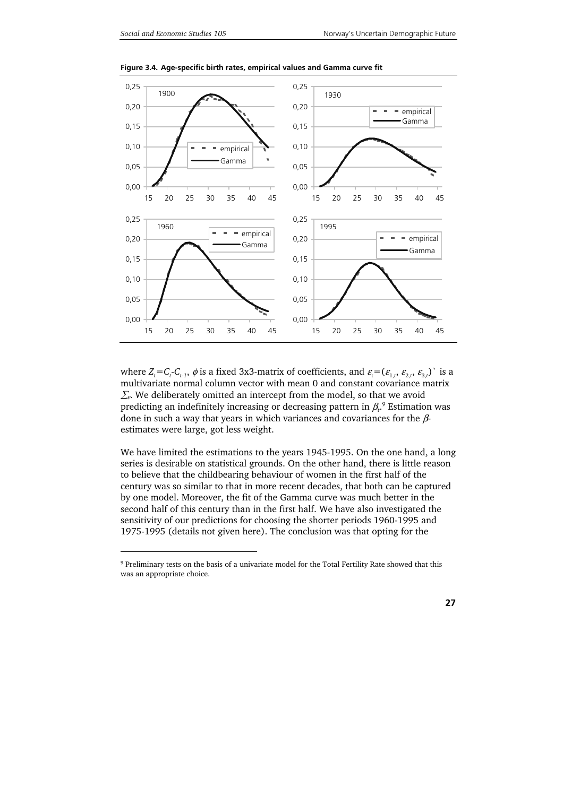1



**Figure 3.4. Age-specific birth rates, empirical values and Gamma curve fit** 

where  $Z_t = C_t$ - $C_{t-1}$ ,  $\phi$  is a fixed 3x3-matrix of coefficients, and  $\varepsilon_t = (\varepsilon_{1,t}, \varepsilon_{2,t}, \varepsilon_{3,t})$  ` is a multivariate normal column vector with mean 0 and constant covariance matrix  $\Sigma$ . We deliberately omitted an intercept from the model, so that we avoid predicting an indefinitely increasing or decreasing pattern in  $\beta_c$  Estimation was done in such a way that years in which variances and covariances for the βestimates were large, got less weight.

We have limited the estimations to the years 1945-1995. On the one hand, a long series is desirable on statistical grounds. On the other hand, there is little reason to believe that the childbearing behaviour of women in the first half of the century was so similar to that in more recent decades, that both can be captured by one model. Moreover, the fit of the Gamma curve was much better in the second half of this century than in the first half. We have also investigated the sensitivity of our predictions for choosing the shorter periods 1960-1995 and 1975-1995 (details not given here). The conclusion was that opting for the

<sup>&</sup>lt;sup>9</sup> Preliminary tests on the basis of a univariate model for the Total Fertility Rate showed that this was an appropriate choice.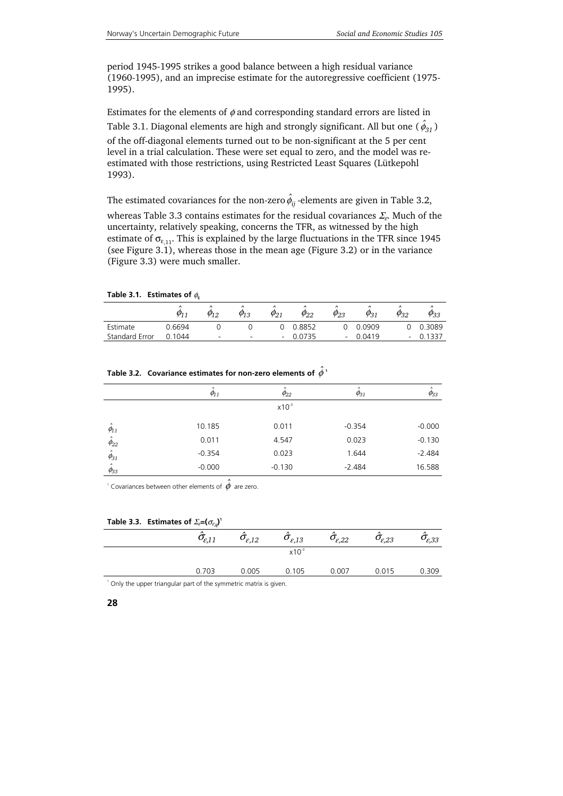period 1945-1995 strikes a good balance between a high residual variance (1960-1995), and an imprecise estimate for the autoregressive coefficient (1975- 1995).

Estimates for the elements of  $\phi$  and corresponding standard errors are listed in Table 3.1. Diagonal elements are high and strongly significant. All but one (  $\hat{\phi}_{31}$  ) of the off-diagonal elements turned out to be non-significant at the 5 per cent level in a trial calculation. These were set equal to zero, and the model was reestimated with those restrictions, using Restricted Least Squares (Lütkepohl 1993).

The estimated covariances for the non-zero  $\hat{\phi}_{ij}$  -elements are given in Table 3.2, whereas Table 3.3 contains estimates for the residual covariances  $\Sigma_c$ . Much of the uncertainty, relatively speaking, concerns the TFR, as witnessed by the high estimate of  $\sigma_{\epsilon_{11}}$ . This is explained by the large fluctuations in the TFR since 1945 (see Figure 3.1), whereas those in the mean age (Figure 3.2) or in the variance (Figure 3.3) were much smaller.

|                | $\hat{ }$<br>о. | $\lambda$<br>Ψ12 | $\lambda$<br>$\mathcal{O}_1$<br>10 | $\varphi_{21}$ | $\phi_{22}$ | $\lambda$<br>$\varphi_{23}$ | $\lambda$<br>$\varphi_{31}$ | $\lambda$<br>$\varphi_{32}$ | $\lambda$<br>$\varphi_{33}$ |
|----------------|-----------------|------------------|------------------------------------|----------------|-------------|-----------------------------|-----------------------------|-----------------------------|-----------------------------|
| Estimate       | 0.6694          |                  |                                    |                | 0.8852      |                             | 0.0909                      |                             | 0.3089                      |
| Standard Error | .1044           |                  | $\overline{\phantom{0}}$           |                | 0.0735      |                             | 0.0419                      | -                           |                             |

**Table 3.1. Estimates of**  $φ$ **<sub>i</sub>** 

|                                    | $\varphi_{11}$ | $\varphi_{22}$ | $\phi_{31}$ | $\varphi_{33}$ |
|------------------------------------|----------------|----------------|-------------|----------------|
|                                    |                | $x10^{-3}$     |             |                |
| $\hat{\phantom{a}}$<br>$\phi_{11}$ | 10.185         | 0.011          | $-0.354$    | $-0.000$       |
| $\hat{\phi}_{22}$                  | 0.011          | 4.547          | 0.023       | $-0.130$       |
| $\hat{\phi}_{31}$                  | $-0.354$       | 0.023          | 1.644       | $-2.484$       |
| $\hat{ }$<br>$\phi_{33}$           | $-0.000$       | $-0.130$       | $-2.484$    | 16.588         |
|                                    |                |                |             |                |

### Table 3.2.  $\,$  Covariance estimates for non-zero elements of  $\hat{\phi}^{\,1}$

<sup>1</sup> Covariances between other elements of  $\hat{\phi}$  are zero.

|  |  | Table 3.3. Estimates of $\mathcal{Z}_{\varepsilon} = (\sigma_{\varepsilon_{ij}})^{\varepsilon}$ |
|--|--|-------------------------------------------------------------------------------------------------|
|--|--|-------------------------------------------------------------------------------------------------|

| $\hat{\sigma}_{\hspace{-0.3mm}\textit{e},11}$ | $\hat{\sigma}_{\varepsilon,12}$ | $\hat{\sigma}_{\varepsilon,13}$ | $\hat{\sigma}_{\varepsilon,22}$ | $\hat{\sigma}_{\!\scriptscriptstyle \mathcal{E},23}$ | $\hat{\sigma}_{\!\scriptscriptstyle \mathcal{E},33}$ |
|-----------------------------------------------|---------------------------------|---------------------------------|---------------------------------|------------------------------------------------------|------------------------------------------------------|
|                                               |                                 | $x10^{-3}$                      |                                 |                                                      |                                                      |
| 0.703                                         | 0.005                           | 0.105                           | 0.007                           | 0.015                                                | 0.309                                                |
|                                               |                                 |                                 |                                 |                                                      |                                                      |

<sup>1</sup> Only the upper triangular part of the symmetric matrix is given.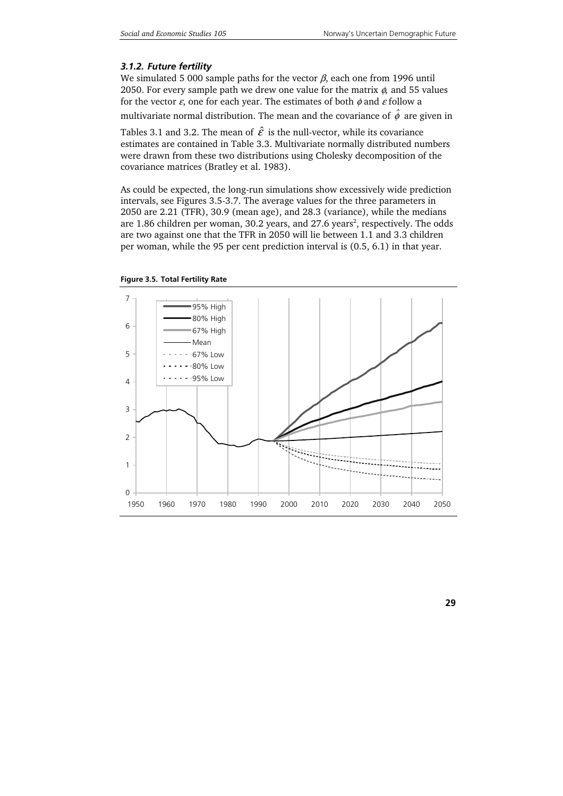### *3.1.2. Future fertility*

We simulated 5 000 sample paths for the vector  $\beta$ , each one from 1996 until 2050. For every sample path we drew one value for the matrix φ*,* and 55 values for the vector  $\varepsilon$ , one for each year. The estimates of both  $\phi$  and  $\varepsilon$  follow a multivariate normal distribution. The mean and the covariance of  $\hat{\phi}$  are given in

Tables 3.1 and 3.2. The mean of  $\hat{\mathcal{E}}$  is the null-vector, while its covariance estimates are contained in Table 3.3. Multivariate normally distributed numbers were drawn from these two distributions using Cholesky decomposition of the covariance matrices (Bratley et al. 1983).

As could be expected, the long-run simulations show excessively wide prediction intervals, see Figures 3.5-3.7. The average values for the three parameters in 2050 are 2.21 (TFR), 30.9 (mean age), and 28.3 (variance), while the medians are 1.86 children per woman, 30.2 years, and 27.6 years<sup>2</sup>, respectively. The odds are two against one that the TFR in 2050 will lie between 1.1 and 3.3 children per woman, while the 95 per cent prediction interval is (0.5, 6.1) in that year.



#### **Figure 3.5. Total Fertility Rate**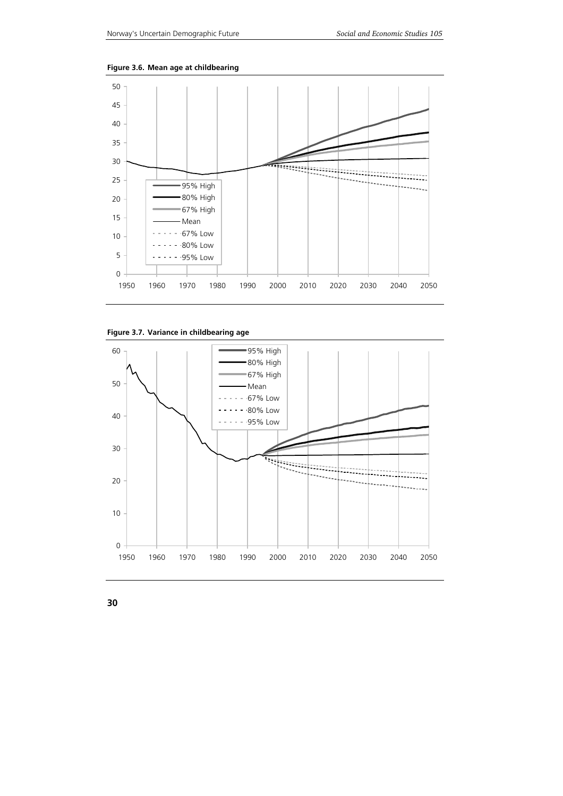

**Figure 3.6. Mean age at childbearing** 



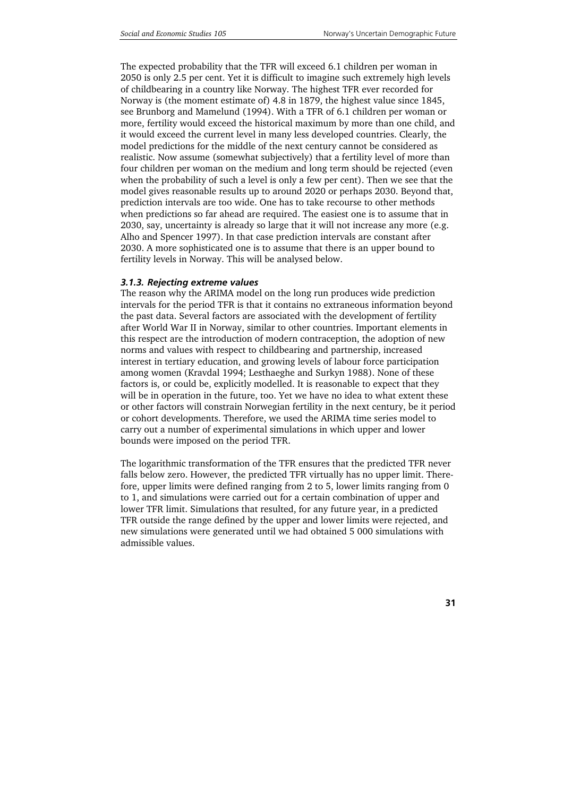The expected probability that the TFR will exceed 6.1 children per woman in 2050 is only 2.5 per cent. Yet it is difficult to imagine such extremely high levels of childbearing in a country like Norway. The highest TFR ever recorded for Norway is (the moment estimate of) 4.8 in 1879, the highest value since 1845, see Brunborg and Mamelund (1994). With a TFR of 6.1 children per woman or more, fertility would exceed the historical maximum by more than one child, and it would exceed the current level in many less developed countries. Clearly, the model predictions for the middle of the next century cannot be considered as realistic. Now assume (somewhat subjectively) that a fertility level of more than four children per woman on the medium and long term should be rejected (even when the probability of such a level is only a few per cent). Then we see that the model gives reasonable results up to around 2020 or perhaps 2030. Beyond that, prediction intervals are too wide. One has to take recourse to other methods when predictions so far ahead are required. The easiest one is to assume that in 2030, say, uncertainty is already so large that it will not increase any more (e.g. Alho and Spencer 1997). In that case prediction intervals are constant after 2030. A more sophisticated one is to assume that there is an upper bound to fertility levels in Norway. This will be analysed below.

### *3.1.3. Rejecting extreme values*

The reason why the ARIMA model on the long run produces wide prediction intervals for the period TFR is that it contains no extraneous information beyond the past data. Several factors are associated with the development of fertility after World War II in Norway, similar to other countries. Important elements in this respect are the introduction of modern contraception, the adoption of new norms and values with respect to childbearing and partnership, increased interest in tertiary education, and growing levels of labour force participation among women (Kravdal 1994; Lesthaeghe and Surkyn 1988). None of these factors is, or could be, explicitly modelled. It is reasonable to expect that they will be in operation in the future, too. Yet we have no idea to what extent these or other factors will constrain Norwegian fertility in the next century, be it period or cohort developments. Therefore, we used the ARIMA time series model to carry out a number of experimental simulations in which upper and lower bounds were imposed on the period TFR.

The logarithmic transformation of the TFR ensures that the predicted TFR never falls below zero. However, the predicted TFR virtually has no upper limit. Therefore, upper limits were defined ranging from 2 to 5, lower limits ranging from 0 to 1, and simulations were carried out for a certain combination of upper and lower TFR limit. Simulations that resulted, for any future year, in a predicted TFR outside the range defined by the upper and lower limits were rejected, and new simulations were generated until we had obtained 5 000 simulations with admissible values.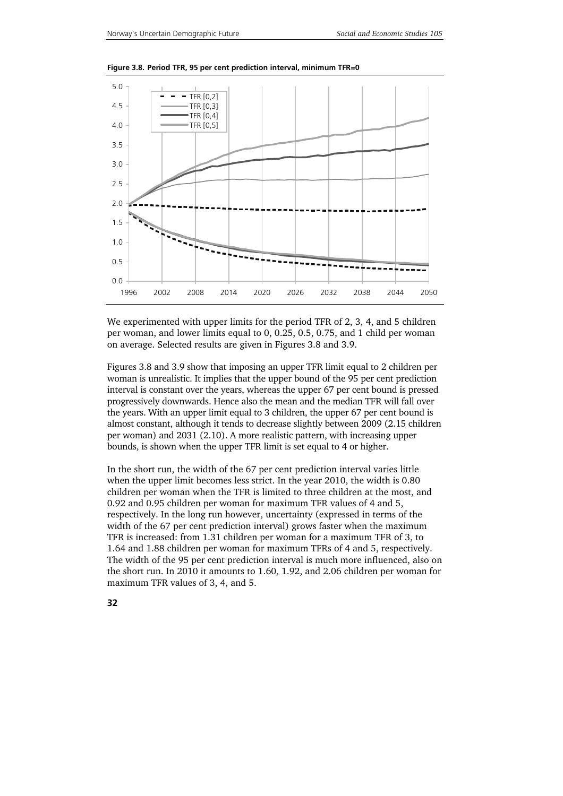

**Figure 3.8. Period TFR, 95 per cent prediction interval, minimum TFR=0** 

We experimented with upper limits for the period TFR of 2, 3, 4, and 5 children per woman, and lower limits equal to 0, 0.25, 0.5, 0.75, and 1 child per woman on average. Selected results are given in Figures 3.8 and 3.9.

Figures 3.8 and 3.9 show that imposing an upper TFR limit equal to 2 children per woman is unrealistic. It implies that the upper bound of the 95 per cent prediction interval is constant over the years, whereas the upper 67 per cent bound is pressed progressively downwards. Hence also the mean and the median TFR will fall over the years. With an upper limit equal to 3 children, the upper 67 per cent bound is almost constant, although it tends to decrease slightly between 2009 (2.15 children per woman) and 2031 (2.10). A more realistic pattern, with increasing upper bounds, is shown when the upper TFR limit is set equal to 4 or higher.

In the short run, the width of the 67 per cent prediction interval varies little when the upper limit becomes less strict. In the year 2010, the width is 0.80 children per woman when the TFR is limited to three children at the most, and 0.92 and 0.95 children per woman for maximum TFR values of 4 and 5, respectively. In the long run however, uncertainty (expressed in terms of the width of the 67 per cent prediction interval) grows faster when the maximum TFR is increased: from 1.31 children per woman for a maximum TFR of 3, to 1.64 and 1.88 children per woman for maximum TFRs of 4 and 5, respectively. The width of the 95 per cent prediction interval is much more influenced, also on the short run. In 2010 it amounts to 1.60, 1.92, and 2.06 children per woman for maximum TFR values of 3, 4, and 5.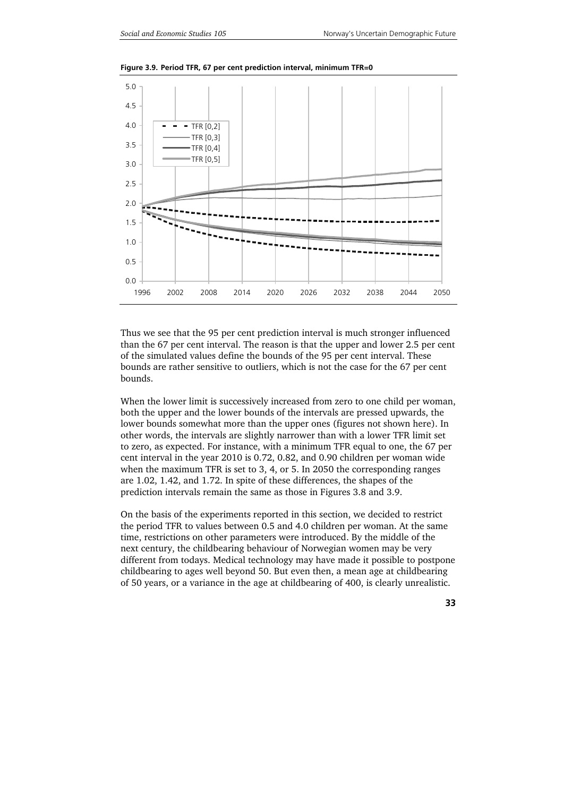

**Figure 3.9. Period TFR, 67 per cent prediction interval, minimum TFR=0** 

Thus we see that the 95 per cent prediction interval is much stronger influenced than the 67 per cent interval. The reason is that the upper and lower 2.5 per cent of the simulated values define the bounds of the 95 per cent interval. These bounds are rather sensitive to outliers, which is not the case for the 67 per cent bounds.

When the lower limit is successively increased from zero to one child per woman, both the upper and the lower bounds of the intervals are pressed upwards, the lower bounds somewhat more than the upper ones (figures not shown here). In other words, the intervals are slightly narrower than with a lower TFR limit set to zero, as expected. For instance, with a minimum TFR equal to one, the 67 per cent interval in the year 2010 is 0.72, 0.82, and 0.90 children per woman wide when the maximum TFR is set to 3, 4, or 5. In 2050 the corresponding ranges are 1.02, 1.42, and 1.72. In spite of these differences, the shapes of the prediction intervals remain the same as those in Figures 3.8 and 3.9.

On the basis of the experiments reported in this section, we decided to restrict the period TFR to values between 0.5 and 4.0 children per woman. At the same time, restrictions on other parameters were introduced. By the middle of the next century, the childbearing behaviour of Norwegian women may be very different from todays. Medical technology may have made it possible to postpone childbearing to ages well beyond 50. But even then, a mean age at childbearing of 50 years, or a variance in the age at childbearing of 400, is clearly unrealistic.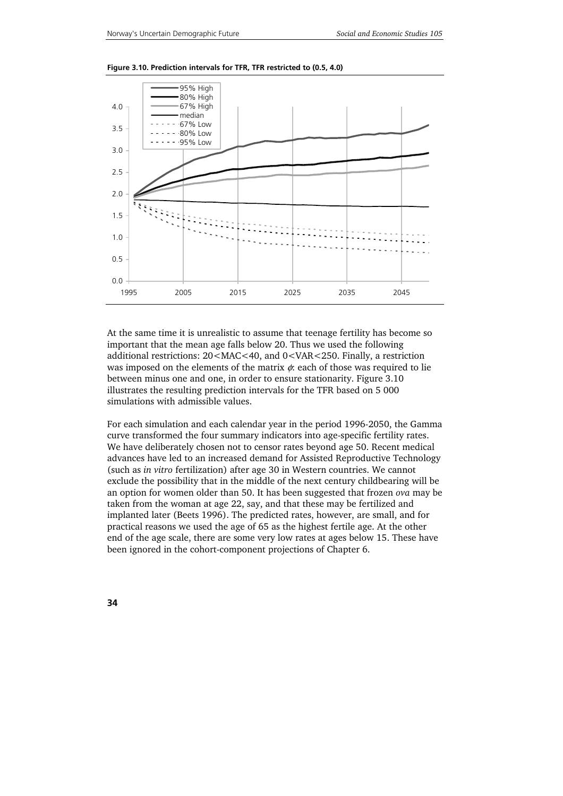

**Figure 3.10. Prediction intervals for TFR, TFR restricted to (0.5, 4.0)** 

At the same time it is unrealistic to assume that teenage fertility has become so important that the mean age falls below 20. Thus we used the following additional restrictions: 20<MAC<40, and 0<VAR<250. Finally, a restriction was imposed on the elements of the matrix  $\phi$ : each of those was required to lie between minus one and one, in order to ensure stationarity. Figure 3.10 illustrates the resulting prediction intervals for the TFR based on 5 000 simulations with admissible values.

For each simulation and each calendar year in the period 1996-2050, the Gamma curve transformed the four summary indicators into age-specific fertility rates. We have deliberately chosen not to censor rates beyond age 50. Recent medical advances have led to an increased demand for Assisted Reproductive Technology (such as *in vitro* fertilization) after age 30 in Western countries. We cannot exclude the possibility that in the middle of the next century childbearing will be an option for women older than 50. It has been suggested that frozen *ova* may be taken from the woman at age 22, say, and that these may be fertilized and implanted later (Beets 1996). The predicted rates, however, are small, and for practical reasons we used the age of 65 as the highest fertile age. At the other end of the age scale, there are some very low rates at ages below 15. These have been ignored in the cohort-component projections of Chapter 6.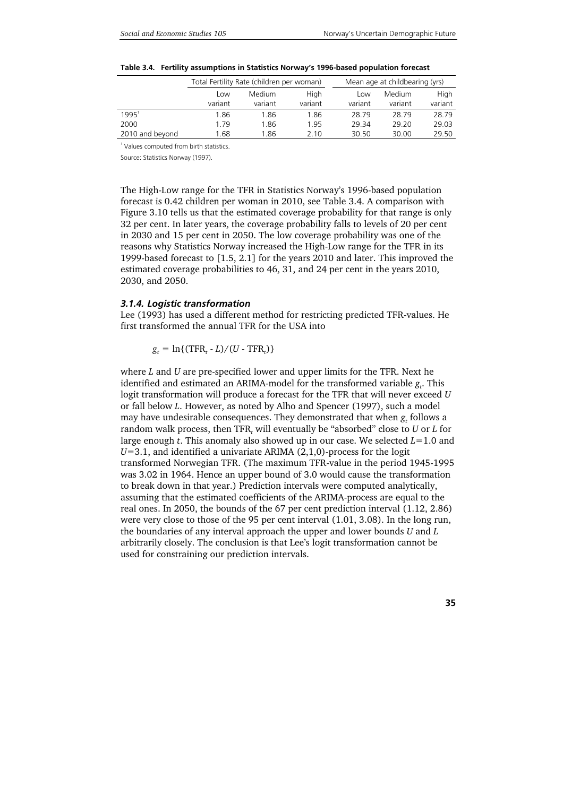|                 | Total Fertility Rate (children per woman) |         |         |         | Mean age at childbearing (yrs) |         |
|-----------------|-------------------------------------------|---------|---------|---------|--------------------------------|---------|
|                 | Low                                       | Medium. | High    | Low     | Medium                         | High    |
|                 | variant                                   | variant | variant | variant | variant                        | variant |
| $1995^1$        | 1.86                                      | 1.86    | 1.86    | 28.79   | 28.79                          | 28.79   |
| 2000            | 1.79                                      | 1.86    | 1.95    | 29.34   | 29.20                          | 29.03   |
| 2010 and beyond | .68                                       | 1.86    | 2.10    | 30.50   | 30.00                          | 29.50   |

1 Values computed from birth statistics.

Source: Statistics Norway (1997).

The High-Low range for the TFR in Statistics Norway's 1996-based population forecast is 0.42 children per woman in 2010, see Table 3.4. A comparison with Figure 3.10 tells us that the estimated coverage probability for that range is only 32 per cent. In later years, the coverage probability falls to levels of 20 per cent in 2030 and 15 per cent in 2050. The low coverage probability was one of the reasons why Statistics Norway increased the High-Low range for the TFR in its 1999-based forecast to [1.5, 2.1] for the years 2010 and later. This improved the estimated coverage probabilities to 46, 31, and 24 per cent in the years 2010, 2030, and 2050.

#### *3.1.4. Logistic transformation*

Lee (1993) has used a different method for restricting predicted TFR-values. He first transformed the annual TFR for the USA into

 $g_t = \ln\{(\text{TFR}_t - L)/(U - \text{TFR}_t)\}$ 

where *L* and *U* are pre-specified lower and upper limits for the TFR. Next he identified and estimated an ARIMA-model for the transformed variable  $g_t$ . This logit transformation will produce a forecast for the TFR that will never exceed *U* or fall below *L*. However, as noted by Alho and Spencer (1997), such a model may have undesirable consequences. They demonstrated that when  $g_t$  follows a random walk process, then TFR*<sup>t</sup>* will eventually be "absorbed" close to *U* or *L* for large enough *t*. This anomaly also showed up in our case. We selected *L*=1.0 and *U*=3.1, and identified a univariate ARIMA (2,1,0)-process for the logit transformed Norwegian TFR. (The maximum TFR-value in the period 1945-1995 was 3.02 in 1964. Hence an upper bound of 3.0 would cause the transformation to break down in that year.) Prediction intervals were computed analytically, assuming that the estimated coefficients of the ARIMA-process are equal to the real ones. In 2050, the bounds of the 67 per cent prediction interval (1.12, 2.86) were very close to those of the 95 per cent interval (1.01, 3.08). In the long run, the boundaries of any interval approach the upper and lower bounds *U* and *L* arbitrarily closely. The conclusion is that Lee's logit transformation cannot be used for constraining our prediction intervals.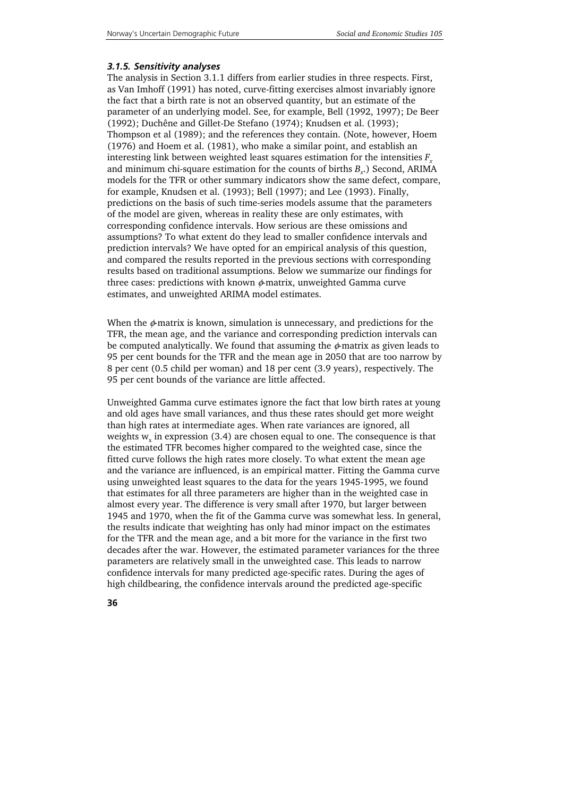### *3.1.5. Sensitivity analyses*

The analysis in Section 3.1.1 differs from earlier studies in three respects. First, as Van Imhoff (1991) has noted, curve-fitting exercises almost invariably ignore the fact that a birth rate is not an observed quantity, but an estimate of the parameter of an underlying model. See, for example, Bell (1992, 1997); De Beer (1992); Duchêne and Gillet-De Stefano (1974); Knudsen et al. (1993); Thompson et al (1989); and the references they contain. (Note, however, Hoem (1976) and Hoem et al. (1981), who make a similar point, and establish an interesting link between weighted least squares estimation for the intensities  $F_x$ and minimum chi-square estimation for the counts of births  $B<sub>x</sub>$ .) Second, ARIMA models for the TFR or other summary indicators show the same defect, compare, for example, Knudsen et al. (1993); Bell (1997); and Lee (1993). Finally, predictions on the basis of such time-series models assume that the parameters of the model are given, whereas in reality these are only estimates, with corresponding confidence intervals. How serious are these omissions and assumptions? To what extent do they lead to smaller confidence intervals and prediction intervals? We have opted for an empirical analysis of this question, and compared the results reported in the previous sections with corresponding results based on traditional assumptions. Below we summarize our findings for three cases: predictions with known  $\phi$ -matrix, unweighted Gamma curve estimates, and unweighted ARIMA model estimates.

When the  $\phi$ -matrix is known, simulation is unnecessary, and predictions for the TFR, the mean age, and the variance and corresponding prediction intervals can be computed analytically. We found that assuming the  $\phi$ -matrix as given leads to 95 per cent bounds for the TFR and the mean age in 2050 that are too narrow by 8 per cent (0.5 child per woman) and 18 per cent (3.9 years), respectively. The 95 per cent bounds of the variance are little affected.

Unweighted Gamma curve estimates ignore the fact that low birth rates at young and old ages have small variances, and thus these rates should get more weight than high rates at intermediate ages. When rate variances are ignored, all weights  $w<sub>r</sub>$  in expression (3.4) are chosen equal to one. The consequence is that the estimated TFR becomes higher compared to the weighted case, since the fitted curve follows the high rates more closely. To what extent the mean age and the variance are influenced, is an empirical matter. Fitting the Gamma curve using unweighted least squares to the data for the years 1945-1995, we found that estimates for all three parameters are higher than in the weighted case in almost every year. The difference is very small after 1970, but larger between 1945 and 1970, when the fit of the Gamma curve was somewhat less. In general, the results indicate that weighting has only had minor impact on the estimates for the TFR and the mean age, and a bit more for the variance in the first two decades after the war. However, the estimated parameter variances for the three parameters are relatively small in the unweighted case. This leads to narrow confidence intervals for many predicted age-specific rates. During the ages of high childbearing, the confidence intervals around the predicted age-specific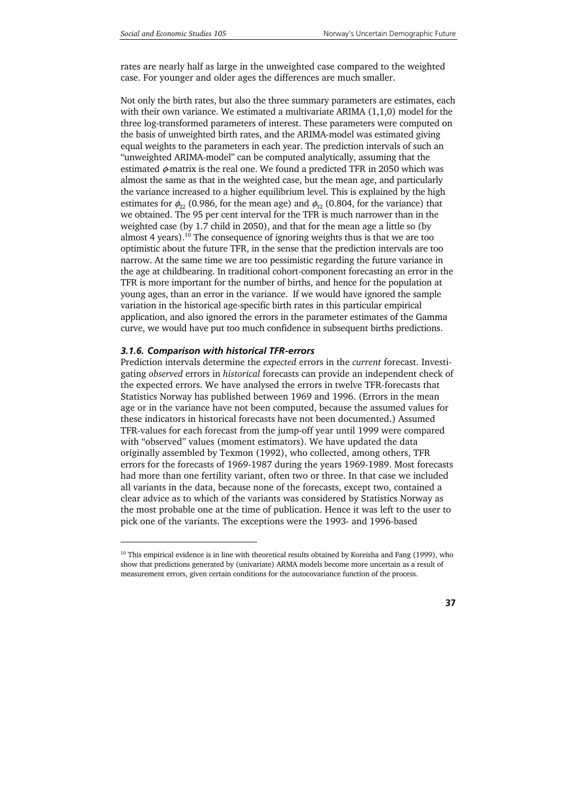rates are nearly half as large in the unweighted case compared to the weighted case. For younger and older ages the differences are much smaller.

Not only the birth rates, but also the three summary parameters are estimates, each with their own variance. We estimated a multivariate ARIMA (1,1,0) model for the three log-transformed parameters of interest. These parameters were computed on the basis of unweighted birth rates, and the ARIMA-model was estimated giving equal weights to the parameters in each year. The prediction intervals of such an "unweighted ARIMA-model" can be computed analytically, assuming that the estimated  $\phi$ -matrix is the real one. We found a predicted TFR in 2050 which was almost the same as that in the weighted case, but the mean age, and particularly the variance increased to a higher equilibrium level. This is explained by the high estimates for  $\phi_{22}$  (0.986, for the mean age) and  $\phi_{32}$  (0.804, for the variance) that we obtained. The 95 per cent interval for the TFR is much narrower than in the weighted case (by 1.7 child in 2050), and that for the mean age a little so (by almost 4 years).<sup>10</sup> The consequence of ignoring weights thus is that we are too optimistic about the future TFR, in the sense that the prediction intervals are too narrow. At the same time we are too pessimistic regarding the future variance in the age at childbearing. In traditional cohort-component forecasting an error in the TFR is more important for the number of births, and hence for the population at young ages, than an error in the variance. If we would have ignored the sample variation in the historical age-specific birth rates in this particular empirical application, and also ignored the errors in the parameter estimates of the Gamma curve, we would have put too much confidence in subsequent births predictions.

### *3.1.6. Comparison with historical TFR-errors*

1

Prediction intervals determine the *expected* errors in the *current* forecast. Investigating *observed* errors in *historical* forecasts can provide an independent check of the expected errors. We have analysed the errors in twelve TFR-forecasts that Statistics Norway has published between 1969 and 1996. (Errors in the mean age or in the variance have not been computed, because the assumed values for these indicators in historical forecasts have not been documented.) Assumed TFR-values for each forecast from the jump-off year until 1999 were compared with "observed" values (moment estimators). We have updated the data originally assembled by Texmon (1992), who collected, among others, TFR errors for the forecasts of 1969-1987 during the years 1969-1989. Most forecasts had more than one fertility variant, often two or three. In that case we included all variants in the data, because none of the forecasts, except two, contained a clear advice as to which of the variants was considered by Statistics Norway as the most probable one at the time of publication. Hence it was left to the user to pick one of the variants. The exceptions were the 1993- and 1996-based

<sup>&</sup>lt;sup>10</sup> This empirical evidence is in line with theoretical results obtained by Koreisha and Fang (1999), who show that predictions generated by (univariate) ARMA models become more uncertain as a result of measurement errors, given certain conditions for the autocovariance function of the process.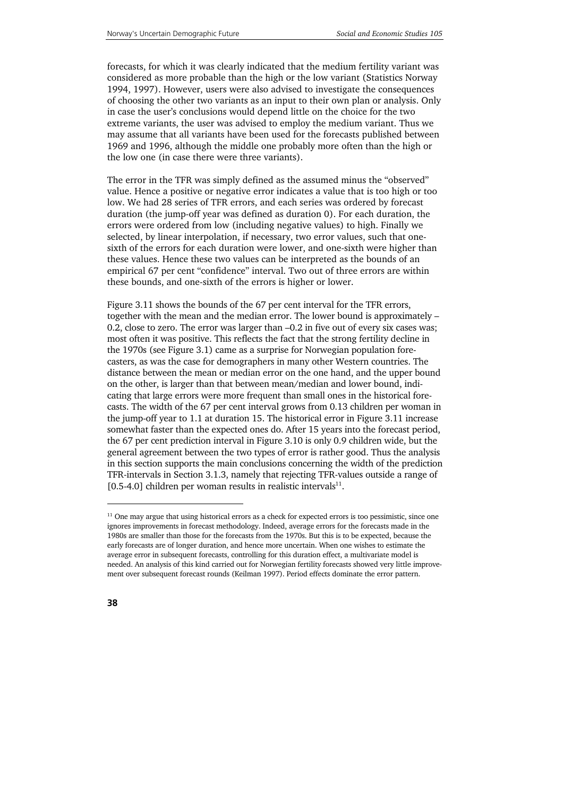forecasts, for which it was clearly indicated that the medium fertility variant was considered as more probable than the high or the low variant (Statistics Norway 1994, 1997). However, users were also advised to investigate the consequences of choosing the other two variants as an input to their own plan or analysis. Only in case the user's conclusions would depend little on the choice for the two extreme variants, the user was advised to employ the medium variant. Thus we may assume that all variants have been used for the forecasts published between 1969 and 1996, although the middle one probably more often than the high or the low one (in case there were three variants).

The error in the TFR was simply defined as the assumed minus the "observed" value. Hence a positive or negative error indicates a value that is too high or too low. We had 28 series of TFR errors, and each series was ordered by forecast duration (the jump-off year was defined as duration 0). For each duration, the errors were ordered from low (including negative values) to high. Finally we selected, by linear interpolation, if necessary, two error values, such that onesixth of the errors for each duration were lower, and one-sixth were higher than these values. Hence these two values can be interpreted as the bounds of an empirical 67 per cent "confidence" interval. Two out of three errors are within these bounds, and one-sixth of the errors is higher or lower.

Figure 3.11 shows the bounds of the 67 per cent interval for the TFR errors, together with the mean and the median error. The lower bound is approximately – 0.2, close to zero. The error was larger than –0.2 in five out of every six cases was; most often it was positive. This reflects the fact that the strong fertility decline in the 1970s (see Figure 3.1) came as a surprise for Norwegian population forecasters, as was the case for demographers in many other Western countries. The distance between the mean or median error on the one hand, and the upper bound on the other, is larger than that between mean/median and lower bound, indicating that large errors were more frequent than small ones in the historical forecasts. The width of the 67 per cent interval grows from 0.13 children per woman in the jump-off year to 1.1 at duration 15. The historical error in Figure 3.11 increase somewhat faster than the expected ones do. After 15 years into the forecast period, the 67 per cent prediction interval in Figure 3.10 is only 0.9 children wide, but the general agreement between the two types of error is rather good. Thus the analysis in this section supports the main conclusions concerning the width of the prediction TFR-intervals in Section 3.1.3, namely that rejecting TFR-values outside a range of [0.5-4.0] children per woman results in realistic intervals $^{11}$ .

j

 $11$  One may argue that using historical errors as a check for expected errors is too pessimistic, since one ignores improvements in forecast methodology. Indeed, average errors for the forecasts made in the 1980s are smaller than those for the forecasts from the 1970s. But this is to be expected, because the early forecasts are of longer duration, and hence more uncertain. When one wishes to estimate the average error in subsequent forecasts, controlling for this duration effect, a multivariate model is needed. An analysis of this kind carried out for Norwegian fertility forecasts showed very little improvement over subsequent forecast rounds (Keilman 1997). Period effects dominate the error pattern.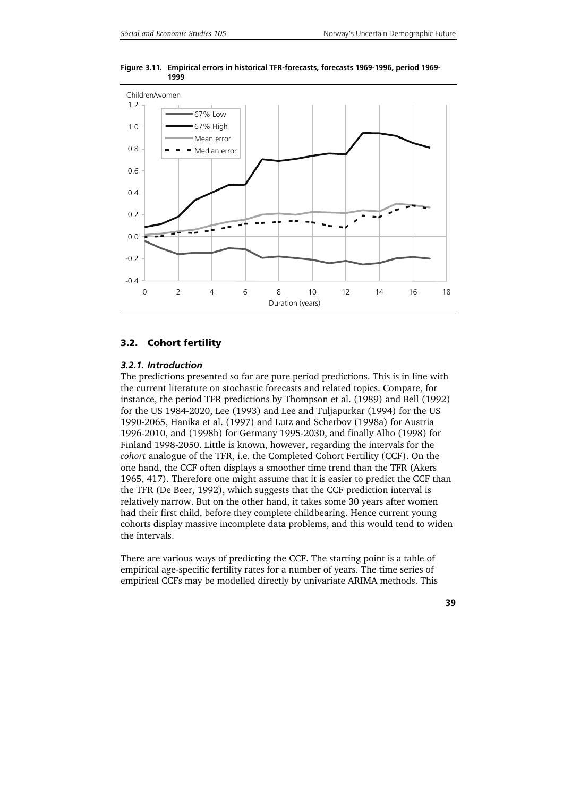



### **3.2. Cohort fertility**

#### *3.2.1. Introduction*

The predictions presented so far are pure period predictions. This is in line with the current literature on stochastic forecasts and related topics. Compare, for instance, the period TFR predictions by Thompson et al. (1989) and Bell (1992) for the US 1984-2020, Lee (1993) and Lee and Tuljapurkar (1994) for the US 1990-2065, Hanika et al. (1997) and Lutz and Scherbov (1998a) for Austria 1996-2010, and (1998b) for Germany 1995-2030, and finally Alho (1998) for Finland 1998-2050. Little is known, however, regarding the intervals for the *cohort* analogue of the TFR, i.e. the Completed Cohort Fertility (CCF). On the one hand, the CCF often displays a smoother time trend than the TFR (Akers 1965, 417). Therefore one might assume that it is easier to predict the CCF than the TFR (De Beer, 1992), which suggests that the CCF prediction interval is relatively narrow. But on the other hand, it takes some 30 years after women had their first child, before they complete childbearing. Hence current young cohorts display massive incomplete data problems, and this would tend to widen the intervals.

There are various ways of predicting the CCF. The starting point is a table of empirical age-specific fertility rates for a number of years. The time series of empirical CCFs may be modelled directly by univariate ARIMA methods. This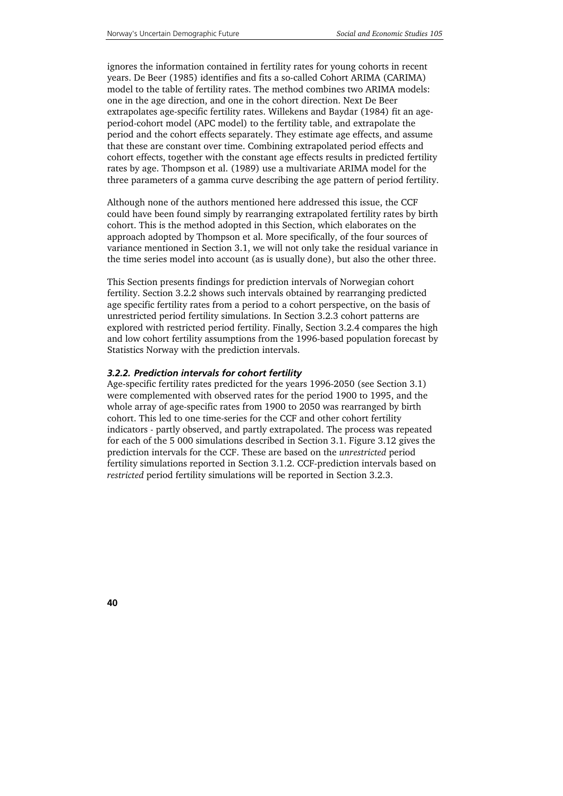ignores the information contained in fertility rates for young cohorts in recent years. De Beer (1985) identifies and fits a so-called Cohort ARIMA (CARIMA) model to the table of fertility rates. The method combines two ARIMA models: one in the age direction, and one in the cohort direction. Next De Beer extrapolates age-specific fertility rates. Willekens and Baydar (1984) fit an ageperiod-cohort model (APC model) to the fertility table, and extrapolate the period and the cohort effects separately. They estimate age effects, and assume that these are constant over time. Combining extrapolated period effects and cohort effects, together with the constant age effects results in predicted fertility rates by age. Thompson et al. (1989) use a multivariate ARIMA model for the three parameters of a gamma curve describing the age pattern of period fertility.

Although none of the authors mentioned here addressed this issue, the CCF could have been found simply by rearranging extrapolated fertility rates by birth cohort. This is the method adopted in this Section, which elaborates on the approach adopted by Thompson et al. More specifically, of the four sources of variance mentioned in Section 3.1, we will not only take the residual variance in the time series model into account (as is usually done), but also the other three.

This Section presents findings for prediction intervals of Norwegian cohort fertility. Section 3.2.2 shows such intervals obtained by rearranging predicted age specific fertility rates from a period to a cohort perspective, on the basis of unrestricted period fertility simulations. In Section 3.2.3 cohort patterns are explored with restricted period fertility. Finally, Section 3.2.4 compares the high and low cohort fertility assumptions from the 1996-based population forecast by Statistics Norway with the prediction intervals.

### *3.2.2. Prediction intervals for cohort fertility*

Age-specific fertility rates predicted for the years 1996-2050 (see Section 3.1) were complemented with observed rates for the period 1900 to 1995, and the whole array of age-specific rates from 1900 to 2050 was rearranged by birth cohort. This led to one time-series for the CCF and other cohort fertility indicators - partly observed, and partly extrapolated. The process was repeated for each of the 5 000 simulations described in Section 3.1. Figure 3.12 gives the prediction intervals for the CCF. These are based on the *unrestricted* period fertility simulations reported in Section 3.1.2. CCF-prediction intervals based on *restricted* period fertility simulations will be reported in Section 3.2.3.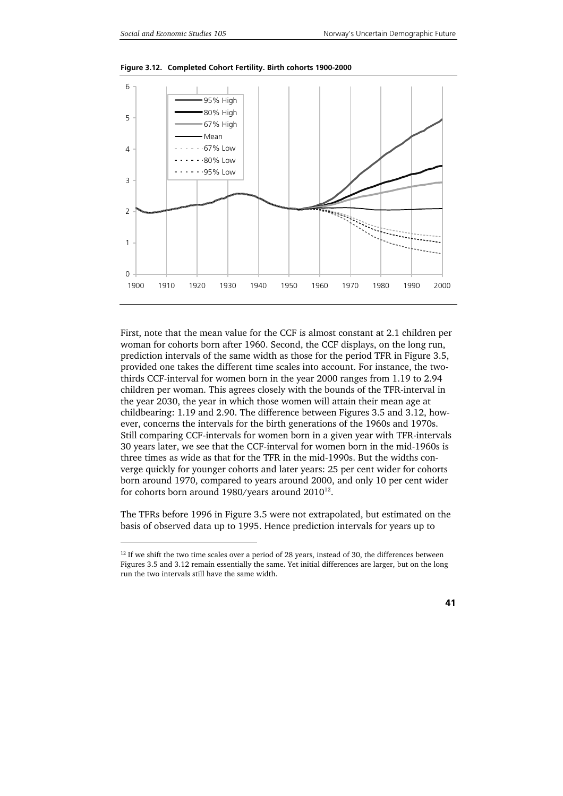1



**Figure 3.12. Completed Cohort Fertility. Birth cohorts 1900-2000** 

First, note that the mean value for the CCF is almost constant at 2.1 children per woman for cohorts born after 1960. Second, the CCF displays, on the long run, prediction intervals of the same width as those for the period TFR in Figure 3.5, provided one takes the different time scales into account. For instance, the twothirds CCF-interval for women born in the year 2000 ranges from 1.19 to 2.94 children per woman. This agrees closely with the bounds of the TFR-interval in the year 2030, the year in which those women will attain their mean age at childbearing: 1.19 and 2.90. The difference between Figures 3.5 and 3.12, however, concerns the intervals for the birth generations of the 1960s and 1970s. Still comparing CCF-intervals for women born in a given year with TFR-intervals 30 years later, we see that the CCF-interval for women born in the mid-1960s is three times as wide as that for the TFR in the mid-1990s. But the widths converge quickly for younger cohorts and later years: 25 per cent wider for cohorts born around 1970, compared to years around 2000, and only 10 per cent wider for cohorts born around 1980/years around  $2010^{12}$ .

The TFRs before 1996 in Figure 3.5 were not extrapolated, but estimated on the basis of observed data up to 1995. Hence prediction intervals for years up to

 $12$  If we shift the two time scales over a period of 28 years, instead of 30, the differences between Figures 3.5 and 3.12 remain essentially the same. Yet initial differences are larger, but on the long run the two intervals still have the same width.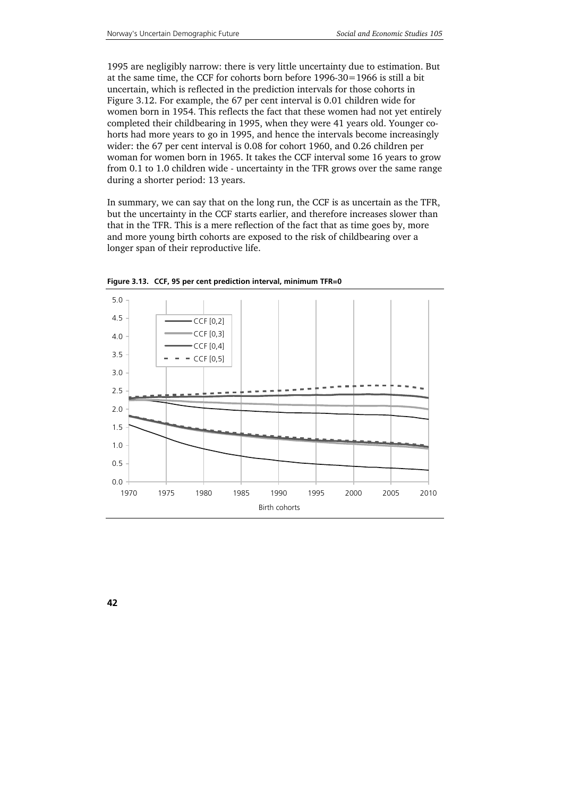1995 are negligibly narrow: there is very little uncertainty due to estimation. But at the same time, the CCF for cohorts born before 1996-30=1966 is still a bit uncertain, which is reflected in the prediction intervals for those cohorts in Figure 3.12. For example, the 67 per cent interval is 0.01 children wide for women born in 1954. This reflects the fact that these women had not yet entirely completed their childbearing in 1995, when they were 41 years old. Younger cohorts had more years to go in 1995, and hence the intervals become increasingly wider: the 67 per cent interval is 0.08 for cohort 1960, and 0.26 children per woman for women born in 1965. It takes the CCF interval some 16 years to grow from 0.1 to 1.0 children wide - uncertainty in the TFR grows over the same range during a shorter period: 13 years.

In summary, we can say that on the long run, the CCF is as uncertain as the TFR, but the uncertainty in the CCF starts earlier, and therefore increases slower than that in the TFR. This is a mere reflection of the fact that as time goes by, more and more young birth cohorts are exposed to the risk of childbearing over a longer span of their reproductive life.



**Figure 3.13. CCF, 95 per cent prediction interval, minimum TFR=0**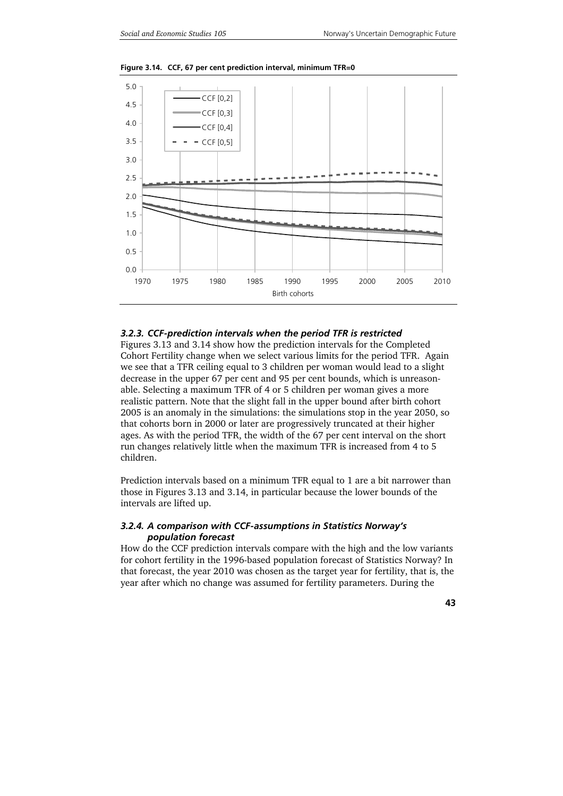

**Figure 3.14. CCF, 67 per cent prediction interval, minimum TFR=0** 

### *3.2.3. CCF-prediction intervals when the period TFR is restricted*

Figures 3.13 and 3.14 show how the prediction intervals for the Completed Cohort Fertility change when we select various limits for the period TFR. Again we see that a TFR ceiling equal to 3 children per woman would lead to a slight decrease in the upper 67 per cent and 95 per cent bounds, which is unreasonable. Selecting a maximum TFR of 4 or 5 children per woman gives a more realistic pattern. Note that the slight fall in the upper bound after birth cohort 2005 is an anomaly in the simulations: the simulations stop in the year 2050, so that cohorts born in 2000 or later are progressively truncated at their higher ages. As with the period TFR, the width of the 67 per cent interval on the short run changes relatively little when the maximum TFR is increased from 4 to 5 children.

Prediction intervals based on a minimum TFR equal to 1 are a bit narrower than those in Figures 3.13 and 3.14, in particular because the lower bounds of the intervals are lifted up.

### *3.2.4. A comparison with CCF-assumptions in Statistics Norway's population forecast*

How do the CCF prediction intervals compare with the high and the low variants for cohort fertility in the 1996-based population forecast of Statistics Norway? In that forecast, the year 2010 was chosen as the target year for fertility, that is, the year after which no change was assumed for fertility parameters. During the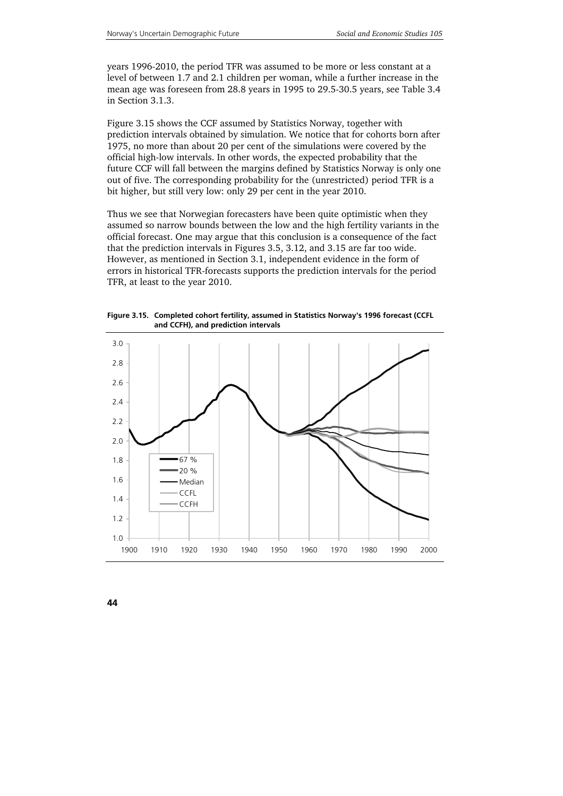years 1996-2010, the period TFR was assumed to be more or less constant at a level of between 1.7 and 2.1 children per woman, while a further increase in the mean age was foreseen from 28.8 years in 1995 to 29.5-30.5 years, see Table 3.4 in Section 3.1.3.

Figure 3.15 shows the CCF assumed by Statistics Norway, together with prediction intervals obtained by simulation. We notice that for cohorts born after 1975, no more than about 20 per cent of the simulations were covered by the official high-low intervals. In other words, the expected probability that the future CCF will fall between the margins defined by Statistics Norway is only one out of five. The corresponding probability for the (unrestricted) period TFR is a bit higher, but still very low: only 29 per cent in the year 2010.

Thus we see that Norwegian forecasters have been quite optimistic when they assumed so narrow bounds between the low and the high fertility variants in the official forecast. One may argue that this conclusion is a consequence of the fact that the prediction intervals in Figures 3.5, 3.12, and 3.15 are far too wide. However, as mentioned in Section 3.1, independent evidence in the form of errors in historical TFR-forecasts supports the prediction intervals for the period TFR, at least to the year 2010.



**Figure 3.15. Completed cohort fertility, assumed in Statistics Norway's 1996 forecast (CCFL and CCFH), and prediction intervals**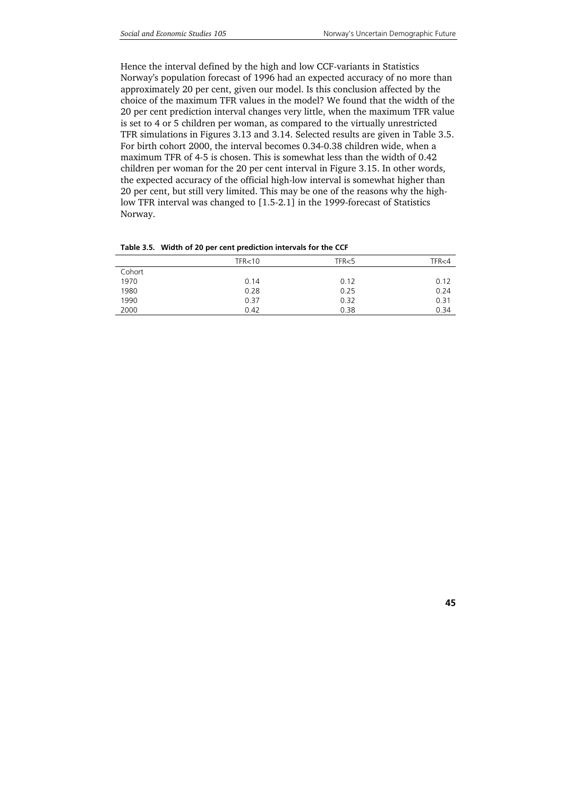Hence the interval defined by the high and low CCF-variants in Statistics Norway's population forecast of 1996 had an expected accuracy of no more than approximately 20 per cent, given our model. Is this conclusion affected by the choice of the maximum TFR values in the model? We found that the width of the 20 per cent prediction interval changes very little, when the maximum TFR value is set to 4 or 5 children per woman, as compared to the virtually unrestricted TFR simulations in Figures 3.13 and 3.14. Selected results are given in Table 3.5. For birth cohort 2000, the interval becomes 0.34-0.38 children wide, when a maximum TFR of 4-5 is chosen. This is somewhat less than the width of 0.42 children per woman for the 20 per cent interval in Figure 3.15. In other words, the expected accuracy of the official high-low interval is somewhat higher than 20 per cent, but still very limited. This may be one of the reasons why the highlow TFR interval was changed to [1.5-2.1] in the 1999-forecast of Statistics Norway.

|        | TFR <sub>10</sub> | TFR<5 | TFR<4 |
|--------|-------------------|-------|-------|
| Cohort |                   |       |       |
| 1970   | 0.14              | 0.12  | 0.12  |
| 1980   | 0.28              | 0.25  | 0.24  |
| 1990   | 0.37              | 0.32  | 0.31  |
| 2000   | 0.42              | 0.38  | 0.34  |
|        |                   |       |       |

**Table 3.5. Width of 20 per cent prediction intervals for the CCF**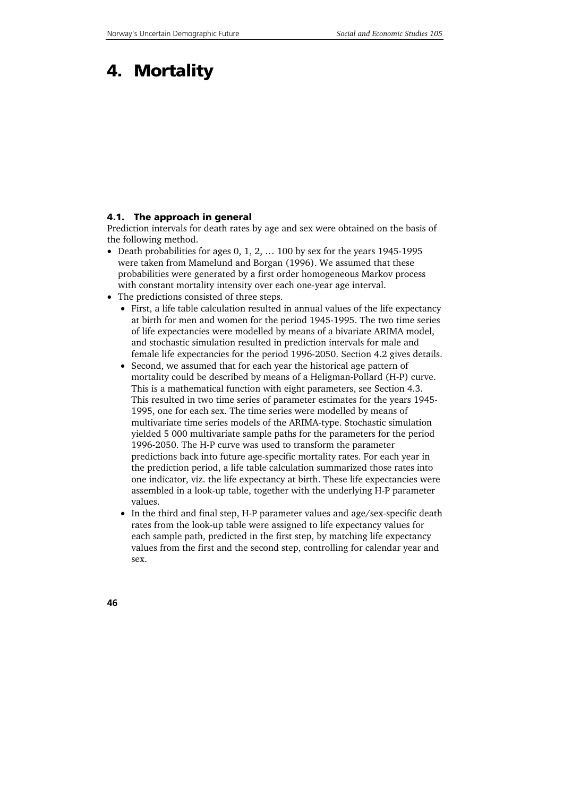# **4. Mortality**

#### **4.1. The approach in general**

Prediction intervals for death rates by age and sex were obtained on the basis of the following method.

- Death probabilities for ages 0, 1, 2, … 100 by sex for the years 1945-1995 were taken from Mamelund and Borgan (1996). We assumed that these probabilities were generated by a first order homogeneous Markov process with constant mortality intensity over each one-year age interval.
- The predictions consisted of three steps.
	- First, a life table calculation resulted in annual values of the life expectancy at birth for men and women for the period 1945-1995. The two time series of life expectancies were modelled by means of a bivariate ARIMA model, and stochastic simulation resulted in prediction intervals for male and female life expectancies for the period 1996-2050. Section 4.2 gives details.
	- Second, we assumed that for each year the historical age pattern of mortality could be described by means of a Heligman-Pollard (H-P) curve. This is a mathematical function with eight parameters, see Section 4.3. This resulted in two time series of parameter estimates for the years 1945- 1995, one for each sex. The time series were modelled by means of multivariate time series models of the ARIMA-type. Stochastic simulation yielded 5 000 multivariate sample paths for the parameters for the period 1996-2050. The H-P curve was used to transform the parameter predictions back into future age-specific mortality rates. For each year in the prediction period, a life table calculation summarized those rates into one indicator, viz. the life expectancy at birth. These life expectancies were assembled in a look-up table, together with the underlying H-P parameter values.
	- In the third and final step, H-P parameter values and age/sex-specific death rates from the look-up table were assigned to life expectancy values for each sample path, predicted in the first step, by matching life expectancy values from the first and the second step, controlling for calendar year and sex.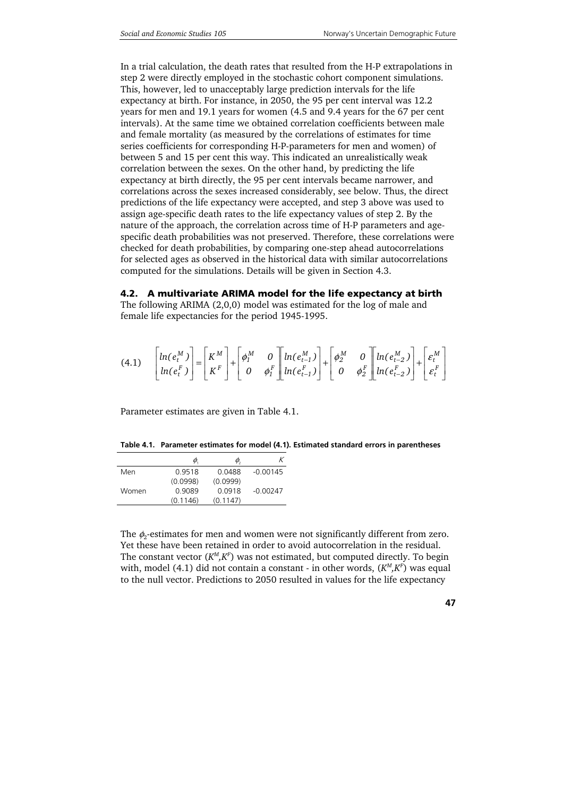In a trial calculation, the death rates that resulted from the H-P extrapolations in step 2 were directly employed in the stochastic cohort component simulations. This, however, led to unacceptably large prediction intervals for the life expectancy at birth. For instance, in 2050, the 95 per cent interval was 12.2 years for men and 19.1 years for women (4.5 and 9.4 years for the 67 per cent intervals). At the same time we obtained correlation coefficients between male and female mortality (as measured by the correlations of estimates for time series coefficients for corresponding H-P-parameters for men and women) of between 5 and 15 per cent this way. This indicated an unrealistically weak correlation between the sexes. On the other hand, by predicting the life expectancy at birth directly, the 95 per cent intervals became narrower, and correlations across the sexes increased considerably, see below. Thus, the direct predictions of the life expectancy were accepted, and step 3 above was used to assign age-specific death rates to the life expectancy values of step 2. By the nature of the approach, the correlation across time of H-P parameters and agespecific death probabilities was not preserved. Therefore, these correlations were checked for death probabilities, by comparing one-step ahead autocorrelations for selected ages as observed in the historical data with similar autocorrelations computed for the simulations. Details will be given in Section 4.3.

**4.2. A multivariate ARIMA model for the life expectancy at birth** 

The following ARIMA (2,0,0) model was estimated for the log of male and female life expectancies for the period 1945-1995.

$$
(4.1) \qquad \begin{bmatrix} ln(e_t^M) \\ ln(e_t^F) \end{bmatrix} = \begin{bmatrix} K^M \\ K^F \end{bmatrix} + \begin{bmatrix} \phi_1^M & 0 \\ 0 & \phi_1^F \end{bmatrix} \begin{bmatrix} ln(e_{t-1}^M) \\ ln(e_{t-1}^F) \end{bmatrix} + \begin{bmatrix} \phi_2^M & 0 \\ 0 & \phi_2^F \end{bmatrix} \begin{bmatrix} ln(e_{t-2}^M) \\ ln(e_{t-2}^F) \end{bmatrix} + \begin{bmatrix} \varepsilon_t^M \\ \varepsilon_t^F \end{bmatrix}
$$

Parameter estimates are given in Table 4.1.

**Table 4.1. Parameter estimates for model (4.1). Estimated standard errors in parentheses** 

|       | $\varphi$ | $\varphi$ |            |
|-------|-----------|-----------|------------|
| Men   | 09518     | 0.0488    | $-0.00145$ |
|       | (0.0998)  | (0.0999)  |            |
| Women | 0.9089    | 0.0918    | $-0.00247$ |
|       | (0.1146)  | (0.1147)  |            |

The  $\phi_2$ -estimates for men and women were not significantly different from zero. Yet these have been retained in order to avoid autocorrelation in the residual. The constant vector  $(K^M, K^F)$  was not estimated, but computed directly. To begin with, model (4.1) did not contain a constant - in other words, ( $K^M, K^F$ ) was equal to the null vector. Predictions to 2050 resulted in values for the life expectancy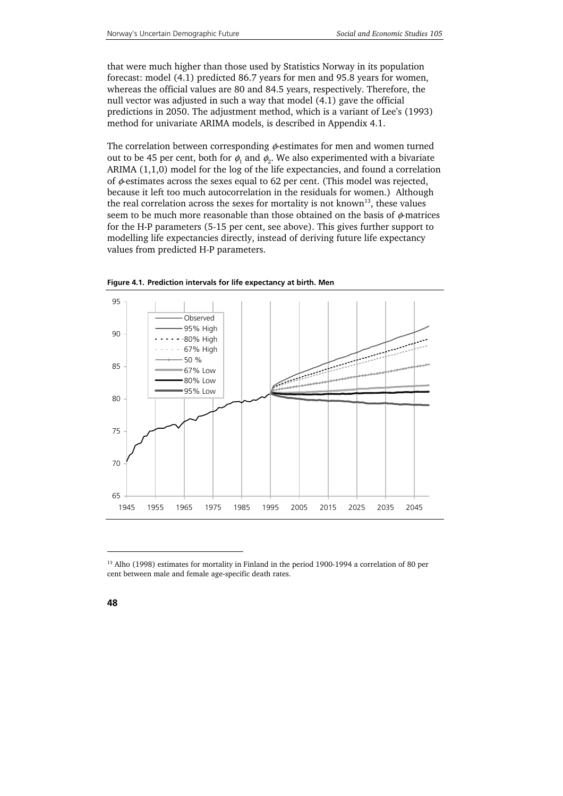that were much higher than those used by Statistics Norway in its population forecast: model (4.1) predicted 86.7 years for men and 95.8 years for women, whereas the official values are 80 and 84.5 years, respectively. Therefore, the null vector was adjusted in such a way that model (4.1) gave the official predictions in 2050. The adjustment method, which is a variant of Lee's (1993) method for univariate ARIMA models, is described in Appendix 4.1.

The correlation between corresponding  $\phi$ -estimates for men and women turned out to be 45 per cent, both for  $\phi_1$  and  $\phi_2$ . We also experimented with a bivariate ARIMA (1,1,0) model for the log of the life expectancies, and found a correlation of  $\phi$ -estimates across the sexes equal to 62 per cent. (This model was rejected, because it left too much autocorrelation in the residuals for women.) Although the real correlation across the sexes for mortality is not known<sup>13</sup>, these values seem to be much more reasonable than those obtained on the basis of  $\phi$ -matrices for the H-P parameters (5-15 per cent, see above). This gives further support to modelling life expectancies directly, instead of deriving future life expectancy values from predicted H-P parameters.





1

<sup>&</sup>lt;sup>13</sup> Alho (1998) estimates for mortality in Finland in the period 1900-1994 a correlation of 80 per cent between male and female age-specific death rates.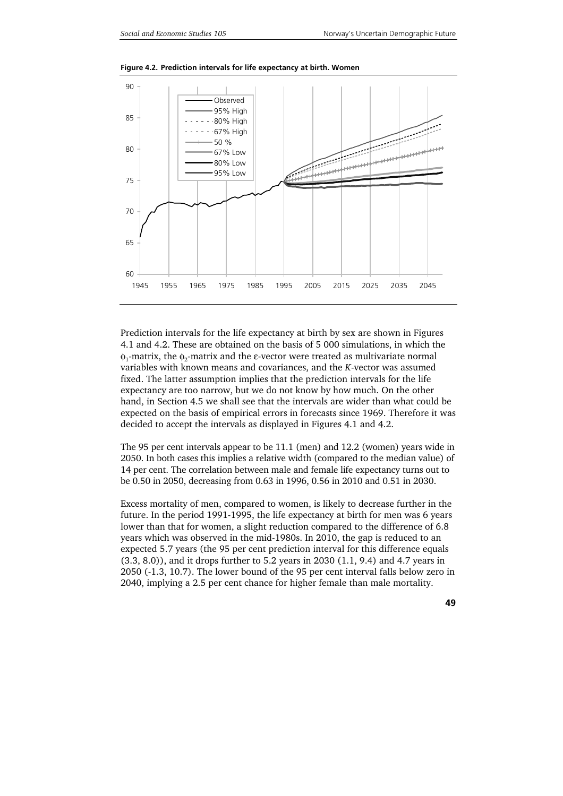

**Figure 4.2. Prediction intervals for life expectancy at birth. Women** 

Prediction intervals for the life expectancy at birth by sex are shown in Figures 4.1 and 4.2. These are obtained on the basis of 5 000 simulations, in which the  $\phi_1$ -matrix, the  $\phi_2$ -matrix and the ε-vector were treated as multivariate normal variables with known means and covariances, and the *K*-vector was assumed fixed. The latter assumption implies that the prediction intervals for the life expectancy are too narrow, but we do not know by how much. On the other hand, in Section 4.5 we shall see that the intervals are wider than what could be expected on the basis of empirical errors in forecasts since 1969. Therefore it was decided to accept the intervals as displayed in Figures 4.1 and 4.2.

The 95 per cent intervals appear to be 11.1 (men) and 12.2 (women) years wide in 2050. In both cases this implies a relative width (compared to the median value) of 14 per cent. The correlation between male and female life expectancy turns out to be 0.50 in 2050, decreasing from 0.63 in 1996, 0.56 in 2010 and 0.51 in 2030.

Excess mortality of men, compared to women, is likely to decrease further in the future. In the period 1991-1995, the life expectancy at birth for men was 6 years lower than that for women, a slight reduction compared to the difference of 6.8 years which was observed in the mid-1980s. In 2010, the gap is reduced to an expected 5.7 years (the 95 per cent prediction interval for this difference equals (3.3, 8.0)), and it drops further to 5.2 years in 2030 (1.1, 9.4) and 4.7 years in 2050 (-1.3, 10.7). The lower bound of the 95 per cent interval falls below zero in 2040, implying a 2.5 per cent chance for higher female than male mortality.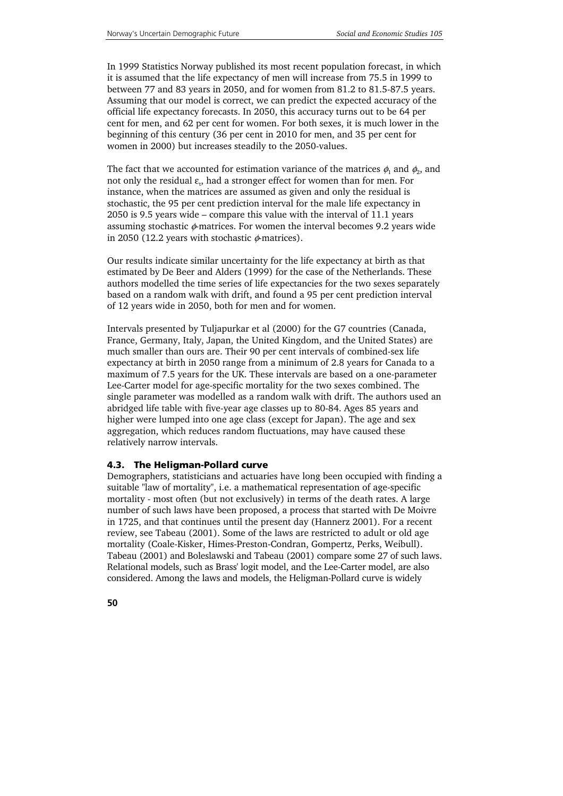In 1999 Statistics Norway published its most recent population forecast, in which it is assumed that the life expectancy of men will increase from 75.5 in 1999 to between 77 and 83 years in 2050, and for women from 81.2 to 81.5-87.5 years. Assuming that our model is correct, we can predict the expected accuracy of the official life expectancy forecasts. In 2050, this accuracy turns out to be 64 per cent for men, and 62 per cent for women. For both sexes, it is much lower in the beginning of this century (36 per cent in 2010 for men, and 35 per cent for women in 2000) but increases steadily to the 2050-values.

The fact that we accounted for estimation variance of the matrices  $\phi_1$  and  $\phi_2$ , and not only the residual  $\varepsilon_{t}$ , had a stronger effect for women than for men. For instance, when the matrices are assumed as given and only the residual is stochastic, the 95 per cent prediction interval for the male life expectancy in 2050 is 9.5 years wide – compare this value with the interval of 11.1 years assuming stochastic  $\phi$ -matrices. For women the interval becomes 9.2 years wide in 2050 (12.2 years with stochastic  $\phi$ -matrices).

Our results indicate similar uncertainty for the life expectancy at birth as that estimated by De Beer and Alders (1999) for the case of the Netherlands. These authors modelled the time series of life expectancies for the two sexes separately based on a random walk with drift, and found a 95 per cent prediction interval of 12 years wide in 2050, both for men and for women.

Intervals presented by Tuljapurkar et al (2000) for the G7 countries (Canada, France, Germany, Italy, Japan, the United Kingdom, and the United States) are much smaller than ours are. Their 90 per cent intervals of combined-sex life expectancy at birth in 2050 range from a minimum of 2.8 years for Canada to a maximum of 7.5 years for the UK. These intervals are based on a one-parameter Lee-Carter model for age-specific mortality for the two sexes combined. The single parameter was modelled as a random walk with drift. The authors used an abridged life table with five-year age classes up to 80-84. Ages 85 years and higher were lumped into one age class (except for Japan). The age and sex aggregation, which reduces random fluctuations, may have caused these relatively narrow intervals.

### **4.3. The Heligman-Pollard curve**

Demographers, statisticians and actuaries have long been occupied with finding a suitable "law of mortality", i.e. a mathematical representation of age-specific mortality - most often (but not exclusively) in terms of the death rates. A large number of such laws have been proposed, a process that started with De Moivre in 1725, and that continues until the present day (Hannerz 2001). For a recent review, see Tabeau (2001). Some of the laws are restricted to adult or old age mortality (Coale-Kisker, Himes-Preston-Condran, Gompertz, Perks, Weibull). Tabeau (2001) and Boleslawski and Tabeau (2001) compare some 27 of such laws. Relational models, such as Brass' logit model, and the Lee-Carter model, are also considered. Among the laws and models, the Heligman-Pollard curve is widely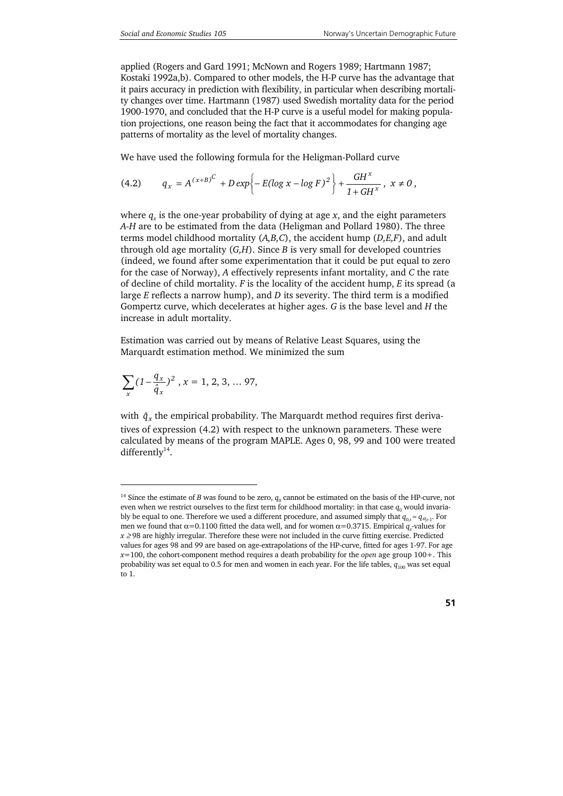applied (Rogers and Gard 1991; McNown and Rogers 1989; Hartmann 1987; Kostaki 1992a,b). Compared to other models, the H-P curve has the advantage that it pairs accuracy in prediction with flexibility, in particular when describing mortality changes over time. Hartmann (1987) used Swedish mortality data for the period 1900-1970, and concluded that the H-P curve is a useful model for making population projections, one reason being the fact that it accommodates for changing age patterns of mortality as the level of mortality changes.

We have used the following formula for the Heligman-Pollard curve

$$
(4.2) \tq_x = A^{(x+B)^C} + D \exp \left\{-E(\log x - \log F)^2\right\} + \frac{GH^x}{1+GH^x}, \; x \neq 0 \,,
$$

where  $q_x$  is the one-year probability of dying at age  $x$ , and the eight parameters *A-H* are to be estimated from the data (Heligman and Pollard 1980). The three terms model childhood mortality (*A,B,C*), the accident hump (*D,E,F*), and adult through old age mortality (*G,H*). Since *B* is very small for developed countries (indeed, we found after some experimentation that it could be put equal to zero for the case of Norway), *A* effectively represents infant mortality, and *C* the rate of decline of child mortality. *F* is the locality of the accident hump, *E* its spread (a large *E* reflects a narrow hump), and *D* its severity. The third term is a modified Gompertz curve, which decelerates at higher ages. *G* is the base level and *H* the increase in adult mortality.

Estimation was carried out by means of Relative Least Squares, using the Marquardt estimation method. We minimized the sum

$$
\sum_x (1-\frac{q_x}{\hat{q}_x})^2 \; , x=1,2,3,\ldots\,97,
$$

1

with  $\,\hat{q}_{_{X}}$  the empirical probability. The Marquardt method requires first derivatives of expression (4.2) with respect to the unknown parameters. These were calculated by means of the program MAPLE. Ages 0, 98, 99 and 100 were treated differently $14$ .

<sup>&</sup>lt;sup>14</sup> Since the estimate of *B* was found to be zero,  $q_0$  cannot be estimated on the basis of the HP-curve, not even when we restrict ourselves to the first term for childhood mortality: in that case  $q_0$  would invariably be equal to one. Therefore we used a different procedure, and assumed simply that  $q_{0,t} \approx q_{\alpha_{t-1}}$ . For men we found that  $\alpha$ =0.1100 fitted the data well, and for women  $\alpha$ =0.3715. Empirical  $q_x$ -values for *x* ≥98 are highly irregular. Therefore these were not included in the curve fitting exercise. Predicted values for ages 98 and 99 are based on age-extrapolations of the HP-curve, fitted for ages 1-97. For age *x*=100, the cohort-component method requires a death probability for the *open* age group 100+. This probability was set equal to 0.5 for men and women in each year. For the life tables,  $q_{100}$  was set equal to 1.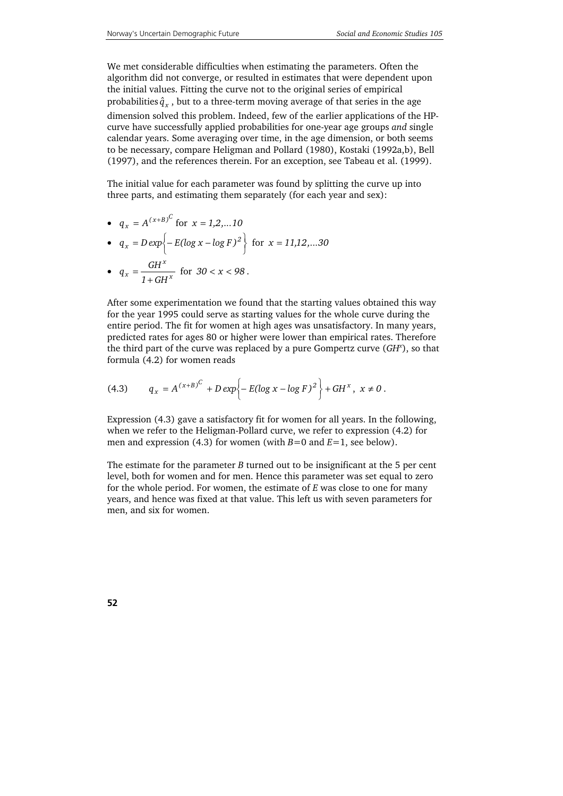We met considerable difficulties when estimating the parameters. Often the algorithm did not converge, or resulted in estimates that were dependent upon the initial values. Fitting the curve not to the original series of empirical probabilities  $\hat{q}_x$ , but to a three-term moving average of that series in the age dimension solved this problem. Indeed, few of the earlier applications of the HPcurve have successfully applied probabilities for one-year age groups *and* single calendar years. Some averaging over time, in the age dimension, or both seems to be necessary, compare Heligman and Pollard (1980), Kostaki (1992a,b), Bell (1997), and the references therein. For an exception, see Tabeau et al. (1999).

The initial value for each parameter was found by splitting the curve up into three parts, and estimating them separately (for each year and sex):

• 
$$
q_x = A^{(x+B)^C}
$$
 for  $x = 1, 2, ... 10$ 

• 
$$
q_x = D \exp \left\{-E(\log x - \log F)^2\right\}
$$
 for  $x = 11, 12, ... 30$ 

• 
$$
q_x = \frac{GH^x}{1+GH^x}
$$
 for  $30 < x < 98$ .

After some experimentation we found that the starting values obtained this way for the year 1995 could serve as starting values for the whole curve during the entire period. The fit for women at high ages was unsatisfactory. In many years, predicted rates for ages 80 or higher were lower than empirical rates. Therefore the third part of the curve was replaced by a pure Gompertz curve (*GHx* ), so that formula (4.2) for women reads

(4.3) 
$$
q_x = A^{(x+B)^C} + D \exp \left\{-E(\log x - \log F)^2\right\} + GH^x, \ x \neq 0.
$$

Expression (4.3) gave a satisfactory fit for women for all years. In the following, when we refer to the Heligman-Pollard curve, we refer to expression (4.2) for men and expression (4.3) for women (with *B*=0 and *E*=1, see below).

The estimate for the parameter *B* turned out to be insignificant at the 5 per cent level, both for women and for men. Hence this parameter was set equal to zero for the whole period. For women, the estimate of *E* was close to one for many years, and hence was fixed at that value. This left us with seven parameters for men, and six for women.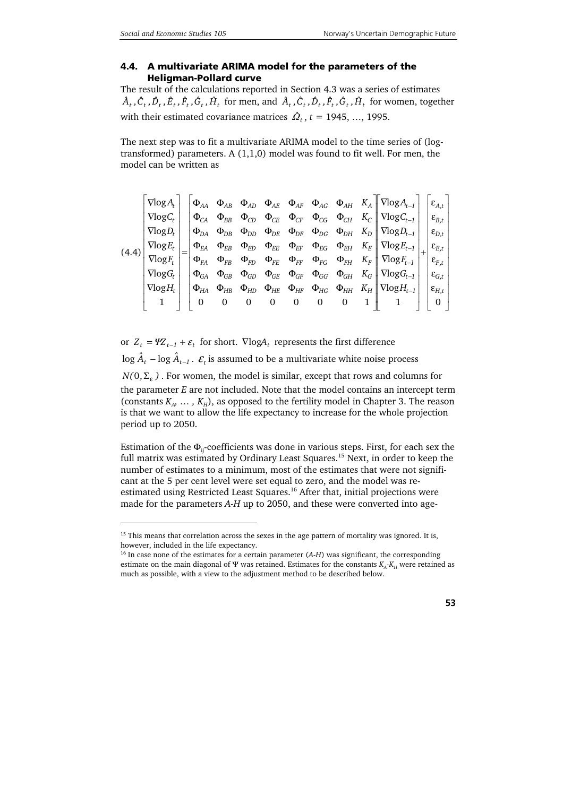1

#### **4.4. A multivariate ARIMA model for the parameters of the Heligman-Pollard curve**

The result of the calculations reported in Section 4.3 was a series of estimates  $A_t$ ,  $C_t$ ,  $D_t$ ,  $\dot{E}_t$ ,  $\dot{F}_t$ ,  $\dot{G}_t$ ,  $\dot{H}_t$  for men, and  $A_t$ ,  $\dot{C}_t$ ,  $\dot{D}_t$ ,  $\dot{F}_t$ ,  $\dot{G}_t$ ,  $\dot{H}_t$  for women, together with their estimated covariance matrices  $\hat{\mathcal{Q}}_t$ ,  $t = 1945, ..., 1995$ .

The next step was to fit a multivariate ARIMA model to the time series of (logtransformed) parameters. A  $(1,1,0)$  model was found to fit well. For men, the model can be written as

$$
(4.4) \begin{bmatrix} \nabla \log A_t \\ \nabla \log C_t \\ \nabla \log P_t \\ \nabla \log E_t \\ \nabla \log C_t \\ \nabla \log C_t \\ \nabla \log C_t \\ \nabla \log C_t \\ \nabla \log C_t \\ \nabla \log C_t \\ \nabla \log C_t \\ \nabla \log C_t \\ \nabla \log C_t \\ \nabla \log C_t \\ \nabla \log C_t \\ \nabla \log C_t \\ \nabla \log C_t \\ \nabla \log C_t \\ \nabla \log C_t \\ \nabla \log C_t \\ \nabla \log C_t \\ \nabla \log C_t \\ \nabla \log C_t \\ \nabla \log C_t \\ \nabla \log C_t \\ \nabla \log C_t \\ \nabla \log C_t \\ \nabla \log C_t \\ \nabla \log C_t \\ \nabla \log C_t \\ \nabla \log C_t \\ \nabla \log C_t \\ \nabla \log C_t \\ \nabla \log C_t \\ \nabla \log C_t \\ \nabla \log C_t \\ \nabla \log C_t \\ \nabla \log C_t \\ \nabla \log C_t \\ \nabla \log C_t \\ \nabla \log C_t \\ \nabla \log C_t \\ \nabla \log C_t \\ \nabla \log C_t \\ \nabla \log C_t \\ \nabla \log C_t \\ \nabla \log C_t \\ \nabla \log C_t \\ \nabla \log C_t \\ \nabla \log C_t \\ \nabla \log C_t \\ \nabla \log C_t \\ \nabla \log C_t \\ \nabla \log C_t \\ \nabla \log C_t \\ \nabla \log C_t \\ \nabla \log C_t \\ \nabla \log C_t \\ \nabla \log C_t \\ \nabla \log C_t \\ \nabla \log C_t \\ \nabla \log C_t \\ \nabla \log C_t \\ \nabla \log C_t \\ \nabla \log C_t \\ \nabla \log C_t \\ \nabla \log C_t \\ \nabla \log C_t \\ \nabla \log C_t \\ \nabla \log C_t \\ \nabla \log C_t \\ \nabla \log C_t \\ \nabla \log C_t \\ \nabla \log C_t \\ \nabla \log C_t \\ \nabla \log C_t \\ \nabla \log C_t \\ \nabla \log C_t \\ \nabla \log C_t \\ \nabla \log C_t \\ \nabla \log C_t \\ \nabla \log C_t \\ \nabla \log C_t \\
$$

or  $Z_t = \Psi Z_{t-1} + \varepsilon_t$  for short.  $\nabla \log A_t$  represents the first difference  $\log \hat{A}_t$  –  $\log \hat{A}_{t-1}$ .  $\varepsilon$ , is assumed to be a multivariate white noise process  $N(0, \Sigma_c)$ . For women, the model is similar, except that rows and columns for the parameter *E* are not included. Note that the model contains an intercept term (constants  $K_A$ , ...,  $K_H$ ), as opposed to the fertility model in Chapter 3. The reason is that we want to allow the life expectancy to increase for the whole projection period up to 2050.

Estimation of the  $\Phi_{ii}$ -coefficients was done in various steps. First, for each sex the full matrix was estimated by Ordinary Least Squares.<sup>15</sup> Next, in order to keep the number of estimates to a minimum, most of the estimates that were not significant at the 5 per cent level were set equal to zero, and the model was reestimated using Restricted Least Squares.<sup>16</sup> After that, initial projections were made for the parameters *A*-*H* up to 2050, and these were converted into age-

<sup>&</sup>lt;sup>15</sup> This means that correlation across the sexes in the age pattern of mortality was ignored. It is, however, included in the life expectancy.

<sup>&</sup>lt;sup>16</sup> In case none of the estimates for a certain parameter (A-H) was significant, the corresponding estimate on the main diagonal of  $\Psi$  was retained. Estimates for the constants  $K_A-K_H$  were retained as much as possible, with a view to the adjustment method to be described below.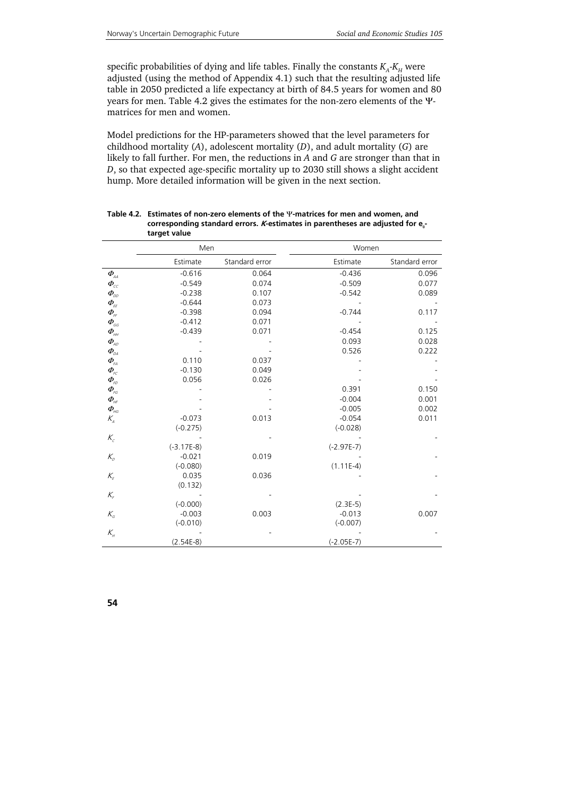specific probabilities of dying and life tables. Finally the constants  $K_A - K_H$  were adjusted (using the method of Appendix 4.1) such that the resulting adjusted life table in 2050 predicted a life expectancy at birth of 84.5 years for women and 80 years for men. Table 4.2 gives the estimates for the non-zero elements of the Ψmatrices for men and women.

Model predictions for the HP-parameters showed that the level parameters for childhood mortality (*A*), adolescent mortality (*D*), and adult mortality (*G*) are likely to fall further. For men, the reductions in *A* and *G* are stronger than that in *D*, so that expected age-specific mortality up to 2030 still shows a slight accident hump. More detailed information will be given in the next section.

|                                                                                 | Men          |                | Women        |                |
|---------------------------------------------------------------------------------|--------------|----------------|--------------|----------------|
|                                                                                 | Estimate     | Standard error | Estimate     | Standard error |
| $\boldsymbol{\varPhi}_{\!\scriptscriptstyle\mathcal{A}\!\!\!\!\!\!\mathcal{A}}$ | $-0.616$     | 0.064          | $-0.436$     | 0.096          |
| $\varPhi_{\rm cc}$                                                              | $-0.549$     | 0.074          | $-0.509$     | 0.077          |
| $\boldsymbol{\varPhi}_{\!\scriptscriptstyle\mathsf{DD}}$                        | $-0.238$     | 0.107          | $-0.542$     | 0.089          |
| $\boldsymbol{\varPhi}_{\!\scriptscriptstyle{E\!E}}$                             | $-0.644$     | 0.073          |              |                |
| $\boldsymbol{\varPhi}_{\!\scriptscriptstyle f\!f}$                              | $-0.398$     | 0.094          | $-0.744$     | 0.117          |
| $\boldsymbol{\varPhi}_{_{GG}}$                                                  | $-0.412$     | 0.071          |              |                |
| $\varPhi_{\!\scriptscriptstyle\mathit{HH}}$                                     | $-0.439$     | 0.071          | $-0.454$     | 0.125          |
| $\varPhi_{\!\scriptscriptstyle\mathcal{A}\mathcal{D}}$                          |              |                | 0.093        | 0.028          |
| $\boldsymbol{\varPhi}_{\scriptscriptstyle\!\mathit{DA}}$                        |              |                | 0.526        | 0.222          |
| $\boldsymbol{\varPhi}_{\!\scriptscriptstyle\mathit{FA}}$                        | 0.110        | 0.037          |              |                |
|                                                                                 | $-0.130$     | 0.049          |              |                |
|                                                                                 | 0.056        | 0.026          |              |                |
| $\boldsymbol{\varPhi}_{\!\scriptscriptstyle\mathit{FG}}$                        |              |                | 0.391        | 0.150          |
| $\boldsymbol{\varPhi}_{\scriptscriptstyle\mathit{HF}}$                          |              |                | $-0.004$     | 0.001          |
| $\varPhi_{_{\!\mathit{H} G}}$                                                   |              |                | $-0.005$     | 0.002          |
| $\mathcal{K}_{\scriptscriptstyle{A}}$                                           | $-0.073$     | 0.013          | $-0.054$     | 0.011          |
|                                                                                 | $(-0.275)$   |                | $(-0.028)$   |                |
| $K_c$                                                                           |              |                |              |                |
|                                                                                 | $(-3.17E-8)$ |                | $(-2.97E-7)$ |                |
| $K_{\scriptscriptstyle D}$                                                      | $-0.021$     | 0.019          |              |                |
|                                                                                 | $(-0.080)$   |                | $(1.11E-4)$  |                |
| $K_{\!\scriptscriptstyle E}$                                                    | 0.035        | 0.036          |              |                |
|                                                                                 | (0.132)      |                |              |                |
| $K_{\!\scriptscriptstyle F}$                                                    |              |                |              |                |
|                                                                                 | $(-0.000)$   |                | $(2.3E-5)$   |                |
| $K_{\!{}_G}$                                                                    | $-0.003$     | 0.003          | $-0.013$     | 0.007          |
|                                                                                 | $(-0.010)$   |                | $(-0.007)$   |                |
| $K_{\!\scriptscriptstyle H}$                                                    |              |                |              |                |
|                                                                                 | $(2.54E-8)$  |                | $(-2.05E-7)$ |                |

**Table 4.2. Estimates of non-zero elements of the** Ψ**-matrices for men and women, and corresponding standard errors.** *K***-estimates in parentheses are adjusted for e<sub>n</sub>target value**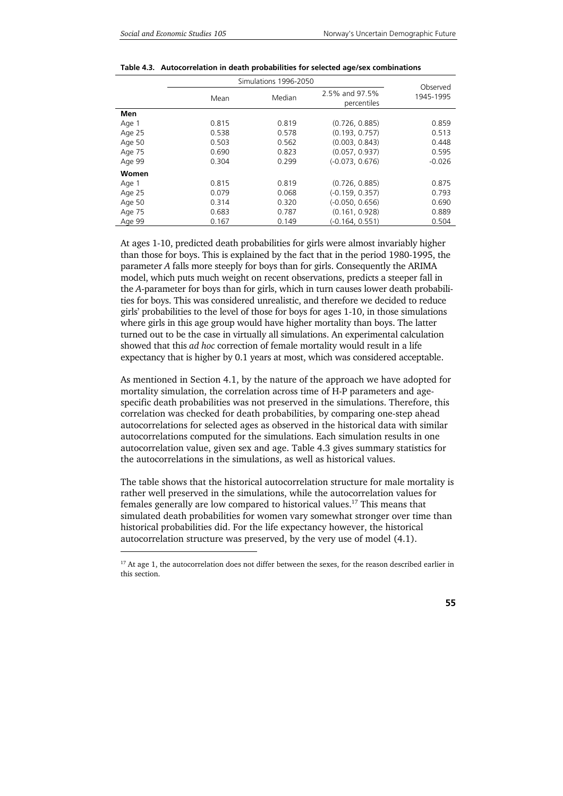1

|        |       | Simulations 1996-2050 |                               | Observed  |
|--------|-------|-----------------------|-------------------------------|-----------|
|        | Mean  | Median                | 2.5% and 97.5%<br>percentiles | 1945-1995 |
| Men    |       |                       |                               |           |
| Age 1  | 0.815 | 0.819                 | (0.726, 0.885)                | 0.859     |
| Age 25 | 0.538 | 0.578                 | (0.193, 0.757)                | 0.513     |
| Age 50 | 0.503 | 0.562                 | (0.003, 0.843)                | 0.448     |
| Age 75 | 0.690 | 0.823                 | (0.057, 0.937)                | 0.595     |
| Age 99 | 0.304 | 0.299                 | $(-0.073, 0.676)$             | $-0.026$  |
| Women  |       |                       |                               |           |
| Age 1  | 0.815 | 0.819                 | (0.726, 0.885)                | 0.875     |
| Age 25 | 0.079 | 0.068                 | $(-0.159, 0.357)$             | 0.793     |
| Age 50 | 0.314 | 0.320                 | $(-0.050, 0.656)$             | 0.690     |
| Age 75 | 0.683 | 0.787                 | (0.161, 0.928)                | 0.889     |
| Age 99 | 0.167 | 0.149                 | (-0.164, 0.551)               | 0.504     |

**Table 4.3. Autocorrelation in death probabilities for selected age/sex combinations** 

At ages 1-10, predicted death probabilities for girls were almost invariably higher than those for boys. This is explained by the fact that in the period 1980-1995, the parameter *A* falls more steeply for boys than for girls. Consequently the ARIMA model, which puts much weight on recent observations, predicts a steeper fall in the *A*-parameter for boys than for girls, which in turn causes lower death probabilities for boys. This was considered unrealistic, and therefore we decided to reduce girls' probabilities to the level of those for boys for ages 1-10, in those simulations where girls in this age group would have higher mortality than boys. The latter turned out to be the case in virtually all simulations. An experimental calculation showed that this *ad hoc* correction of female mortality would result in a life expectancy that is higher by 0.1 years at most, which was considered acceptable.

As mentioned in Section 4.1, by the nature of the approach we have adopted for mortality simulation, the correlation across time of H-P parameters and agespecific death probabilities was not preserved in the simulations. Therefore, this correlation was checked for death probabilities, by comparing one-step ahead autocorrelations for selected ages as observed in the historical data with similar autocorrelations computed for the simulations. Each simulation results in one autocorrelation value, given sex and age. Table 4.3 gives summary statistics for the autocorrelations in the simulations, as well as historical values.

The table shows that the historical autocorrelation structure for male mortality is rather well preserved in the simulations, while the autocorrelation values for females generally are low compared to historical values.17 This means that simulated death probabilities for women vary somewhat stronger over time than historical probabilities did. For the life expectancy however, the historical autocorrelation structure was preserved, by the very use of model (4.1).

<sup>&</sup>lt;sup>17</sup> At age 1, the autocorrelation does not differ between the sexes, for the reason described earlier in this section.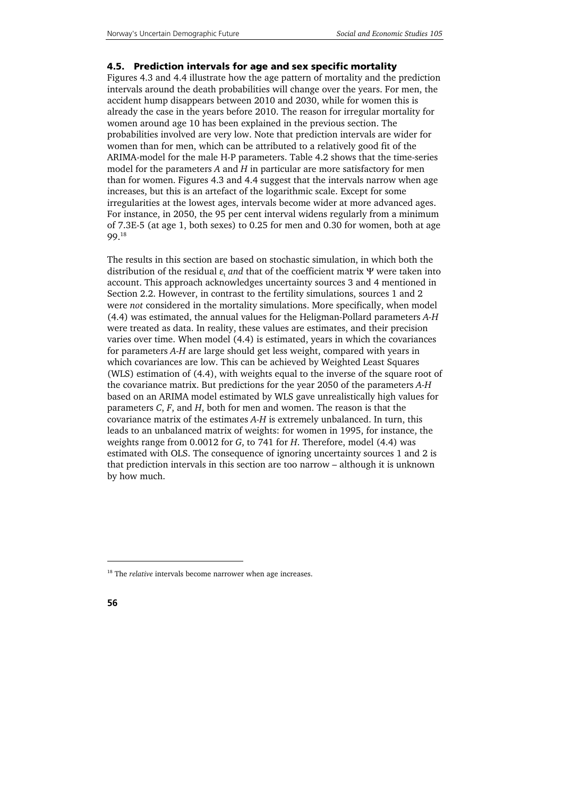#### **4.5. Prediction intervals for age and sex specific mortality**

Figures 4.3 and 4.4 illustrate how the age pattern of mortality and the prediction intervals around the death probabilities will change over the years. For men, the accident hump disappears between 2010 and 2030, while for women this is already the case in the years before 2010. The reason for irregular mortality for women around age 10 has been explained in the previous section. The probabilities involved are very low. Note that prediction intervals are wider for women than for men, which can be attributed to a relatively good fit of the ARIMA-model for the male H-P parameters. Table 4.2 shows that the time-series model for the parameters *A* and *H* in particular are more satisfactory for men than for women. Figures 4.3 and 4.4 suggest that the intervals narrow when age increases, but this is an artefact of the logarithmic scale. Except for some irregularities at the lowest ages, intervals become wider at more advanced ages. For instance, in 2050, the 95 per cent interval widens regularly from a minimum of 7.3E-5 (at age 1, both sexes) to 0.25 for men and 0.30 for women, both at age 99.18

The results in this section are based on stochastic simulation, in which both the distribution of the residual ε, *and* that of the coefficient matrix Ψ were taken into account. This approach acknowledges uncertainty sources 3 and 4 mentioned in Section 2.2. However, in contrast to the fertility simulations, sources 1 and 2 were *not* considered in the mortality simulations. More specifically, when model (4.4) was estimated, the annual values for the Heligman-Pollard parameters *A-H* were treated as data. In reality, these values are estimates, and their precision varies over time. When model (4.4) is estimated, years in which the covariances for parameters *A-H* are large should get less weight, compared with years in which covariances are low. This can be achieved by Weighted Least Squares (WLS) estimation of (4.4), with weights equal to the inverse of the square root of the covariance matrix. But predictions for the year 2050 of the parameters *A-H* based on an ARIMA model estimated by WLS gave unrealistically high values for parameters *C*, *F*, and *H*, both for men and women. The reason is that the covariance matrix of the estimates *A-H* is extremely unbalanced. In turn, this leads to an unbalanced matrix of weights: for women in 1995, for instance, the weights range from 0.0012 for *G*, to 741 for *H*. Therefore, model (4.4) was estimated with OLS. The consequence of ignoring uncertainty sources 1 and 2 is that prediction intervals in this section are too narrow – although it is unknown by how much.

j

<sup>&</sup>lt;sup>18</sup> The *relative* intervals become narrower when age increases.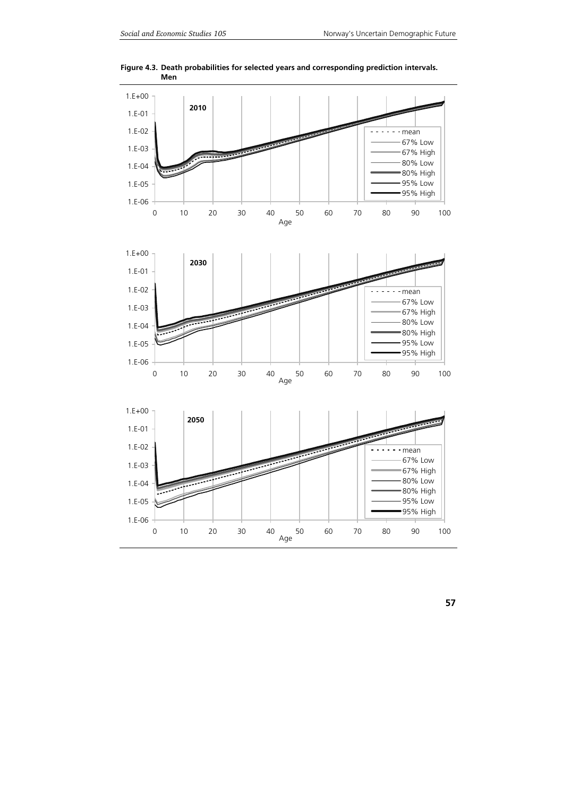

**Figure 4.3. Death probabilities for selected years and corresponding prediction intervals. Men**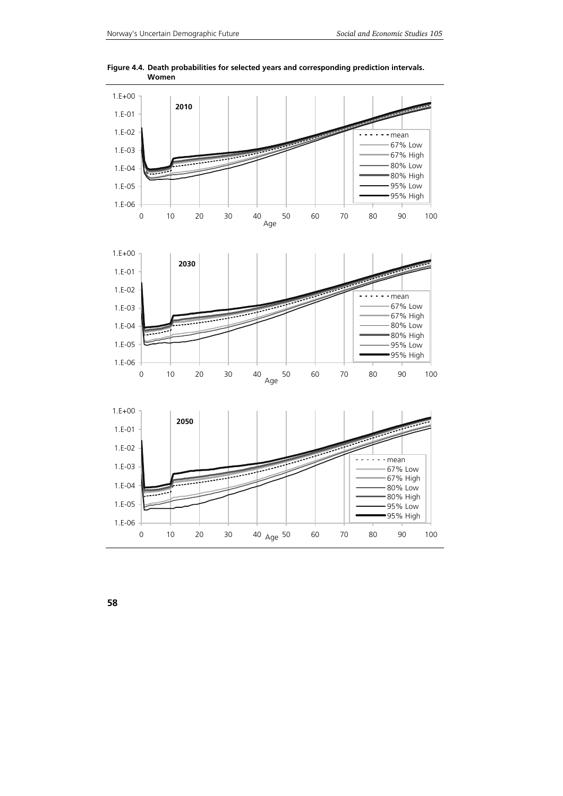

**Figure 4.4. Death probabilities for selected years and corresponding prediction intervals. Women** 

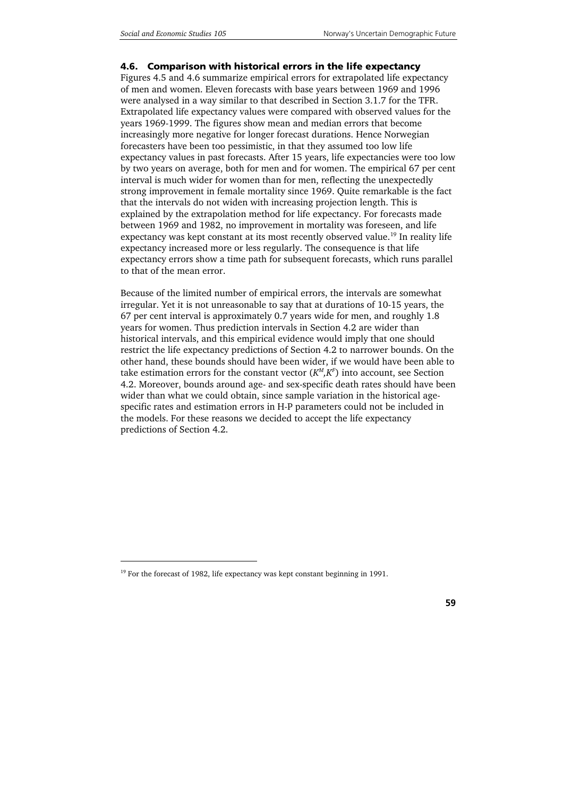#### **4.6. Comparison with historical errors in the life expectancy**

Figures 4.5 and 4.6 summarize empirical errors for extrapolated life expectancy of men and women. Eleven forecasts with base years between 1969 and 1996 were analysed in a way similar to that described in Section 3.1.7 for the TFR. Extrapolated life expectancy values were compared with observed values for the years 1969-1999. The figures show mean and median errors that become increasingly more negative for longer forecast durations. Hence Norwegian forecasters have been too pessimistic, in that they assumed too low life expectancy values in past forecasts. After 15 years, life expectancies were too low by two years on average, both for men and for women. The empirical 67 per cent interval is much wider for women than for men, reflecting the unexpectedly strong improvement in female mortality since 1969. Quite remarkable is the fact that the intervals do not widen with increasing projection length. This is explained by the extrapolation method for life expectancy. For forecasts made between 1969 and 1982, no improvement in mortality was foreseen, and life expectancy was kept constant at its most recently observed value.<sup>19</sup> In reality life expectancy increased more or less regularly. The consequence is that life expectancy errors show a time path for subsequent forecasts, which runs parallel to that of the mean error.

Because of the limited number of empirical errors, the intervals are somewhat irregular. Yet it is not unreasonable to say that at durations of 10-15 years, the 67 per cent interval is approximately 0.7 years wide for men, and roughly 1.8 years for women. Thus prediction intervals in Section 4.2 are wider than historical intervals, and this empirical evidence would imply that one should restrict the life expectancy predictions of Section 4.2 to narrower bounds. On the other hand, these bounds should have been wider, if we would have been able to take estimation errors for the constant vector  $(K^M,K^F)$  into account, see Section 4.2. Moreover, bounds around age- and sex-specific death rates should have been wider than what we could obtain, since sample variation in the historical agespecific rates and estimation errors in H-P parameters could not be included in the models. For these reasons we decided to accept the life expectancy predictions of Section 4.2.

j

<sup>&</sup>lt;sup>19</sup> For the forecast of 1982, life expectancy was kept constant beginning in 1991.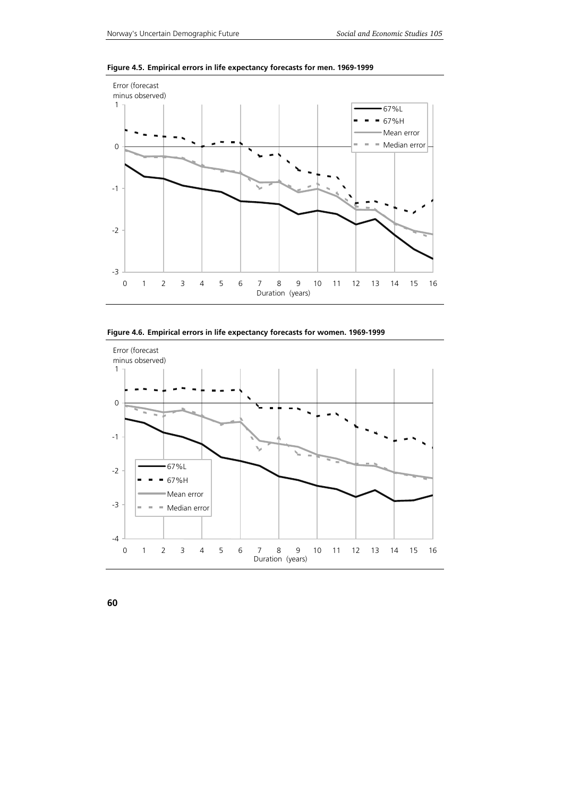

**Figure 4.5. Empirical errors in life expectancy forecasts for men. 1969-1999** 



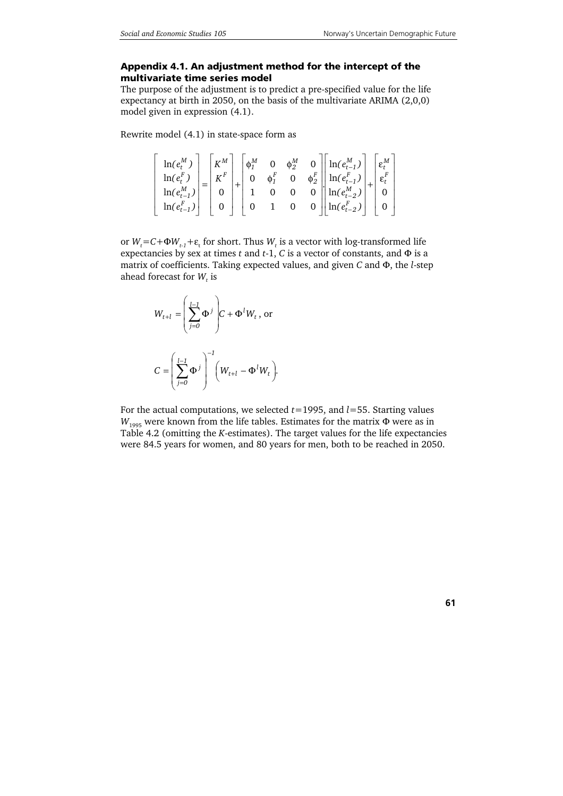#### **Appendix 4.1. An adjustment method for the intercept of the multivariate time series model**

The purpose of the adjustment is to predict a pre-specified value for the life expectancy at birth in 2050, on the basis of the multivariate ARIMA (2,0,0) model given in expression (4.1).

Rewrite model (4.1) in state-space form as

$$
\begin{bmatrix}\n\ln(e_t^M) \\
\ln(e_t^F) \\
\ln(e_{t-1}^M)\n\end{bmatrix} = \begin{bmatrix}\nK^M \\
K^F \\
0\n\end{bmatrix} + \begin{bmatrix}\n\phi_1^M & 0 & \phi_2^M & 0 \\
0 & \phi_1^F & 0 & \phi_2^F \\
1 & 0 & 0 & 0 \\
0 & 1 & 0 & 0\n\end{bmatrix} \begin{bmatrix}\n\ln(e_{t-1}^M) \\
\ln(e_{t-2}^F) \\
\ln(e_{t-2}^M)\n\end{bmatrix} + \begin{bmatrix}\n\epsilon_t^M \\
\epsilon_t^F \\
0 \\
0\n\end{bmatrix}
$$

or  $W_t$ =C+ $\Phi W_{t-1}$ + $\varepsilon$ <sub>t</sub> for short. Thus  $W_t$  is a vector with log-transformed life expectancies by sex at times *t* and *t*-1, *C* is a vector of constants, and Φ is a matrix of coefficients. Taking expected values, and given *C* and Φ, the *l*-step ahead forecast for  $W_t$  is

$$
W_{t+l} = \left(\sum_{j=0}^{l-1} \Phi^j\right) C + \Phi^l W_t, \text{ or}
$$
  

$$
C = \left(\sum_{j=0}^{l-1} \Phi^j\right)^{-1} \left(W_{t+l} - \Phi^l W_t\right).
$$

For the actual computations, we selected *t*=1995, and *l*=55. Starting values  $W_{1995}$  were known from the life tables. Estimates for the matrix  $\Phi$  were as in Table 4.2 (omitting the *K*-estimates). The target values for the life expectancies were 84.5 years for women, and 80 years for men, both to be reached in 2050.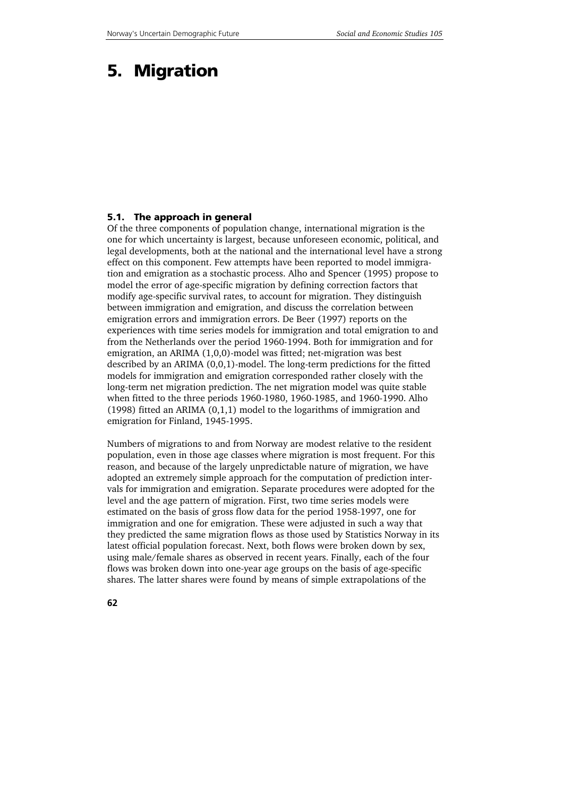# **5. Migration**

#### **5.1. The approach in general**

Of the three components of population change, international migration is the one for which uncertainty is largest, because unforeseen economic, political, and legal developments, both at the national and the international level have a strong effect on this component. Few attempts have been reported to model immigration and emigration as a stochastic process. Alho and Spencer (1995) propose to model the error of age-specific migration by defining correction factors that modify age-specific survival rates, to account for migration. They distinguish between immigration and emigration, and discuss the correlation between emigration errors and immigration errors. De Beer (1997) reports on the experiences with time series models for immigration and total emigration to and from the Netherlands over the period 1960-1994. Both for immigration and for emigration, an ARIMA (1,0,0)-model was fitted; net-migration was best described by an ARIMA (0,0,1)-model. The long-term predictions for the fitted models for immigration and emigration corresponded rather closely with the long-term net migration prediction. The net migration model was quite stable when fitted to the three periods 1960-1980, 1960-1985, and 1960-1990. Alho (1998) fitted an ARIMA (0,1,1) model to the logarithms of immigration and emigration for Finland, 1945-1995.

Numbers of migrations to and from Norway are modest relative to the resident population, even in those age classes where migration is most frequent. For this reason, and because of the largely unpredictable nature of migration, we have adopted an extremely simple approach for the computation of prediction intervals for immigration and emigration. Separate procedures were adopted for the level and the age pattern of migration. First, two time series models were estimated on the basis of gross flow data for the period 1958-1997, one for immigration and one for emigration. These were adjusted in such a way that they predicted the same migration flows as those used by Statistics Norway in its latest official population forecast. Next, both flows were broken down by sex, using male/female shares as observed in recent years. Finally, each of the four flows was broken down into one-year age groups on the basis of age-specific shares. The latter shares were found by means of simple extrapolations of the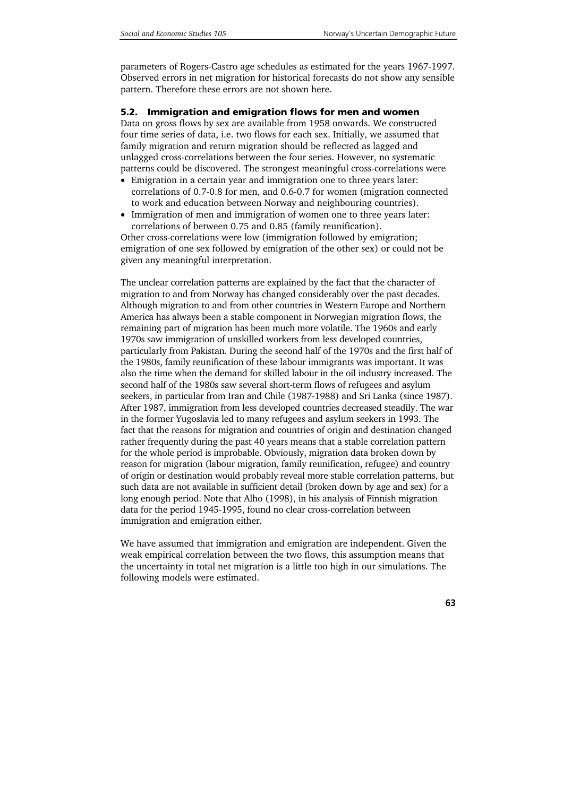parameters of Rogers-Castro age schedules as estimated for the years 1967-1997. Observed errors in net migration for historical forecasts do not show any sensible pattern. Therefore these errors are not shown here.

## **5.2. Immigration and emigration flows for men and women**

Data on gross flows by sex are available from 1958 onwards. We constructed four time series of data, i.e. two flows for each sex. Initially, we assumed that family migration and return migration should be reflected as lagged and unlagged cross-correlations between the four series. However, no systematic patterns could be discovered. The strongest meaningful cross-correlations were

- Emigration in a certain year and immigration one to three years later: correlations of 0.7-0.8 for men, and 0.6-0.7 for women (migration connected to work and education between Norway and neighbouring countries).
- Immigration of men and immigration of women one to three years later: correlations of between 0.75 and 0.85 (family reunification).

Other cross-correlations were low (immigration followed by emigration; emigration of one sex followed by emigration of the other sex) or could not be given any meaningful interpretation.

The unclear correlation patterns are explained by the fact that the character of migration to and from Norway has changed considerably over the past decades. Although migration to and from other countries in Western Europe and Northern America has always been a stable component in Norwegian migration flows, the remaining part of migration has been much more volatile. The 1960s and early 1970s saw immigration of unskilled workers from less developed countries, particularly from Pakistan. During the second half of the 1970s and the first half of the 1980s, family reunification of these labour immigrants was important. It was also the time when the demand for skilled labour in the oil industry increased. The second half of the 1980s saw several short-term flows of refugees and asylum seekers, in particular from Iran and Chile (1987-1988) and Sri Lanka (since 1987). After 1987, immigration from less developed countries decreased steadily. The war in the former Yugoslavia led to many refugees and asylum seekers in 1993. The fact that the reasons for migration and countries of origin and destination changed rather frequently during the past 40 years means that a stable correlation pattern for the whole period is improbable. Obviously, migration data broken down by reason for migration (labour migration, family reunification, refugee) and country of origin or destination would probably reveal more stable correlation patterns, but such data are not available in sufficient detail (broken down by age and sex) for a long enough period. Note that Alho (1998), in his analysis of Finnish migration data for the period 1945-1995, found no clear cross-correlation between immigration and emigration either.

We have assumed that immigration and emigration are independent. Given the weak empirical correlation between the two flows, this assumption means that the uncertainty in total net migration is a little too high in our simulations. The following models were estimated.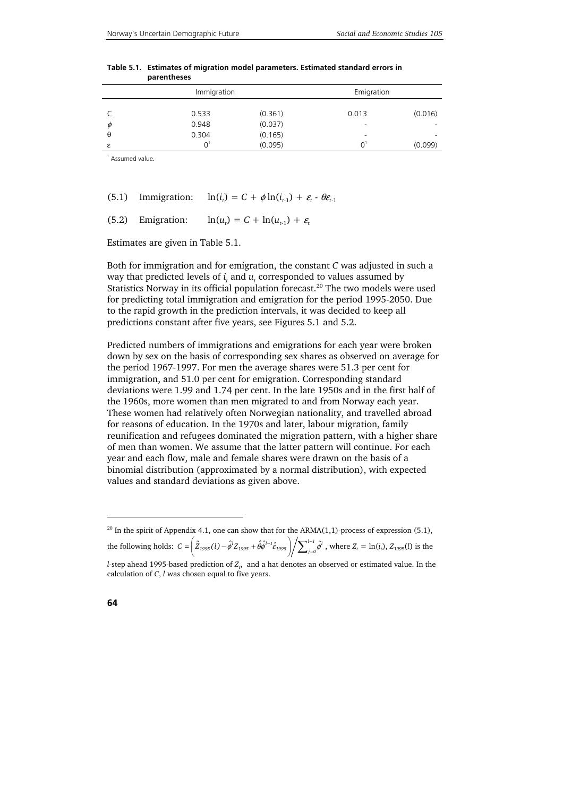|          | Immigration |         | Emigration |         |
|----------|-------------|---------|------------|---------|
|          | 0.533       | (0.361) | 0.013      | (0.016) |
| Ø        | 0.948       | (0.037) |            | ۰       |
| $\theta$ | 0.304       | (0.165) | -          | ۰       |
| ε        |             | (0.095) | ∩          | (0.099) |

| Table 5.1. Estimates of migration model parameters. Estimated standard errors in |
|----------------------------------------------------------------------------------|
| parentheses                                                                      |

1 Assumed value.

(5.1) Im migration: 
$$
\ln(i_t) = C + \phi \ln(i_{t-1}) + \varepsilon_t - \theta \varepsilon_{t-1}
$$

(5.2) Emigration:  $\ln(u_t) = C + \ln(u_{t+1}) + \varepsilon_t$ 

Estimates are given in Table 5.1.

Both for immigration and for emigration, the constant *C* was adjusted in such a way that predicted levels of  $i_t$  and  $u_t$  corresponded to values assumed by Statistics Norway in its official population forecast.<sup>20</sup> The two models were used for predicting total immigration and emigration for the period 1995-2050. Due to the rapid growth in the prediction intervals, it was decided to keep all predictions constant after five years, see Figures 5.1 and 5.2.

Predicted numbers of immigrations and emigrations for each year were broken down by sex on the basis of corresponding sex shares as observed on average for the period 1967-1997. For men the average shares were 51.3 per cent for immigration, and 51.0 per cent for emigration. Corresponding standard deviations were 1.99 and 1.74 per cent. In the late 1950s and in the first half of the 1960s, more women than men migrated to and from Norway each year. These women had relatively often Norwegian nationality, and travelled abroad for reasons of education. In the 1970s and later, labour migration, family reunification and refugees dominated the migration pattern, with a higher share of men than women. We assume that the latter pattern will continue. For each year and each flow, male and female shares were drawn on the basis of a binomial distribution (approximated by a normal distribution), with expected values and standard deviations as given above.

j

<sup>&</sup>lt;sup>20</sup> In the spirit of Appendix 4.1, one can show that for the ARMA(1,1)-process of expression (5.1), the following holds:  $C=\bigg(\hat Z_{1995}(l)-\hat\phi^lZ_{1995}+\hat\theta\hat\phi^{l-1}\hat\epsilon_{1995}\bigg)\bigg/\sum\nolimits_{j=1}^{l-1}\hat\phi^j$  $= \left( \hat{Z}_{1995}(l) - \hat{\phi}^l Z_{1995} + \hat{\theta} \hat{\phi}^{l-1} \hat{\epsilon}_{1995} \right) / \sum\nolimits_{j=0}^{l-1}$  $C = \left( \hat{Z}_{1995}(l) - \hat{\phi}^{l} Z_{1995} + \hat{\theta} \hat{\phi}^{l-1} \hat{\epsilon}_{1995} \right) / \sum_{i=0}^{l-1} \hat{\phi}^{l}$ , where  $Z_{t} = \ln(i_{t}), Z_{1995}(l)$  is the

*l*-step ahead 1995-based prediction of  $Z_t$ , and a hat denotes an observed or estimated value. In the calculation of *C*, *l* was chosen equal to five years.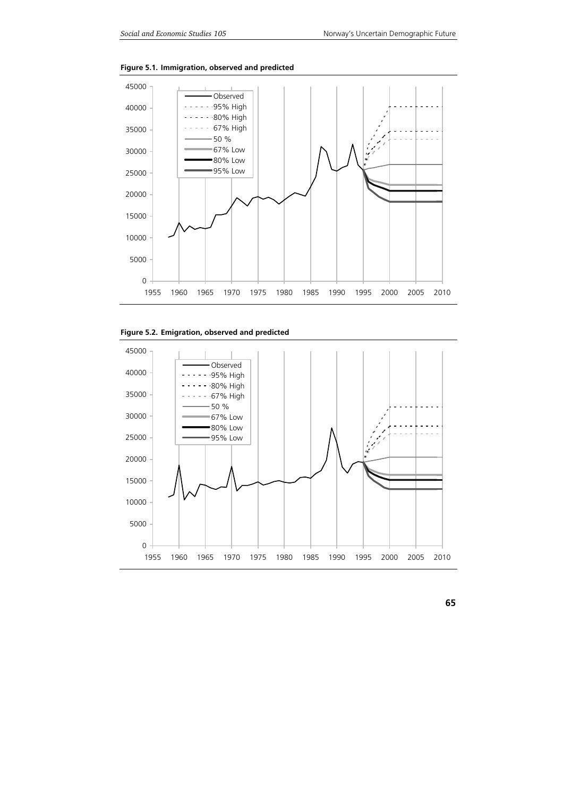

**Figure 5.1. Immigration, observed and predicted** 



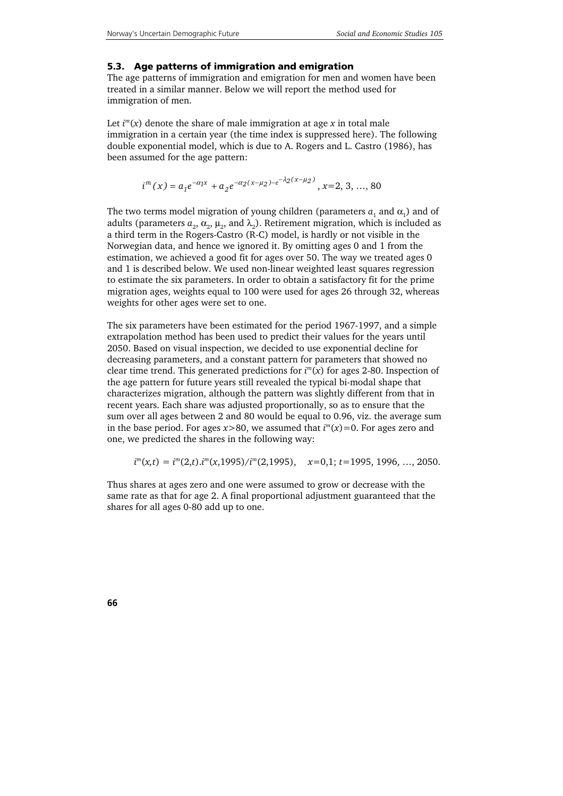#### **5.3. Age patterns of immigration and emigration**

The age patterns of immigration and emigration for men and women have been treated in a similar manner. Below we will report the method used for immigration of men.

Let  $i^m(x)$  denote the share of male immigration at age  $x$  in total male immigration in a certain year (the time index is suppressed here). The following double exponential model, which is due to A. Rogers and L. Castro (1986), has been assumed for the age pattern:

$$
i^{m}(x) = a_{1}e^{-\alpha_{1}x} + a_{2}e^{-\alpha_{2}(x-\mu_{2})-e^{-\lambda_{2}(x-\mu_{2})}}, x=2, 3, ..., 80
$$

The two terms model migration of young children (parameters  $a_1$  and  $\alpha_1$ ) and of adults (parameters  $a_2$ ,  $\alpha_2$ ,  $\mu_2$ , and  $\lambda_2$ ). Retirement migration, which is included as a third term in the Rogers-Castro (R-C) model, is hardly or not visible in the Norwegian data, and hence we ignored it. By omitting ages 0 and 1 from the estimation, we achieved a good fit for ages over 50. The way we treated ages 0 and 1 is described below. We used non-linear weighted least squares regression to estimate the six parameters. In order to obtain a satisfactory fit for the prime migration ages, weights equal to 100 were used for ages 26 through 32, whereas weights for other ages were set to one.

The six parameters have been estimated for the period 1967-1997, and a simple extrapolation method has been used to predict their values for the years until 2050. Based on visual inspection, we decided to use exponential decline for decreasing parameters, and a constant pattern for parameters that showed no clear time trend. This generated predictions for *i <sup>m</sup>*(*x*) for ages 2-80. Inspection of the age pattern for future years still revealed the typical bi-modal shape that characterizes migration, although the pattern was slightly different from that in recent years. Each share was adjusted proportionally, so as to ensure that the sum over all ages between 2 and 80 would be equal to 0.96, viz. the average sum in the base period. For ages  $x > 80$ , we assumed that  $i<sup>m</sup>(x) = 0$ . For ages zero and one, we predicted the shares in the following way:

$$
i^{m}(x,t) = i^{m}(2,t) . i^{m}(x,1995)/i^{m}(2,1995), \quad x=0,1; t=1995,1996, ..., 2050.
$$

Thus shares at ages zero and one were assumed to grow or decrease with the same rate as that for age 2. A final proportional adjustment guaranteed that the shares for all ages 0-80 add up to one.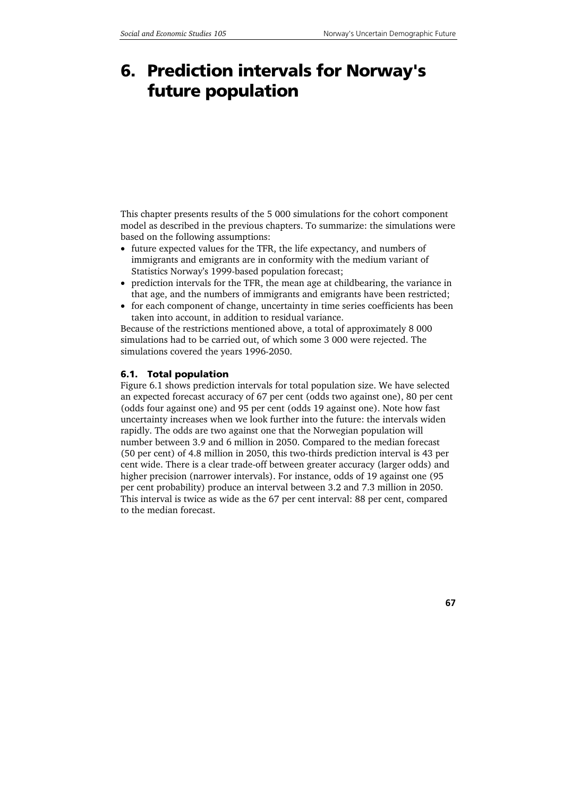# **6. Prediction intervals for Norway's future population**

This chapter presents results of the 5 000 simulations for the cohort component model as described in the previous chapters. To summarize: the simulations were based on the following assumptions:

- future expected values for the TFR, the life expectancy, and numbers of immigrants and emigrants are in conformity with the medium variant of Statistics Norway's 1999-based population forecast;
- prediction intervals for the TFR, the mean age at childbearing, the variance in that age, and the numbers of immigrants and emigrants have been restricted;
- for each component of change, uncertainty in time series coefficients has been taken into account, in addition to residual variance.

Because of the restrictions mentioned above, a total of approximately 8 000 simulations had to be carried out, of which some 3 000 were rejected. The simulations covered the years 1996-2050.

## **6.1. Total population**

Figure 6.1 shows prediction intervals for total population size. We have selected an expected forecast accuracy of 67 per cent (odds two against one), 80 per cent (odds four against one) and 95 per cent (odds 19 against one). Note how fast uncertainty increases when we look further into the future: the intervals widen rapidly. The odds are two against one that the Norwegian population will number between 3.9 and 6 million in 2050. Compared to the median forecast (50 per cent) of 4.8 million in 2050, this two-thirds prediction interval is 43 per cent wide. There is a clear trade-off between greater accuracy (larger odds) and higher precision (narrower intervals). For instance, odds of 19 against one (95 per cent probability) produce an interval between 3.2 and 7.3 million in 2050. This interval is twice as wide as the 67 per cent interval: 88 per cent, compared to the median forecast.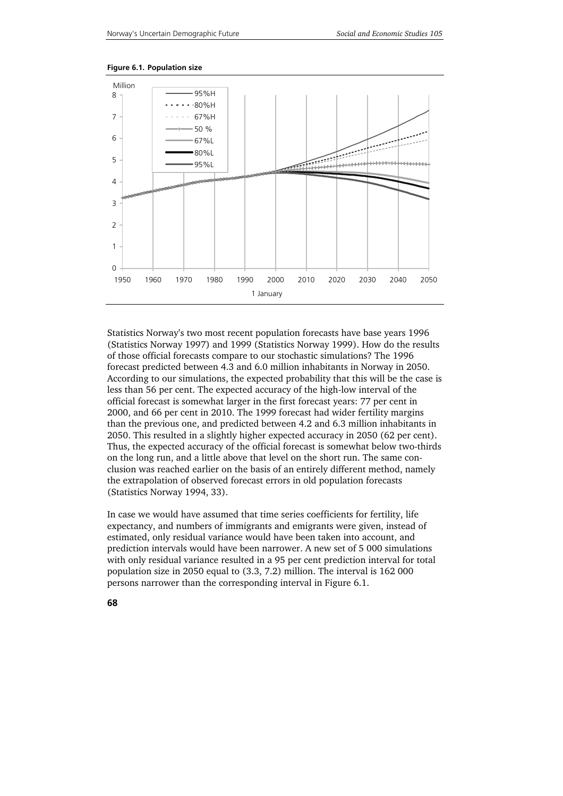



Statistics Norway's two most recent population forecasts have base years 1996 (Statistics Norway 1997) and 1999 (Statistics Norway 1999). How do the results of those official forecasts compare to our stochastic simulations? The 1996 forecast predicted between 4.3 and 6.0 million inhabitants in Norway in 2050. According to our simulations, the expected probability that this will be the case is less than 56 per cent. The expected accuracy of the high-low interval of the official forecast is somewhat larger in the first forecast years: 77 per cent in 2000, and 66 per cent in 2010. The 1999 forecast had wider fertility margins than the previous one, and predicted between 4.2 and 6.3 million inhabitants in 2050. This resulted in a slightly higher expected accuracy in 2050 (62 per cent). Thus, the expected accuracy of the official forecast is somewhat below two-thirds on the long run, and a little above that level on the short run. The same conclusion was reached earlier on the basis of an entirely different method, namely the extrapolation of observed forecast errors in old population forecasts (Statistics Norway 1994, 33).

In case we would have assumed that time series coefficients for fertility, life expectancy, and numbers of immigrants and emigrants were given, instead of estimated, only residual variance would have been taken into account, and prediction intervals would have been narrower. A new set of 5 000 simulations with only residual variance resulted in a 95 per cent prediction interval for total population size in 2050 equal to (3.3, 7.2) million. The interval is 162 000 persons narrower than the corresponding interval in Figure 6.1.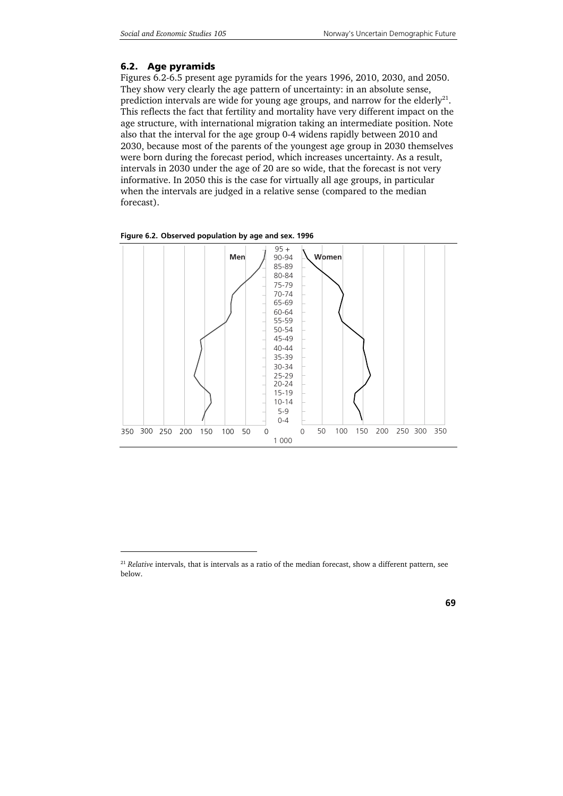## **6.2. Age pyramids**

1

Figures 6.2-6.5 present age pyramids for the years 1996, 2010, 2030, and 2050. They show very clearly the age pattern of uncertainty: in an absolute sense, prediction intervals are wide for young age groups, and narrow for the elderly<sup>21</sup>. This reflects the fact that fertility and mortality have very different impact on the age structure, with international migration taking an intermediate position. Note also that the interval for the age group 0-4 widens rapidly between 2010 and 2030, because most of the parents of the youngest age group in 2030 themselves were born during the forecast period, which increases uncertainty. As a result, intervals in 2030 under the age of 20 are so wide, that the forecast is not very informative. In 2050 this is the case for virtually all age groups, in particular when the intervals are judged in a relative sense (compared to the median forecast).



**Figure 6.2. Observed population by age and sex. 1996** 

<sup>&</sup>lt;sup>21</sup> *Relative* intervals, that is intervals as a ratio of the median forecast, show a different pattern, see below.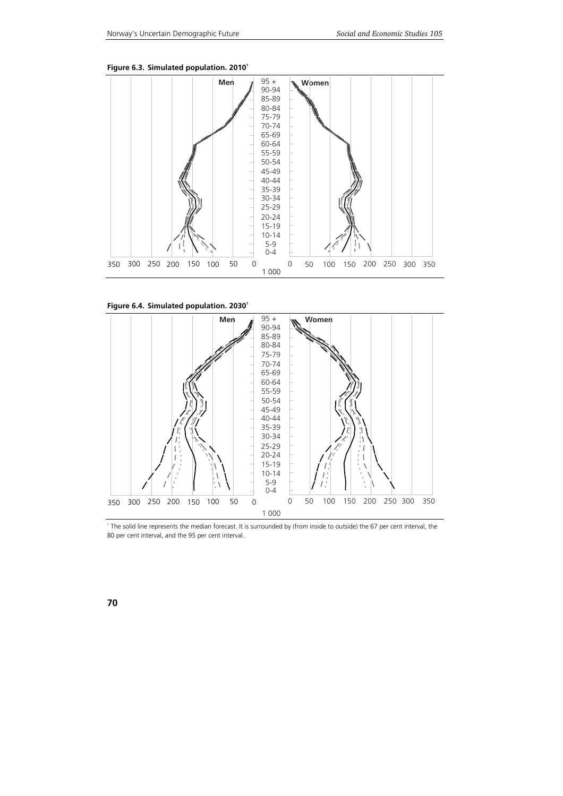

Figure 6.3. Simulated population. 2010<sup>1</sup>

Figure 6.4. Simulated population. 2030<sup>1</sup>



<sup>1</sup> The solid line represents the median forecast. It is surrounded by (from inside to outside) the 67 per cent interval, the 80 per cent interval, and the 95 per cent interval.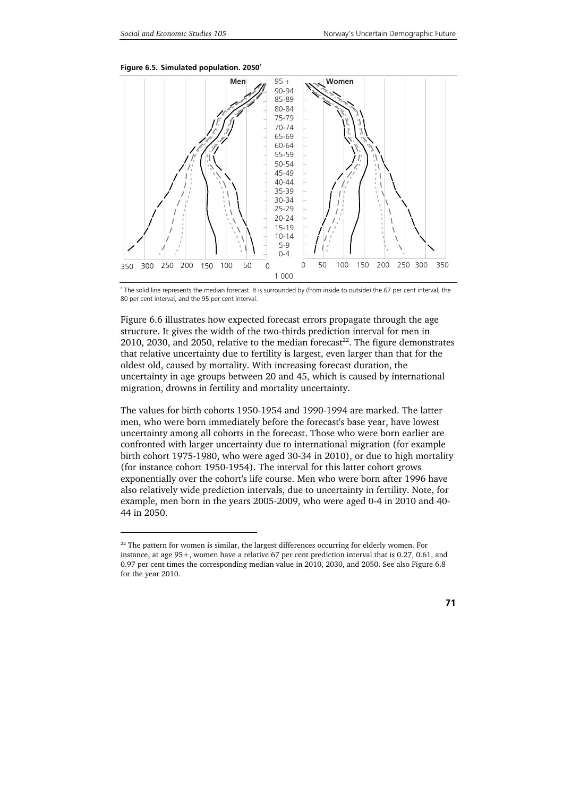1





1 The solid line represents the median forecast. It is surrounded by (from inside to outside) the 67 per cent interval, the 80 per cent interval, and the 95 per cent interval.

Figure 6.6 illustrates how expected forecast errors propagate through the age structure. It gives the width of the two-thirds prediction interval for men in 2010, 2030, and 2050, relative to the median forecast<sup>22</sup>. The figure demonstrates that relative uncertainty due to fertility is largest, even larger than that for the oldest old, caused by mortality. With increasing forecast duration, the uncertainty in age groups between 20 and 45, which is caused by international migration, drowns in fertility and mortality uncertainty.

The values for birth cohorts 1950-1954 and 1990-1994 are marked. The latter men, who were born immediately before the forecast's base year, have lowest uncertainty among all cohorts in the forecast. Those who were born earlier are confronted with larger uncertainty due to international migration (for example birth cohort 1975-1980, who were aged 30-34 in 2010), or due to high mortality (for instance cohort 1950-1954). The interval for this latter cohort grows exponentially over the cohort's life course. Men who were born after 1996 have also relatively wide prediction intervals, due to uncertainty in fertility. Note, for example, men born in the years 2005-2009, who were aged 0-4 in 2010 and 40- 44 in 2050.

 $22$  The pattern for women is similar, the largest differences occurring for elderly women. For instance, at age 95+, women have a relative 67 per cent prediction interval that is 0.27, 0.61, and 0.97 per cent times the corresponding median value in 2010, 2030, and 2050. See also Figure 6.8 for the year 2010.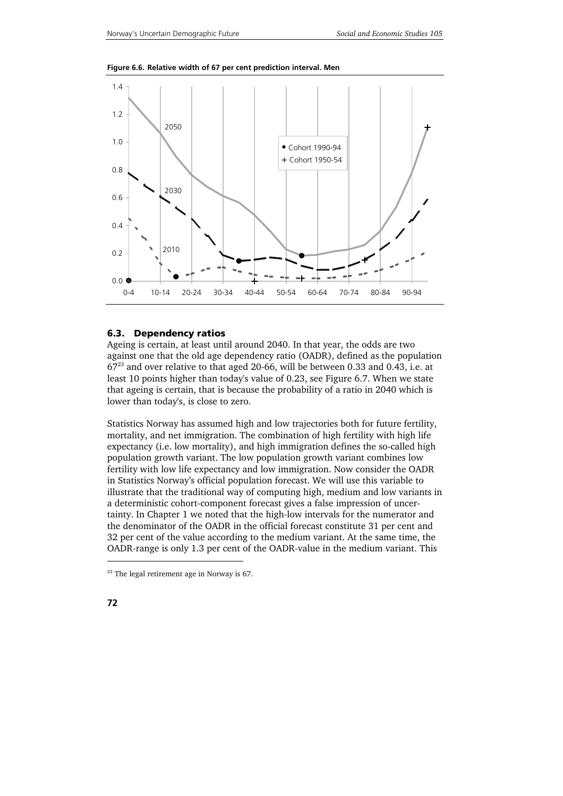

**Figure 6.6. Relative width of 67 per cent prediction interval. Men** 

### **6.3. Dependency ratios**

Ageing is certain, at least until around 2040. In that year, the odds are two against one that the old age dependency ratio (OADR), defined as the population 6723 and over relative to that aged 20-66, will be between 0.33 and 0.43, i.e. at least 10 points higher than today's value of 0.23, see Figure 6.7. When we state that ageing is certain, that is because the probability of a ratio in 2040 which is lower than today's, is close to zero.

Statistics Norway has assumed high and low trajectories both for future fertility, mortality, and net immigration. The combination of high fertility with high life expectancy (i.e. low mortality), and high immigration defines the so-called high population growth variant. The low population growth variant combines low fertility with low life expectancy and low immigration. Now consider the OADR in Statistics Norway's official population forecast. We will use this variable to illustrate that the traditional way of computing high, medium and low variants in a deterministic cohort-component forecast gives a false impression of uncertainty. In Chapter 1 we noted that the high-low intervals for the numerator and the denominator of the OADR in the official forecast constitute 31 per cent and 32 per cent of the value according to the medium variant. At the same time, the OADR-range is only 1.3 per cent of the OADR-value in the medium variant. This

j

 $23$  The legal retirement age in Norway is 67.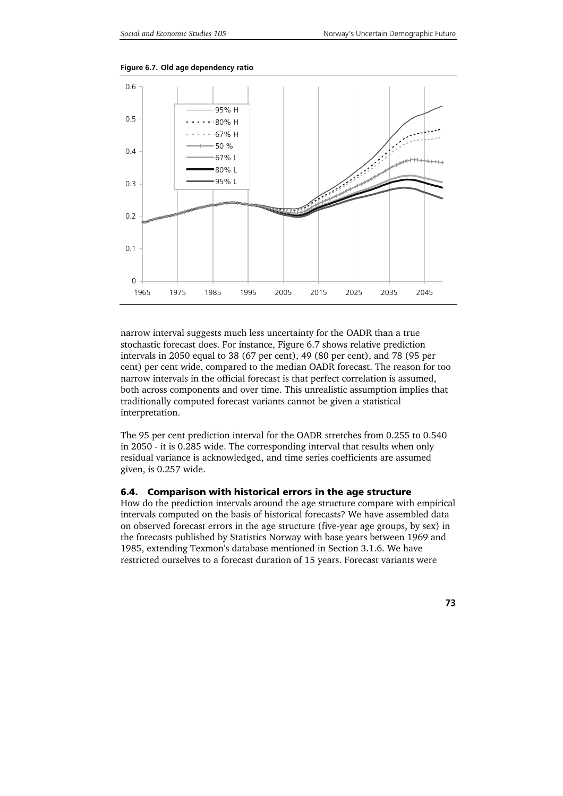

**Figure 6.7. Old age dependency ratio** 

narrow interval suggests much less uncertainty for the OADR than a true stochastic forecast does. For instance, Figure 6.7 shows relative prediction intervals in 2050 equal to 38 (67 per cent), 49 (80 per cent), and 78 (95 per cent) per cent wide, compared to the median OADR forecast. The reason for too narrow intervals in the official forecast is that perfect correlation is assumed, both across components and over time. This unrealistic assumption implies that traditionally computed forecast variants cannot be given a statistical interpretation.

The 95 per cent prediction interval for the OADR stretches from 0.255 to 0.540 in 2050 - it is 0.285 wide. The corresponding interval that results when only residual variance is acknowledged, and time series coefficients are assumed given, is 0.257 wide.

### **6.4. Comparison with historical errors in the age structure**

How do the prediction intervals around the age structure compare with empirical intervals computed on the basis of historical forecasts? We have assembled data on observed forecast errors in the age structure (five-year age groups, by sex) in the forecasts published by Statistics Norway with base years between 1969 and 1985, extending Texmon's database mentioned in Section 3.1.6. We have restricted ourselves to a forecast duration of 15 years. Forecast variants were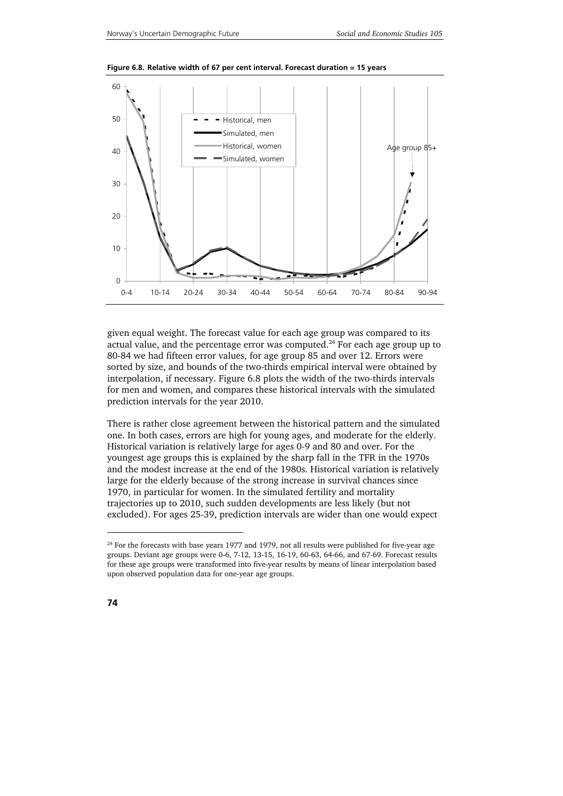

**Figure 6.8. Relative width of 67 per cent interval. Forecast duration = 15 years** 

given equal weight. The forecast value for each age group was compared to its actual value, and the percentage error was computed. $^{24}$  For each age group up to 80-84 we had fifteen error values, for age group 85 and over 12. Errors were sorted by size, and bounds of the two-thirds empirical interval were obtained by interpolation, if necessary. Figure 6.8 plots the width of the two-thirds intervals for men and women, and compares these historical intervals with the simulated prediction intervals for the year 2010.

There is rather close agreement between the historical pattern and the simulated one. In both cases, errors are high for young ages, and moderate for the elderly. Historical variation is relatively large for ages 0-9 and 80 and over. For the youngest age groups this is explained by the sharp fall in the TFR in the 1970s and the modest increase at the end of the 1980s. Historical variation is relatively large for the elderly because of the strong increase in survival chances since 1970, in particular for women. In the simulated fertility and mortality trajectories up to 2010, such sudden developments are less likely (but not excluded). For ages 25-39, prediction intervals are wider than one would expect

1

 $24$  For the forecasts with base years 1977 and 1979, not all results were published for five-year age groups. Deviant age groups were 0-6, 7-12, 13-15, 16-19, 60-63, 64-66, and 67-69. Forecast results for these age groups were transformed into five-year results by means of linear interpolation based upon observed population data for one-year age groups.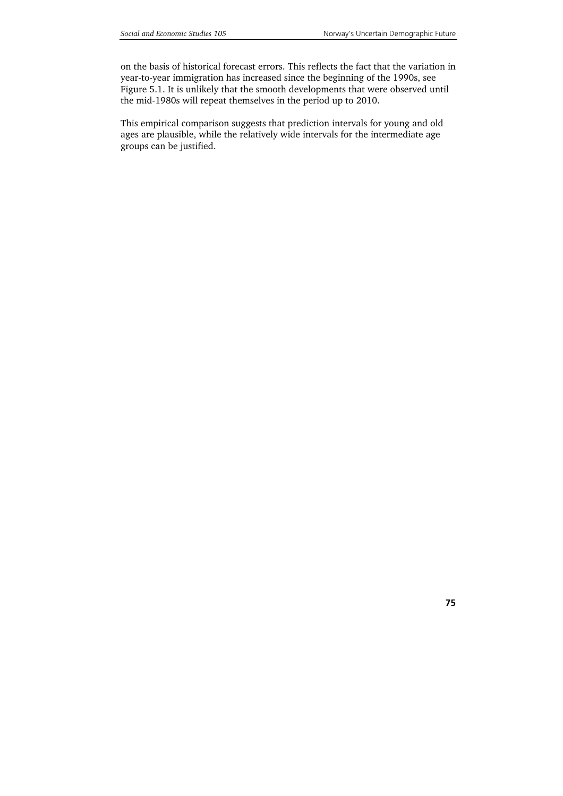on the basis of historical forecast errors. This reflects the fact that the variation in year-to-year immigration has increased since the beginning of the 1990s, see Figure 5.1. It is unlikely that the smooth developments that were observed until the mid-1980s will repeat themselves in the period up to 2010.

This empirical comparison suggests that prediction intervals for young and old ages are plausible, while the relatively wide intervals for the intermediate age groups can be justified.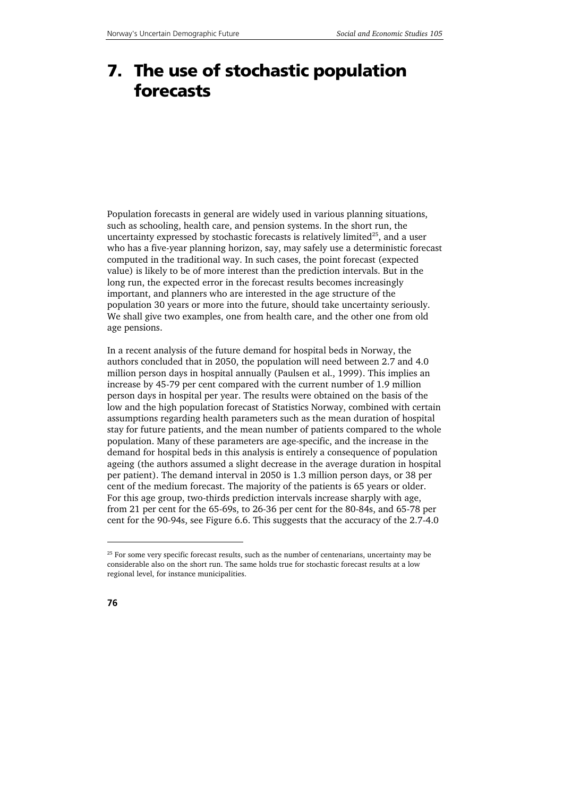# **7. The use of stochastic population forecasts**

Population forecasts in general are widely used in various planning situations, such as schooling, health care, and pension systems. In the short run, the uncertainty expressed by stochastic forecasts is relatively limited<sup>25</sup>, and a user who has a five-year planning horizon, say, may safely use a deterministic forecast computed in the traditional way. In such cases, the point forecast (expected value) is likely to be of more interest than the prediction intervals. But in the long run, the expected error in the forecast results becomes increasingly important, and planners who are interested in the age structure of the population 30 years or more into the future, should take uncertainty seriously. We shall give two examples, one from health care, and the other one from old age pensions.

In a recent analysis of the future demand for hospital beds in Norway, the authors concluded that in 2050, the population will need between 2.7 and 4.0 million person days in hospital annually (Paulsen et al., 1999). This implies an increase by 45-79 per cent compared with the current number of 1.9 million person days in hospital per year. The results were obtained on the basis of the low and the high population forecast of Statistics Norway, combined with certain assumptions regarding health parameters such as the mean duration of hospital stay for future patients, and the mean number of patients compared to the whole population. Many of these parameters are age-specific, and the increase in the demand for hospital beds in this analysis is entirely a consequence of population ageing (the authors assumed a slight decrease in the average duration in hospital per patient). The demand interval in 2050 is 1.3 million person days, or 38 per cent of the medium forecast. The majority of the patients is 65 years or older. For this age group, two-thirds prediction intervals increase sharply with age, from 21 per cent for the 65-69s, to 26-36 per cent for the 80-84s, and 65-78 per cent for the 90-94s, see Figure 6.6. This suggests that the accuracy of the 2.7-4.0

1

<sup>&</sup>lt;sup>25</sup> For some very specific forecast results, such as the number of centenarians, uncertainty may be considerable also on the short run. The same holds true for stochastic forecast results at a low regional level, for instance municipalities.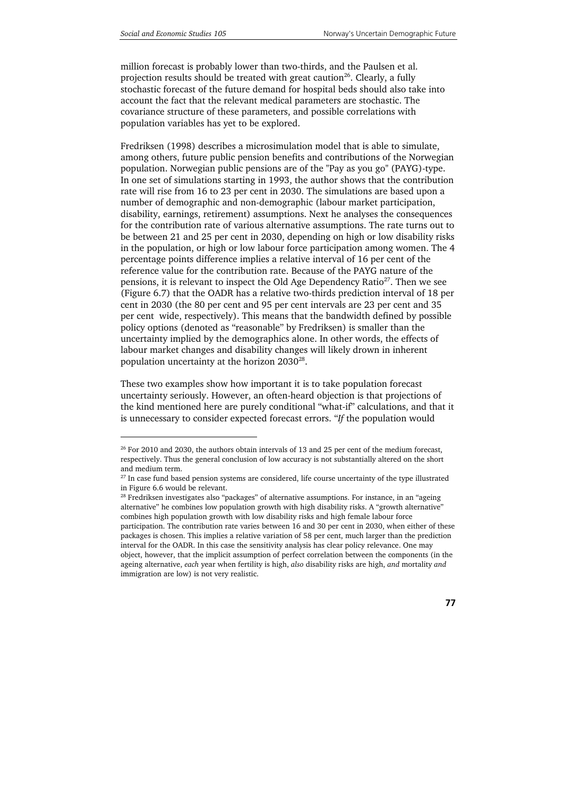j

million forecast is probably lower than two-thirds, and the Paulsen et al. projection results should be treated with great caution<sup>26</sup>. Clearly, a fully stochastic forecast of the future demand for hospital beds should also take into account the fact that the relevant medical parameters are stochastic. The covariance structure of these parameters, and possible correlations with population variables has yet to be explored.

Fredriksen (1998) describes a microsimulation model that is able to simulate, among others, future public pension benefits and contributions of the Norwegian population. Norwegian public pensions are of the "Pay as you go" (PAYG)-type. In one set of simulations starting in 1993, the author shows that the contribution rate will rise from 16 to 23 per cent in 2030. The simulations are based upon a number of demographic and non-demographic (labour market participation, disability, earnings, retirement) assumptions. Next he analyses the consequences for the contribution rate of various alternative assumptions. The rate turns out to be between 21 and 25 per cent in 2030, depending on high or low disability risks in the population, or high or low labour force participation among women. The 4 percentage points difference implies a relative interval of 16 per cent of the reference value for the contribution rate. Because of the PAYG nature of the pensions, it is relevant to inspect the Old Age Dependency Ratio<sup>27</sup>. Then we see (Figure 6.7) that the OADR has a relative two-thirds prediction interval of 18 per cent in 2030 (the 80 per cent and 95 per cent intervals are 23 per cent and 35 per cent wide, respectively). This means that the bandwidth defined by possible policy options (denoted as "reasonable" by Fredriksen) is smaller than the uncertainty implied by the demographics alone. In other words, the effects of labour market changes and disability changes will likely drown in inherent population uncertainty at the horizon 2030<sup>28</sup>.

These two examples show how important it is to take population forecast uncertainty seriously. However, an often-heard objection is that projections of the kind mentioned here are purely conditional "what-if" calculations, and that it is unnecessary to consider expected forecast errors. "*If* the population would

 $26$  For 2010 and 2030, the authors obtain intervals of 13 and 25 per cent of the medium forecast, respectively. Thus the general conclusion of low accuracy is not substantially altered on the short and medium term.

<sup>&</sup>lt;sup>27</sup> In case fund based pension systems are considered, life course uncertainty of the type illustrated in Figure 6.6 would be relevant.

<sup>&</sup>lt;sup>28</sup> Fredriksen investigates also "packages" of alternative assumptions. For instance, in an "ageing alternative" he combines low population growth with high disability risks. A "growth alternative" combines high population growth with low disability risks and high female labour force participation. The contribution rate varies between 16 and 30 per cent in 2030, when either of these packages is chosen. This implies a relative variation of 58 per cent, much larger than the prediction interval for the OADR. In this case the sensitivity analysis has clear policy relevance. One may object, however, that the implicit assumption of perfect correlation between the components (in the ageing alternative, *each* year when fertility is high, *also* disability risks are high, *and* mortality *and* immigration are low) is not very realistic.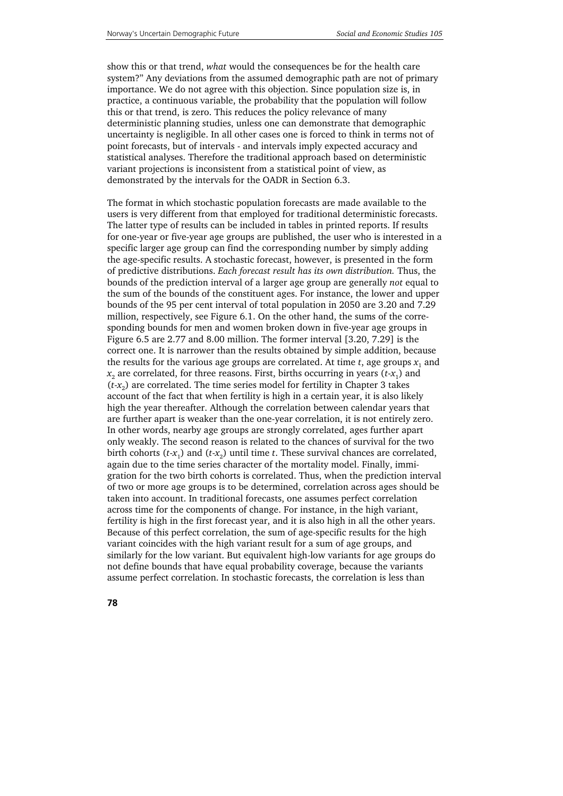show this or that trend, *what* would the consequences be for the health care system?" Any deviations from the assumed demographic path are not of primary importance. We do not agree with this objection. Since population size is, in practice, a continuous variable, the probability that the population will follow this or that trend, is zero. This reduces the policy relevance of many deterministic planning studies, unless one can demonstrate that demographic uncertainty is negligible. In all other cases one is forced to think in terms not of point forecasts, but of intervals - and intervals imply expected accuracy and statistical analyses. Therefore the traditional approach based on deterministic variant projections is inconsistent from a statistical point of view, as demonstrated by the intervals for the OADR in Section 6.3.

The format in which stochastic population forecasts are made available to the users is very different from that employed for traditional deterministic forecasts. The latter type of results can be included in tables in printed reports. If results for one-year or five-year age groups are published, the user who is interested in a specific larger age group can find the corresponding number by simply adding the age-specific results. A stochastic forecast, however, is presented in the form of predictive distributions. *Each forecast result has its own distribution.* Thus, the bounds of the prediction interval of a larger age group are generally *not* equal to the sum of the bounds of the constituent ages. For instance, the lower and upper bounds of the 95 per cent interval of total population in 2050 are 3.20 and 7.29 million, respectively, see Figure 6.1. On the other hand, the sums of the corresponding bounds for men and women broken down in five-year age groups in Figure 6.5 are 2.77 and 8.00 million. The former interval [3.20, 7.29] is the correct one. It is narrower than the results obtained by simple addition, because the results for the various age groups are correlated. At time  $t$ , age groups  $x_1$  and  $x_2$  are correlated, for three reasons. First, births occurring in years ( $t$ - $x_1$ ) and  $(t-x<sub>2</sub>)$  are correlated. The time series model for fertility in Chapter 3 takes account of the fact that when fertility is high in a certain year, it is also likely high the year thereafter. Although the correlation between calendar years that are further apart is weaker than the one-year correlation, it is not entirely zero. In other words, nearby age groups are strongly correlated, ages further apart only weakly. The second reason is related to the chances of survival for the two birth cohorts  $(t-x_1)$  and  $(t-x_2)$  until time *t*. These survival chances are correlated, again due to the time series character of the mortality model. Finally, immigration for the two birth cohorts is correlated. Thus, when the prediction interval of two or more age groups is to be determined, correlation across ages should be taken into account. In traditional forecasts, one assumes perfect correlation across time for the components of change. For instance, in the high variant, fertility is high in the first forecast year, and it is also high in all the other years. Because of this perfect correlation, the sum of age-specific results for the high variant coincides with the high variant result for a sum of age groups, and similarly for the low variant. But equivalent high-low variants for age groups do not define bounds that have equal probability coverage, because the variants assume perfect correlation. In stochastic forecasts, the correlation is less than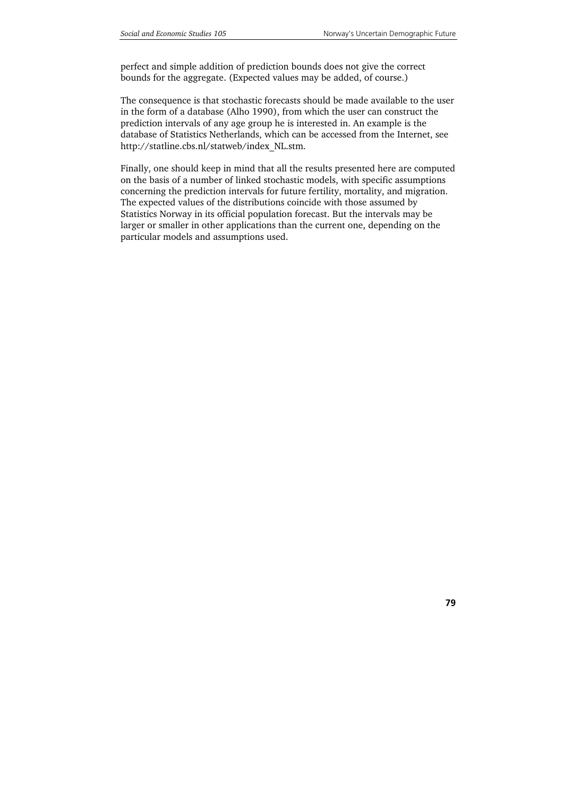perfect and simple addition of prediction bounds does not give the correct bounds for the aggregate. (Expected values may be added, of course.)

The consequence is that stochastic forecasts should be made available to the user in the form of a database (Alho 1990), from which the user can construct the prediction intervals of any age group he is interested in. An example is the database of Statistics Netherlands, which can be accessed from the Internet, see http://statline.cbs.nl/statweb/index\_NL.stm.

Finally, one should keep in mind that all the results presented here are computed on the basis of a number of linked stochastic models, with specific assumptions concerning the prediction intervals for future fertility, mortality, and migration. The expected values of the distributions coincide with those assumed by Statistics Norway in its official population forecast. But the intervals may be larger or smaller in other applications than the current one, depending on the particular models and assumptions used.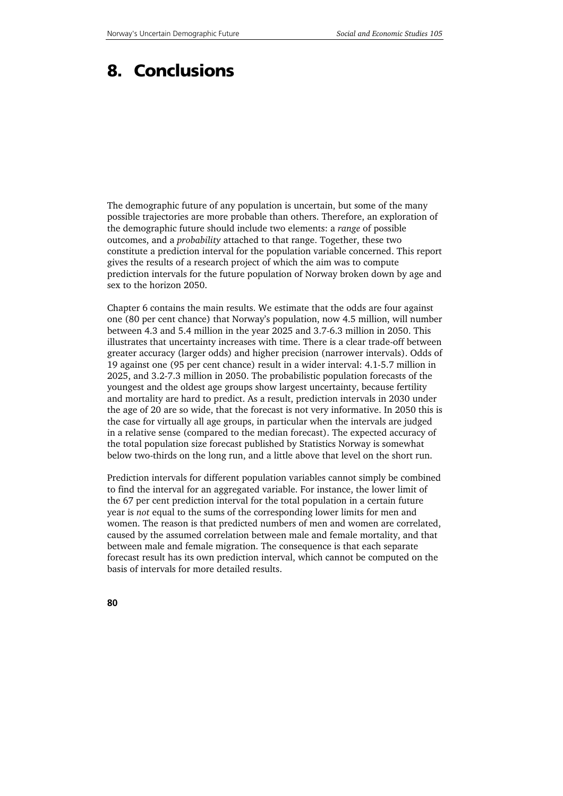## **8. Conclusions**

The demographic future of any population is uncertain, but some of the many possible trajectories are more probable than others. Therefore, an exploration of the demographic future should include two elements: a *range* of possible outcomes, and a *probability* attached to that range. Together, these two constitute a prediction interval for the population variable concerned. This report gives the results of a research project of which the aim was to compute prediction intervals for the future population of Norway broken down by age and sex to the horizon 2050.

Chapter 6 contains the main results. We estimate that the odds are four against one (80 per cent chance) that Norway's population, now 4.5 million, will number between 4.3 and 5.4 million in the year 2025 and 3.7-6.3 million in 2050. This illustrates that uncertainty increases with time. There is a clear trade-off between greater accuracy (larger odds) and higher precision (narrower intervals). Odds of 19 against one (95 per cent chance) result in a wider interval: 4.1-5.7 million in 2025, and 3.2-7.3 million in 2050. The probabilistic population forecasts of the youngest and the oldest age groups show largest uncertainty, because fertility and mortality are hard to predict. As a result, prediction intervals in 2030 under the age of 20 are so wide, that the forecast is not very informative. In 2050 this is the case for virtually all age groups, in particular when the intervals are judged in a relative sense (compared to the median forecast). The expected accuracy of the total population size forecast published by Statistics Norway is somewhat below two-thirds on the long run, and a little above that level on the short run.

Prediction intervals for different population variables cannot simply be combined to find the interval for an aggregated variable. For instance, the lower limit of the 67 per cent prediction interval for the total population in a certain future year is *not* equal to the sums of the corresponding lower limits for men and women. The reason is that predicted numbers of men and women are correlated, caused by the assumed correlation between male and female mortality, and that between male and female migration. The consequence is that each separate forecast result has its own prediction interval, which cannot be computed on the basis of intervals for more detailed results.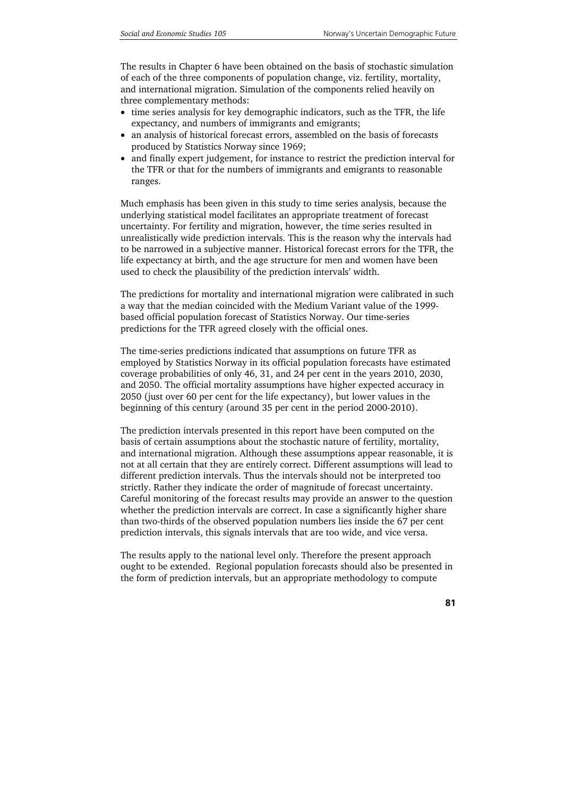The results in Chapter 6 have been obtained on the basis of stochastic simulation of each of the three components of population change, viz. fertility, mortality, and international migration. Simulation of the components relied heavily on three complementary methods:

- time series analysis for key demographic indicators, such as the TFR, the life expectancy, and numbers of immigrants and emigrants;
- an analysis of historical forecast errors, assembled on the basis of forecasts produced by Statistics Norway since 1969;
- and finally expert judgement, for instance to restrict the prediction interval for the TFR or that for the numbers of immigrants and emigrants to reasonable ranges.

Much emphasis has been given in this study to time series analysis, because the underlying statistical model facilitates an appropriate treatment of forecast uncertainty. For fertility and migration, however, the time series resulted in unrealistically wide prediction intervals. This is the reason why the intervals had to be narrowed in a subjective manner. Historical forecast errors for the TFR, the life expectancy at birth, and the age structure for men and women have been used to check the plausibility of the prediction intervals' width.

The predictions for mortality and international migration were calibrated in such a way that the median coincided with the Medium Variant value of the 1999 based official population forecast of Statistics Norway. Our time-series predictions for the TFR agreed closely with the official ones.

The time-series predictions indicated that assumptions on future TFR as employed by Statistics Norway in its official population forecasts have estimated coverage probabilities of only 46, 31, and 24 per cent in the years 2010, 2030, and 2050. The official mortality assumptions have higher expected accuracy in 2050 (just over 60 per cent for the life expectancy), but lower values in the beginning of this century (around 35 per cent in the period 2000-2010).

The prediction intervals presented in this report have been computed on the basis of certain assumptions about the stochastic nature of fertility, mortality, and international migration. Although these assumptions appear reasonable, it is not at all certain that they are entirely correct. Different assumptions will lead to different prediction intervals. Thus the intervals should not be interpreted too strictly. Rather they indicate the order of magnitude of forecast uncertainty. Careful monitoring of the forecast results may provide an answer to the question whether the prediction intervals are correct. In case a significantly higher share than two-thirds of the observed population numbers lies inside the 67 per cent prediction intervals, this signals intervals that are too wide, and vice versa.

The results apply to the national level only. Therefore the present approach ought to be extended. Regional population forecasts should also be presented in the form of prediction intervals, but an appropriate methodology to compute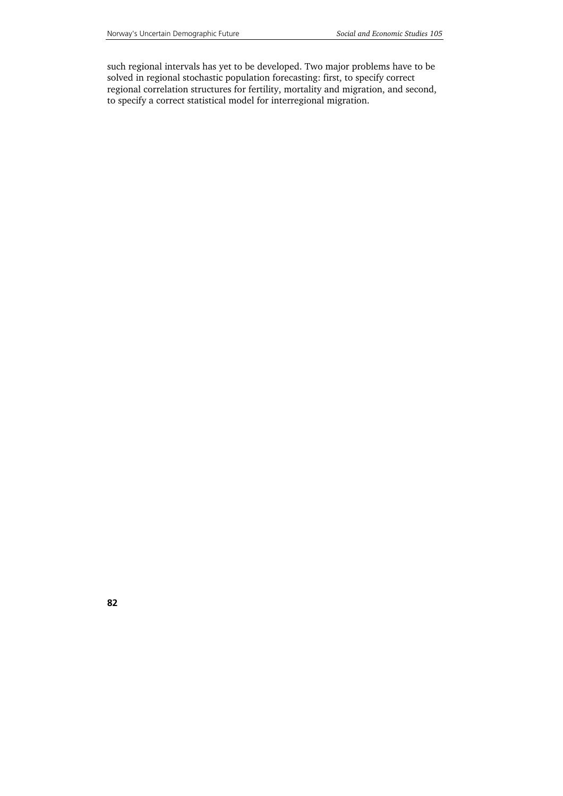such regional intervals has yet to be developed. Two major problems have to be solved in regional stochastic population forecasting: first, to specify correct regional correlation structures for fertility, mortality and migration, and second, to specify a correct statistical model for interregional migration.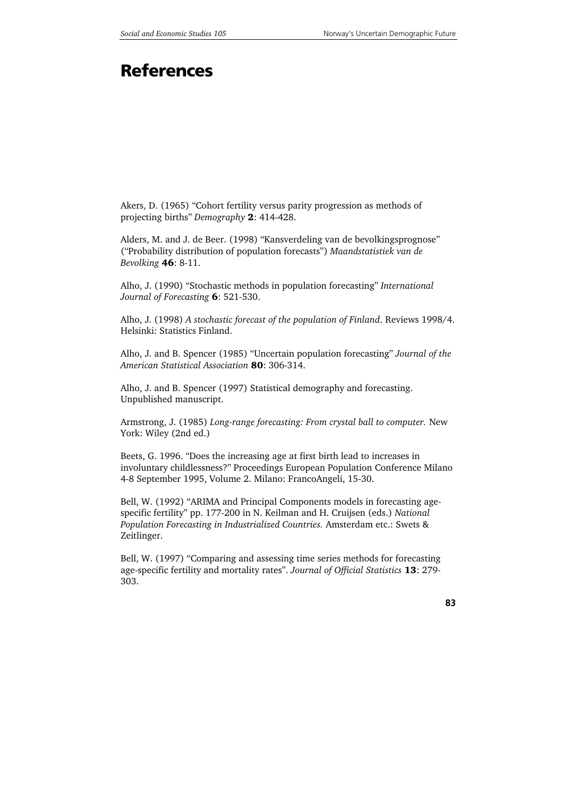# **References**

Akers, D. (1965) "Cohort fertility versus parity progression as methods of projecting births" *Demography* 2: 414-428.

Alders, M. and J. de Beer. (1998) "Kansverdeling van de bevolkingsprognose" ("Probability distribution of population forecasts") *Maandstatistiek van de Bevolking* 46: 8-11.

Alho, J. (1990) "Stochastic methods in population forecasting" *International Journal of Forecasting* 6: 521-530.

Alho, J. (1998) *A stochastic forecast of the population of Finland*. Reviews 1998/4. Helsinki: Statistics Finland.

Alho, J. and B. Spencer (1985) "Uncertain population forecasting" *Journal of the American Statistical Association* 80: 306-314.

Alho, J. and B. Spencer (1997) Statistical demography and forecasting. Unpublished manuscript.

Armstrong, J. (1985) *Long-range forecasting: From crystal ball to computer.* New York: Wiley (2nd ed.)

Beets, G. 1996. "Does the increasing age at first birth lead to increases in involuntary childlessness?" Proceedings European Population Conference Milano 4-8 September 1995, Volume 2. Milano: FrancoAngeli, 15-30.

Bell, W. (1992) "ARIMA and Principal Components models in forecasting agespecific fertility" pp. 177-200 in N. Keilman and H. Cruijsen (eds.) *National Population Forecasting in Industrialized Countries.* Amsterdam etc.: Swets & Zeitlinger.

Bell, W. (1997) "Comparing and assessing time series methods for forecasting age-specific fertility and mortality rates". *Journal of Official Statistics* 13: 279- 303.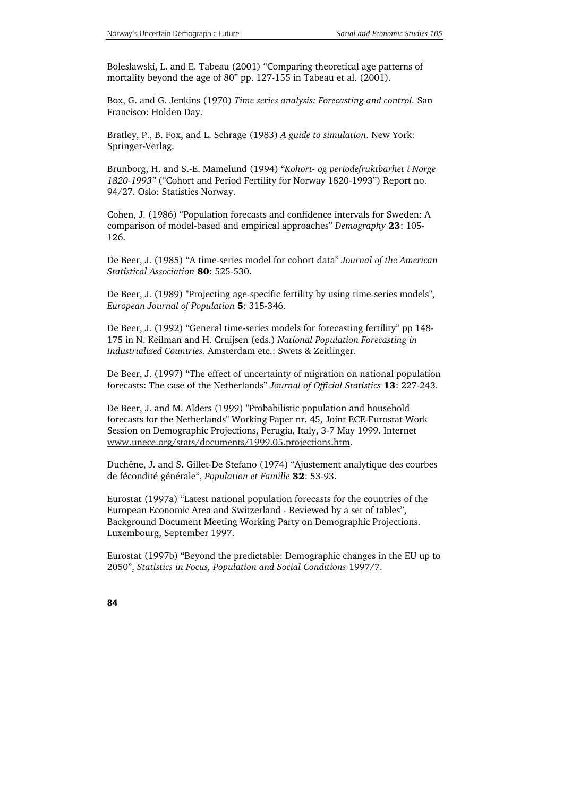Boleslawski, L. and E. Tabeau (2001) "Comparing theoretical age patterns of mortality beyond the age of 80" pp. 127-155 in Tabeau et al. (2001).

Box, G. and G. Jenkins (1970) *Time series analysis: Forecasting and control.* San Francisco: Holden Day.

Bratley, P., B. Fox, and L. Schrage (1983) *A guide to simulation*. New York: Springer-Verlag.

Brunborg, H. and S.-E. Mamelund (1994) "*Kohort- og periodefruktbarhet i Norge 1820-1993"* ("Cohort and Period Fertility for Norway 1820-1993") Report no. 94/27. Oslo: Statistics Norway.

Cohen, J. (1986) "Population forecasts and confidence intervals for Sweden: A comparison of model-based and empirical approaches" *Demography* 23: 105- 126.

De Beer, J. (1985) "A time-series model for cohort data" *Journal of the American Statistical Association* 80: 525-530.

De Beer, J. (1989) "Projecting age-specific fertility by using time-series models", *European Journal of Population* 5: 315-346.

De Beer, J. (1992) "General time-series models for forecasting fertility" pp 148- 175 in N. Keilman and H. Cruijsen (eds.) *National Population Forecasting in Industrialized Countries.* Amsterdam etc.: Swets & Zeitlinger.

De Beer, J. (1997) "The effect of uncertainty of migration on national population forecasts: The case of the Netherlands" *Journal of Official Statistics* 13: 227-243.

De Beer, J. and M. Alders (1999) "Probabilistic population and household forecasts for the Netherlands" Working Paper nr. 45, Joint ECE-Eurostat Work Session on Demographic Projections, Perugia, Italy, 3-7 May 1999. Internet www.unece.org/stats/documents/1999.05.projections.htm.

Duchêne, J. and S. Gillet-De Stefano (1974) "Ajustement analytique des courbes de fécondité générale", *Population et Famille* 32: 53-93.

Eurostat (1997a) "Latest national population forecasts for the countries of the European Economic Area and Switzerland - Reviewed by a set of tables", Background Document Meeting Working Party on Demographic Projections. Luxembourg, September 1997.

Eurostat (1997b) "Beyond the predictable: Demographic changes in the EU up to 2050", *Statistics in Focus, Population and Social Conditions* 1997/7.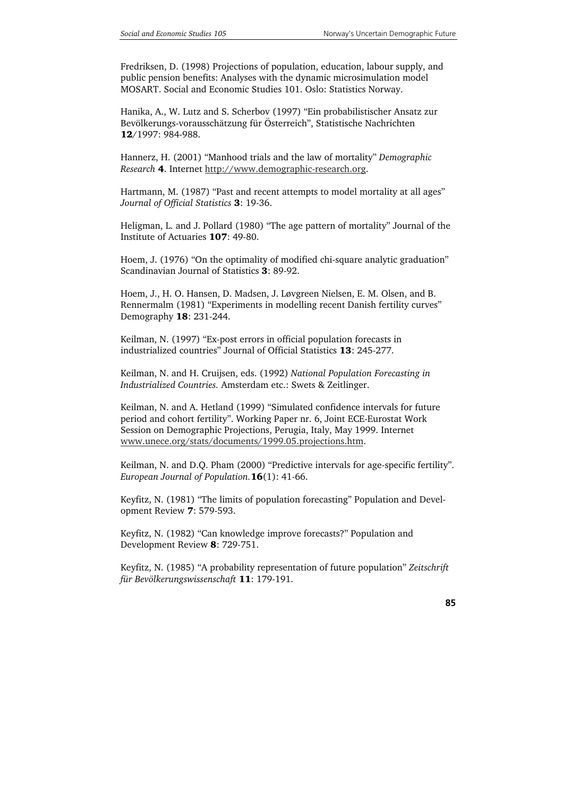Fredriksen, D. (1998) Projections of population, education, labour supply, and public pension benefits: Analyses with the dynamic microsimulation model MOSART. Social and Economic Studies 101. Oslo: Statistics Norway.

Hanika, A., W. Lutz and S. Scherbov (1997) "Ein probabilistischer Ansatz zur Bevölkerungs-vorausschätzung für Österreich", Statistische Nachrichten 12/1997: 984-988.

Hannerz, H. (2001) "Manhood trials and the law of mortality" *Demographic Research* 4. Internet http://www.demographic-research.org.

Hartmann, M. (1987) "Past and recent attempts to model mortality at all ages" *Journal of Official Statistics* 3: 19-36.

Heligman, L. and J. Pollard (1980) "The age pattern of mortality" Journal of the Institute of Actuaries 107: 49-80.

Hoem, J. (1976) "On the optimality of modified chi-square analytic graduation" Scandinavian Journal of Statistics 3: 89-92.

Hoem, J., H. O. Hansen, D. Madsen, J. Løvgreen Nielsen, E. M. Olsen, and B. Rennermalm (1981) "Experiments in modelling recent Danish fertility curves" Demography 18: 231-244.

Keilman, N. (1997) "Ex-post errors in official population forecasts in industrialized countries" Journal of Official Statistics 13: 245-277.

Keilman, N. and H. Cruijsen, eds. (1992) *National Population Forecasting in Industrialized Countries.* Amsterdam etc.: Swets & Zeitlinger.

Keilman, N. and A. Hetland (1999) "Simulated confidence intervals for future period and cohort fertility". Working Paper nr. 6, Joint ECE-Eurostat Work Session on Demographic Projections, Perugia, Italy, May 1999. Internet www.unece.org/stats/documents/1999.05.projections.htm.

Keilman, N. and D.Q. Pham (2000) "Predictive intervals for age-specific fertility". *European Journal of Population.*16(1): 41-66.

Keyfitz, N. (1981) "The limits of population forecasting" Population and Development Review 7: 579-593.

Keyfitz, N. (1982) "Can knowledge improve forecasts?" Population and Development Review 8: 729-751.

Keyfitz, N. (1985) "A probability representation of future population" *Zeitschrift für Bevölkerungswissenschaft* 11: 179-191.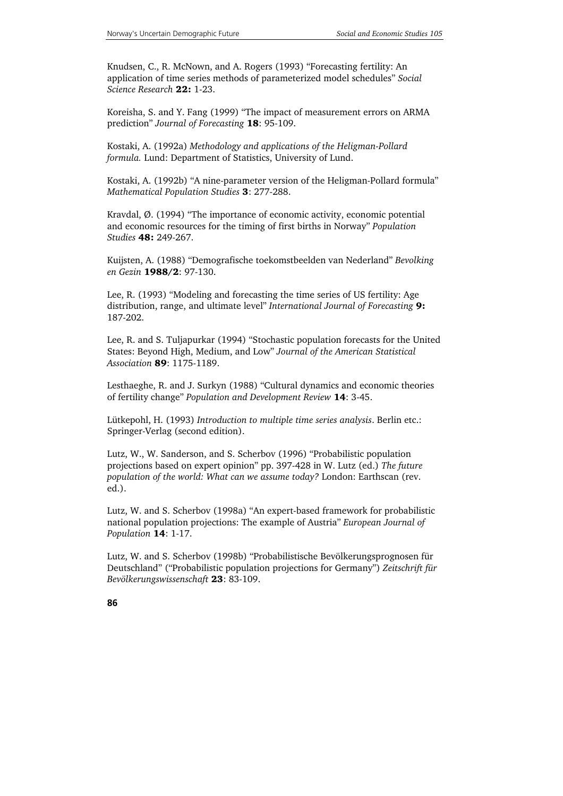Knudsen, C., R. McNown, and A. Rogers (1993) "Forecasting fertility: An application of time series methods of parameterized model schedules" *Social Science Research* 22: 1-23.

Koreisha, S. and Y. Fang (1999) "The impact of measurement errors on ARMA prediction" *Journal of Forecasting* 18: 95-109.

Kostaki, A. (1992a) *Methodology and applications of the Heligman-Pollard formula.* Lund: Department of Statistics, University of Lund.

Kostaki, A. (1992b) "A nine-parameter version of the Heligman-Pollard formula" *Mathematical Population Studies* 3: 277-288.

Kravdal, Ø. (1994) "The importance of economic activity, economic potential and economic resources for the timing of first births in Norway" *Population Studies* 48: 249-267.

Kuijsten, A. (1988) "Demografische toekomstbeelden van Nederland" *Bevolking en Gezin* 1988/2: 97-130.

Lee, R. (1993) "Modeling and forecasting the time series of US fertility: Age distribution, range, and ultimate level" *International Journal of Forecasting* 9: 187-202.

Lee, R. and S. Tuljapurkar (1994) "Stochastic population forecasts for the United States: Beyond High, Medium, and Low" *Journal of the American Statistical Association* 89: 1175-1189.

Lesthaeghe, R. and J. Surkyn (1988) "Cultural dynamics and economic theories of fertility change" *Population and Development Review* 14: 3-45.

Lütkepohl, H. (1993) *Introduction to multiple time series analysis*. Berlin etc.: Springer-Verlag (second edition).

Lutz, W., W. Sanderson, and S. Scherbov (1996) "Probabilistic population projections based on expert opinion" pp. 397-428 in W. Lutz (ed.) *The future population of the world: What can we assume today?* London: Earthscan (rev. ed.).

Lutz, W. and S. Scherbov (1998a) "An expert-based framework for probabilistic national population projections: The example of Austria" *European Journal of Population* 14: 1-17.

Lutz, W. and S. Scherbov (1998b) "Probabilistische Bevölkerungsprognosen für Deutschland" ("Probabilistic population projections for Germany") *Zeitschrift für Bevölkerungswissenschaft* 23: 83-109.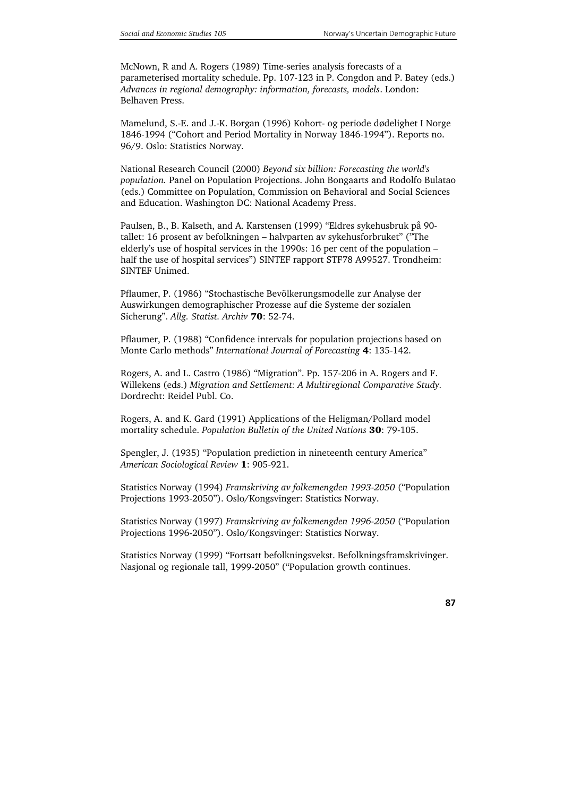McNown, R and A. Rogers (1989) Time-series analysis forecasts of a parameterised mortality schedule. Pp. 107-123 in P. Congdon and P. Batey (eds.) *Advances in regional demography: information, forecasts, models*. London: Belhaven Press.

Mamelund, S.-E. and J.-K. Borgan (1996) Kohort- og periode dødelighet I Norge 1846-1994 ("Cohort and Period Mortality in Norway 1846-1994"). Reports no. 96/9. Oslo: Statistics Norway.

National Research Council (2000) *Beyond six billion: Forecasting the world's population.* Panel on Population Projections. John Bongaarts and Rodolfo Bulatao (eds.) Committee on Population, Commission on Behavioral and Social Sciences and Education. Washington DC: National Academy Press.

Paulsen, B., B. Kalseth, and A. Karstensen (1999) "Eldres sykehusbruk på 90 tallet: 16 prosent av befolkningen – halvparten av sykehusforbruket" ("The elderly's use of hospital services in the 1990s: 16 per cent of the population – half the use of hospital services") SINTEF rapport STF78 A99527. Trondheim: SINTEF Unimed.

Pflaumer, P. (1986) "Stochastische Bevölkerungsmodelle zur Analyse der Auswirkungen demographischer Prozesse auf die Systeme der sozialen Sicherung". *Allg. Statist. Archiv* 70: 52-74.

Pflaumer, P. (1988) "Confidence intervals for population projections based on Monte Carlo methods" *International Journal of Forecasting* 4: 135-142.

Rogers, A. and L. Castro (1986) "Migration". Pp. 157-206 in A. Rogers and F. Willekens (eds.) *Migration and Settlement: A Multiregional Comparative Study.* Dordrecht: Reidel Publ. Co.

Rogers, A. and K. Gard (1991) Applications of the Heligman/Pollard model mortality schedule. *Population Bulletin of the United Nations* 30: 79-105.

Spengler, J. (1935) "Population prediction in nineteenth century America" *American Sociological Review* 1: 905-921.

Statistics Norway (1994) *Framskriving av folkemengden 1993-2050* ("Population Projections 1993-2050"). Oslo/Kongsvinger: Statistics Norway.

Statistics Norway (1997) *Framskriving av folkemengden 1996-2050* ("Population Projections 1996-2050"). Oslo/Kongsvinger: Statistics Norway.

Statistics Norway (1999) "Fortsatt befolkningsvekst. Befolkningsframskrivinger. Nasjonal og regionale tall, 1999-2050" ("Population growth continues.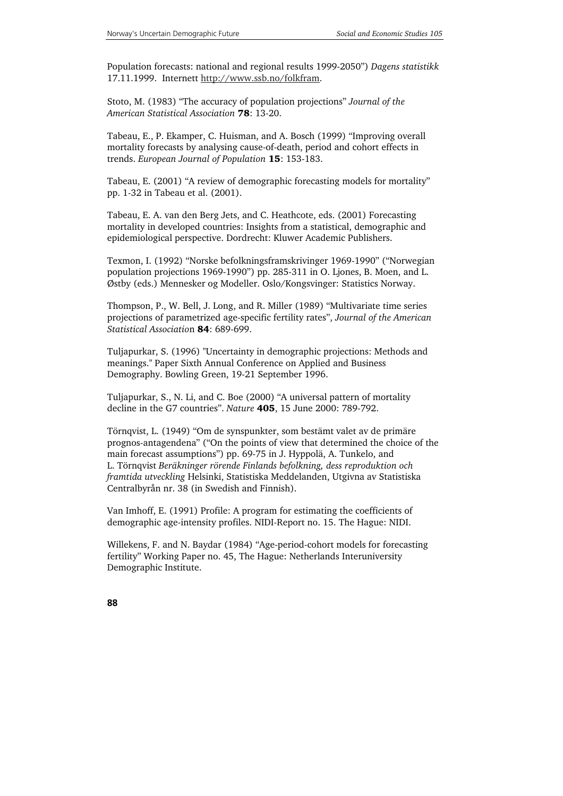Population forecasts: national and regional results 1999-2050") *Dagens statistikk*  17.11.1999. Internett http://www.ssb.no/folkfram.

Stoto, M. (1983) "The accuracy of population projections" *Journal of the American Statistical Association* 78: 13-20.

Tabeau, E., P. Ekamper, C. Huisman, and A. Bosch (1999) "Improving overall mortality forecasts by analysing cause-of-death, period and cohort effects in trends. *European Journal of Population* 15: 153-183.

Tabeau, E. (2001) "A review of demographic forecasting models for mortality" pp. 1-32 in Tabeau et al. (2001).

Tabeau, E. A. van den Berg Jets, and C. Heathcote, eds. (2001) Forecasting mortality in developed countries: Insights from a statistical, demographic and epidemiological perspective. Dordrecht: Kluwer Academic Publishers.

Texmon, I. (1992) "Norske befolkningsframskrivinger 1969-1990" ("Norwegian population projections 1969-1990") pp. 285-311 in O. Ljones, B. Moen, and L. Østby (eds.) Mennesker og Modeller. Oslo/Kongsvinger: Statistics Norway.

Thompson, P., W. Bell, J. Long, and R. Miller (1989) "Multivariate time series projections of parametrized age-specific fertility rates", *Journal of the American Statistical Associatio*n 84: 689-699.

Tuljapurkar, S. (1996) "Uncertainty in demographic projections: Methods and meanings." Paper Sixth Annual Conference on Applied and Business Demography. Bowling Green, 19-21 September 1996.

Tuljapurkar, S., N. Li, and C. Boe (2000) "A universal pattern of mortality decline in the G7 countries". *Nature* 405, 15 June 2000: 789-792.

Törnqvist, L. (1949) "Om de synspunkter, som bestämt valet av de primäre prognos-antagendena" ("On the points of view that determined the choice of the main forecast assumptions") pp. 69-75 in J. Hyppolä, A. Tunkelo, and L. Törnqvist *Beräkninger rörende Finlands befolkning, dess reproduktion och framtida utveckling* Helsinki, Statistiska Meddelanden, Utgivna av Statistiska Centralbyrån nr. 38 (in Swedish and Finnish).

Van Imhoff, E. (1991) Profile: A program for estimating the coefficients of demographic age-intensity profiles. NIDI-Report no. 15. The Hague: NIDI.

Willekens, F. and N. Baydar (1984) "Age-period-cohort models for forecasting fertility" Working Paper no. 45, The Hague: Netherlands Interuniversity Demographic Institute.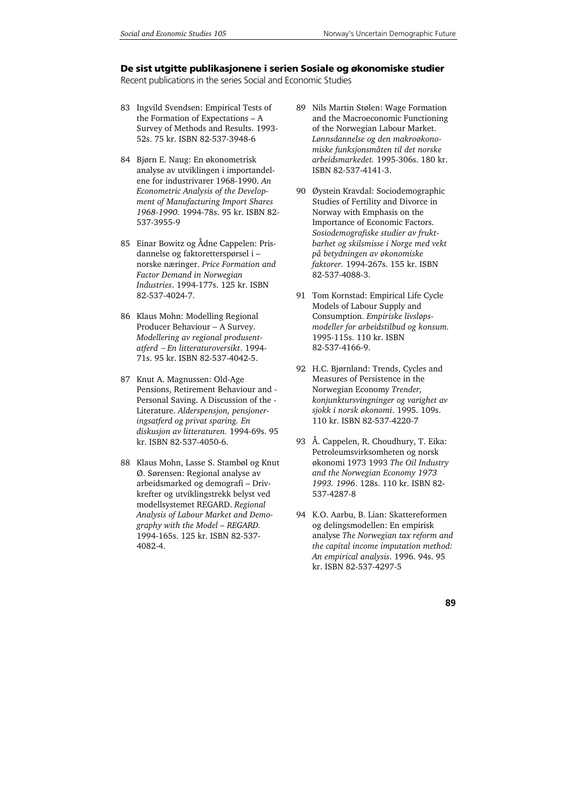#### **De sist utgitte publikasjonene i serien Sosiale og økonomiske studier**

Recent publications in the series Social and Economic Studies

- 83 Ingvild Svendsen: Empirical Tests of the Formation of Expectations – A Survey of Methods and Results. 1993- 52s. 75 kr. ISBN 82-537-3948-6
- 84 Bjørn E. Naug: En økonometrisk analyse av utviklingen i importandelene for industrivarer 1968-1990. *An Econometric Analysis of the Development of Manufacturing Import Shares 1968-1990.* 1994-78s. 95 kr. ISBN 82- 537-3955-9
- 85 Einar Bowitz og Ådne Cappelen: Prisdannelse og faktoretterspørsel i – norske næringer. *Price Formation and Factor Demand in Norwegian Industries*. 1994-177s. 125 kr. ISBN 82-537-4024-7.
- 86 Klaus Mohn: Modelling Regional Producer Behaviour − A Survey. *Modellering av regional produsentatferd* − *En litteraturoversikt*. 1994- 71s. 95 kr. ISBN 82-537-4042-5.
- 87 Knut A. Magnussen: Old-Age Pensions, Retirement Behaviour and - Personal Saving. A Discussion of the - Literature. *Alderspensjon, pensjoneringsatferd og privat sparing. En diskusjon av litteraturen.* 1994-69s. 95 kr. ISBN 82-537-4050-6.
- 88 Klaus Mohn, Lasse S. Stambøl og Knut Ø. Sørensen: Regional analyse av arbeidsmarked og demografi – Drivkrefter og utviklingstrekk belyst ved modellsystemet REGARD. *Regional Analysis of Labour Market and Demography with the Model – REGARD.*  1994-165s. 125 kr. ISBN 82-537- 4082-4.
- 89 Nils Martin Stølen: Wage Formation and the Macroeconomic Functioning of the Norwegian Labour Market. *Lønnsdannelse og den makroøkonomiske funksjonsmåten til det norske arbeidsmarkedet.* 1995-306s. 180 kr. ISBN 82-537-4141-3.
- 90 Øystein Kravdal: Sociodemographic Studies of Fertility and Divorce in Norway with Emphasis on the Importance of Economic Factors. *Sosiodemografiske studier av fruktbarhet og skilsmisse i Norge med vekt på betydningen av økonomiske faktorer.* 1994-267s. 155 kr. ISBN 82-537-4088-3.
- 91 Tom Kornstad: Empirical Life Cycle Models of Labour Supply and Consumption. *Empiriske livsløpsmodeller for arbeidstilbud og konsum.* 1995-115s. 110 kr. ISBN 82-537-4166-9.
- 92 H.C. Bjørnland: Trends, Cycles and Measures of Persistence in the Norwegian Economy *Trender, konjunktursvingninger og varighet av sjokk i norsk økonomi*. 1995. 109s. 110 kr. ISBN 82-537-4220-7
- 93 Å. Cappelen, R. Choudhury, T. Eika: Petroleumsvirksomheten og norsk økonomi 1973 1993 *The Oil Industry and the Norwegian Economy 1973 1993. 1996*. 128s. 110 kr. ISBN 82- 537-4287-8
- 94 K.O. Aarbu, B. Lian: Skattereformen og delingsmodellen: En empirisk analyse *The Norwegian tax reform and the capital income imputation method: An empirical analysis*. 1996. 94s. 95 kr. ISBN 82-537-4297-5